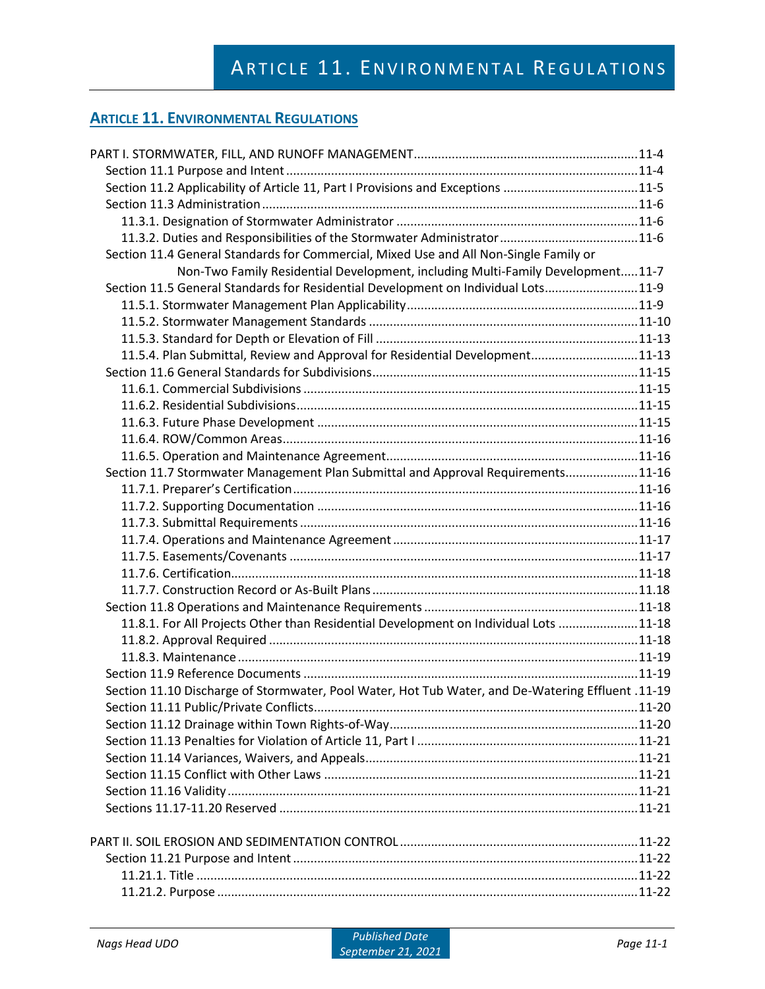| Section 11.2 Applicability of Article 11, Part I Provisions and Exceptions 11-5                   |  |
|---------------------------------------------------------------------------------------------------|--|
|                                                                                                   |  |
|                                                                                                   |  |
|                                                                                                   |  |
| Section 11.4 General Standards for Commercial, Mixed Use and All Non-Single Family or             |  |
| Non-Two Family Residential Development, including Multi-Family Development11-7                    |  |
| Section 11.5 General Standards for Residential Development on Individual Lots11-9                 |  |
|                                                                                                   |  |
|                                                                                                   |  |
|                                                                                                   |  |
| 11.5.4. Plan Submittal, Review and Approval for Residential Development11-13                      |  |
|                                                                                                   |  |
|                                                                                                   |  |
|                                                                                                   |  |
|                                                                                                   |  |
|                                                                                                   |  |
|                                                                                                   |  |
| Section 11.7 Stormwater Management Plan Submittal and Approval Requirements11-16                  |  |
|                                                                                                   |  |
|                                                                                                   |  |
|                                                                                                   |  |
|                                                                                                   |  |
|                                                                                                   |  |
|                                                                                                   |  |
|                                                                                                   |  |
|                                                                                                   |  |
| 11.8.1. For All Projects Other than Residential Development on Individual Lots 11-18              |  |
|                                                                                                   |  |
|                                                                                                   |  |
|                                                                                                   |  |
| Section 11.10 Discharge of Stormwater, Pool Water, Hot Tub Water, and De-Watering Effluent .11-19 |  |
|                                                                                                   |  |
|                                                                                                   |  |
|                                                                                                   |  |
|                                                                                                   |  |
|                                                                                                   |  |
|                                                                                                   |  |
|                                                                                                   |  |
|                                                                                                   |  |
|                                                                                                   |  |
|                                                                                                   |  |
|                                                                                                   |  |
|                                                                                                   |  |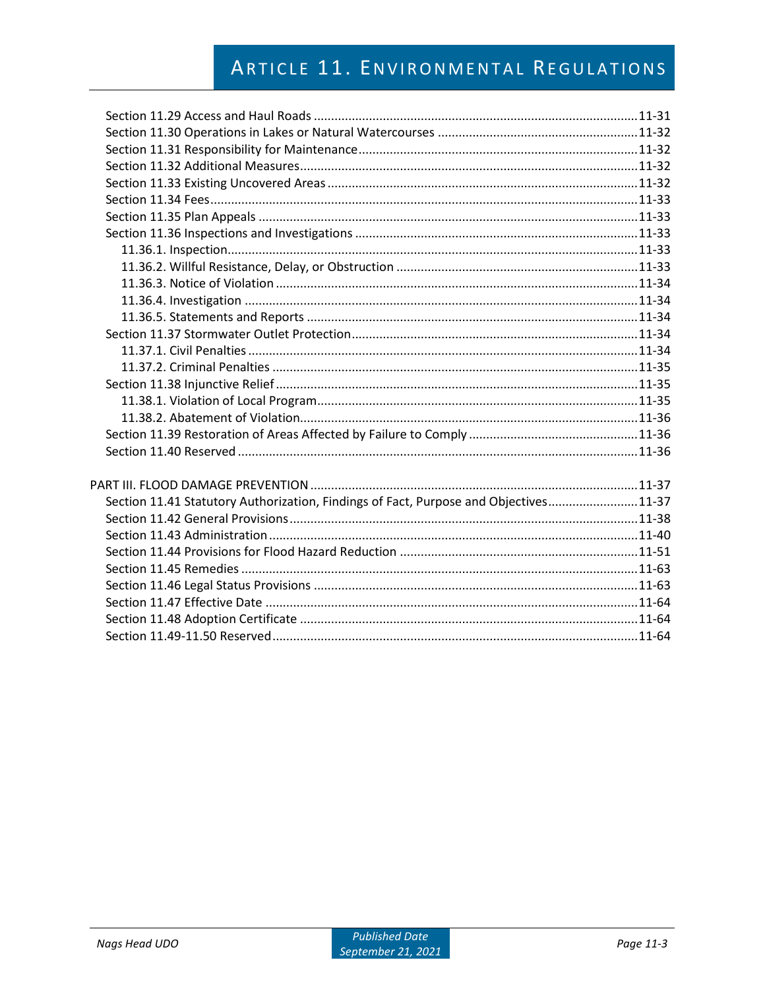| Section 11.41 Statutory Authorization, Findings of Fact, Purpose and Objectives11-37 |  |
|--------------------------------------------------------------------------------------|--|
|                                                                                      |  |
|                                                                                      |  |
|                                                                                      |  |
|                                                                                      |  |
|                                                                                      |  |
|                                                                                      |  |
|                                                                                      |  |
|                                                                                      |  |
|                                                                                      |  |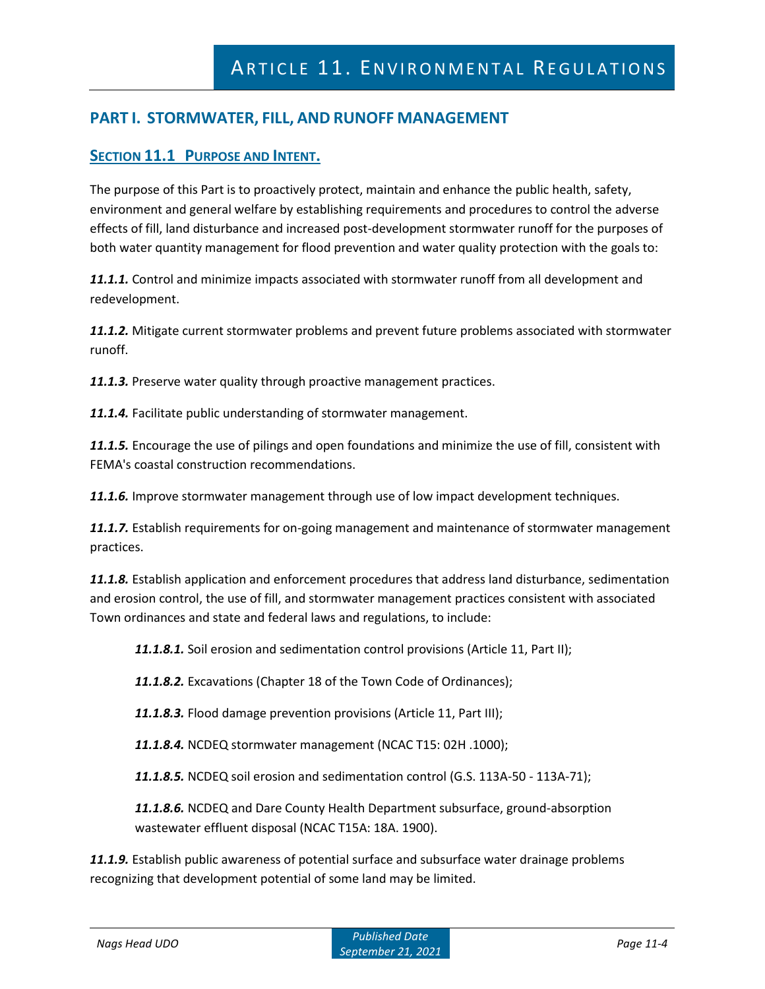# **PART I. STORMWATER, FILL, AND RUNOFF MANAGEMENT**

# **SECTION 11.1 PURPOSE AND INTENT.**

The purpose of this Part is to proactively protect, maintain and enhance the public health, safety, environment and general welfare by establishing requirements and procedures to control the adverse effects of fill, land disturbance and increased post-development stormwater runoff for the purposes of both water quantity management for flood prevention and water quality protection with the goals to:

*11.1.1.* Control and minimize impacts associated with stormwater runoff from all development and redevelopment.

*11.1.2.* Mitigate current stormwater problems and prevent future problems associated with stormwater runoff.

*11.1.3.* Preserve water quality through proactive management practices.

*11.1.4.* Facilitate public understanding of stormwater management.

*11.1.5.* Encourage the use of pilings and open foundations and minimize the use of fill, consistent with FEMA's coastal construction recommendations.

*11.1.6.* Improve stormwater management through use of low impact development techniques.

*11.1.7.* Establish requirements for on-going management and maintenance of stormwater management practices.

*11.1.8.* Establish application and enforcement procedures that address land disturbance, sedimentation and erosion control, the use of fill, and stormwater management practices consistent with associated Town ordinances and state and federal laws and regulations, to include:

*11.1.8.1.* Soil erosion and sedimentation control provisions (Article 11, Part II);

*11.1.8.2.* Excavations (Chapter 18 of the Town Code of Ordinances);

*11.1.8.3.* Flood damage prevention provisions (Article 11, Part III);

*11.1.8.4.* NCDEQ stormwater management (NCAC T15: 02H .1000);

*11.1.8.5.* NCDEQ soil erosion and sedimentation control (G.S. 113A-50 - 113A-71);

*11.1.8.6.* NCDEQ and Dare County Health Department subsurface, ground-absorption wastewater effluent disposal (NCAC T15A: 18A. 1900).

*11.1.9.* Establish public awareness of potential surface and subsurface water drainage problems recognizing that development potential of some land may be limited.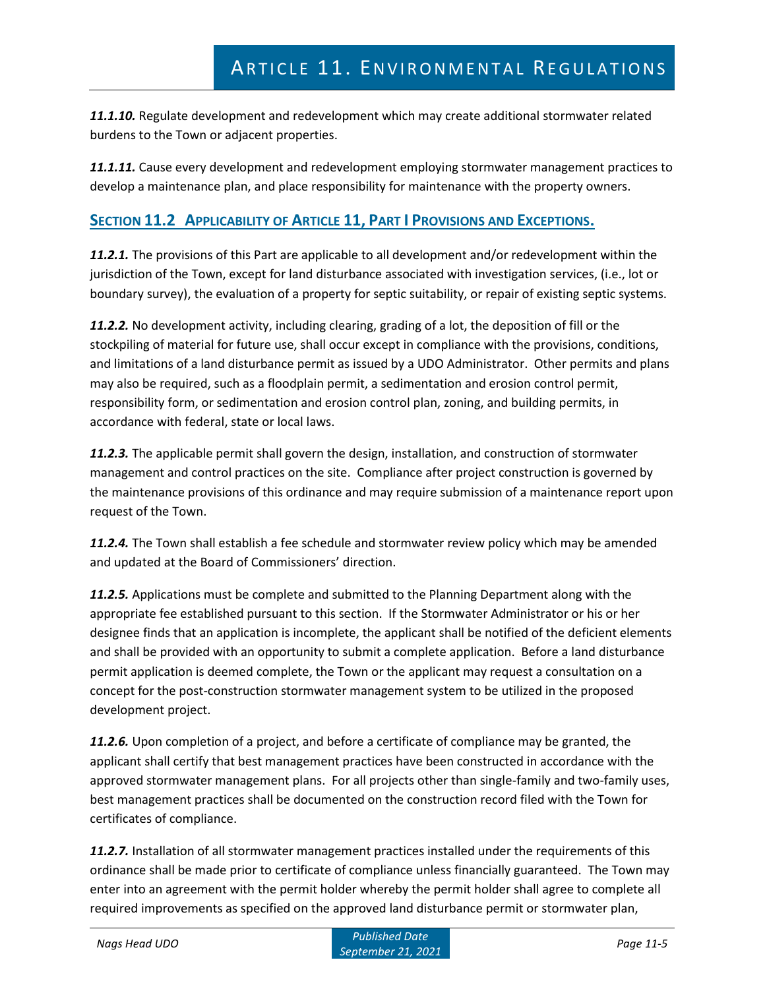*11.1.10.* Regulate development and redevelopment which may create additional stormwater related burdens to the Town or adjacent properties.

*11.1.11.* Cause every development and redevelopment employing stormwater management practices to develop a maintenance plan, and place responsibility for maintenance with the property owners.

# **SECTION 11.2 APPLICABILITY OF ARTICLE 11, PART I PROVISIONS AND EXCEPTIONS.**

*11.2.1.* The provisions of this Part are applicable to all development and/or redevelopment within the jurisdiction of the Town, except for land disturbance associated with investigation services, (i.e., lot or boundary survey), the evaluation of a property for septic suitability, or repair of existing septic systems.

*11.2.2.* No development activity, including clearing, grading of a lot, the deposition of fill or the stockpiling of material for future use, shall occur except in compliance with the provisions, conditions, and limitations of a land disturbance permit as issued by a UDO Administrator. Other permits and plans may also be required, such as a floodplain permit, a sedimentation and erosion control permit, responsibility form, or sedimentation and erosion control plan, zoning, and building permits, in accordance with federal, state or local laws.

*11.2.3.* The applicable permit shall govern the design, installation, and construction of stormwater management and control practices on the site. Compliance after project construction is governed by the maintenance provisions of this ordinance and may require submission of a maintenance report upon request of the Town.

*11.2.4.* The Town shall establish a fee schedule and stormwater review policy which may be amended and updated at the Board of Commissioners' direction.

*11.2.5.* Applications must be complete and submitted to the Planning Department along with the appropriate fee established pursuant to this section. If the Stormwater Administrator or his or her designee finds that an application is incomplete, the applicant shall be notified of the deficient elements and shall be provided with an opportunity to submit a complete application. Before a land disturbance permit application is deemed complete, the Town or the applicant may request a consultation on a concept for the post-construction stormwater management system to be utilized in the proposed development project.

*11.2.6.* Upon completion of a project, and before a certificate of compliance may be granted, the applicant shall certify that best management practices have been constructed in accordance with the approved stormwater management plans. For all projects other than single-family and two-family uses, best management practices shall be documented on the construction record filed with the Town for certificates of compliance.

*11.2.7.* Installation of all stormwater management practices installed under the requirements of this ordinance shall be made prior to certificate of compliance unless financially guaranteed. The Town may enter into an agreement with the permit holder whereby the permit holder shall agree to complete all required improvements as specified on the approved land disturbance permit or stormwater plan,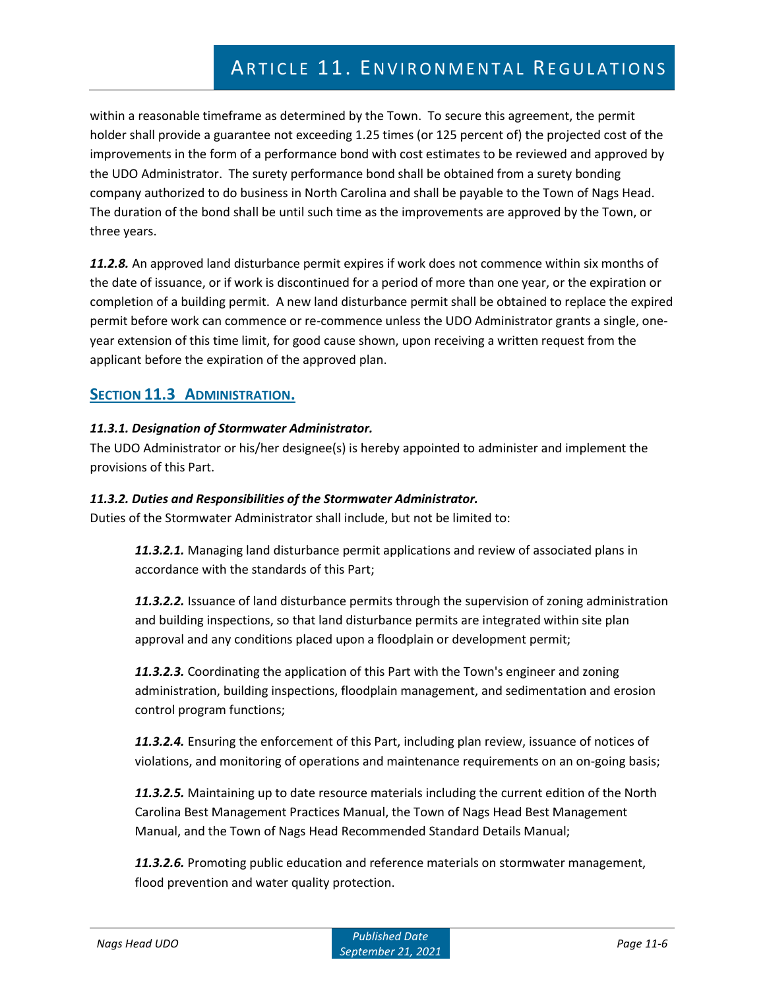within a reasonable timeframe as determined by the Town. To secure this agreement, the permit holder shall provide a guarantee not exceeding 1.25 times (or 125 percent of) the projected cost of the improvements in the form of a performance bond with cost estimates to be reviewed and approved by the UDO Administrator. The surety performance bond shall be obtained from a surety bonding company authorized to do business in North Carolina and shall be payable to the Town of Nags Head. The duration of the bond shall be until such time as the improvements are approved by the Town, or three years.

*11.2.8.* An approved land disturbance permit expires if work does not commence within six months of the date of issuance, or if work is discontinued for a period of more than one year, or the expiration or completion of a building permit. A new land disturbance permit shall be obtained to replace the expired permit before work can commence or re-commence unless the UDO Administrator grants a single, oneyear extension of this time limit, for good cause shown, upon receiving a written request from the applicant before the expiration of the approved plan.

# **SECTION 11.3 ADMINISTRATION.**

# *11.3.1. Designation of Stormwater Administrator.*

The UDO Administrator or his/her designee(s) is hereby appointed to administer and implement the provisions of this Part.

## *11.3.2. Duties and Responsibilities of the Stormwater Administrator.*

Duties of the Stormwater Administrator shall include, but not be limited to:

*11.3.2.1.* Managing land disturbance permit applications and review of associated plans in accordance with the standards of this Part;

*11.3.2.2.* Issuance of land disturbance permits through the supervision of zoning administration and building inspections, so that land disturbance permits are integrated within site plan approval and any conditions placed upon a floodplain or development permit;

*11.3.2.3.* Coordinating the application of this Part with the Town's engineer and zoning administration, building inspections, floodplain management, and sedimentation and erosion control program functions;

*11.3.2.4.* Ensuring the enforcement of this Part, including plan review, issuance of notices of violations, and monitoring of operations and maintenance requirements on an on-going basis;

*11.3.2.5.* Maintaining up to date resource materials including the current edition of the North Carolina Best Management Practices Manual, the Town of Nags Head Best Management Manual, and the Town of Nags Head Recommended Standard Details Manual;

*11.3.2.6.* Promoting public education and reference materials on stormwater management, flood prevention and water quality protection.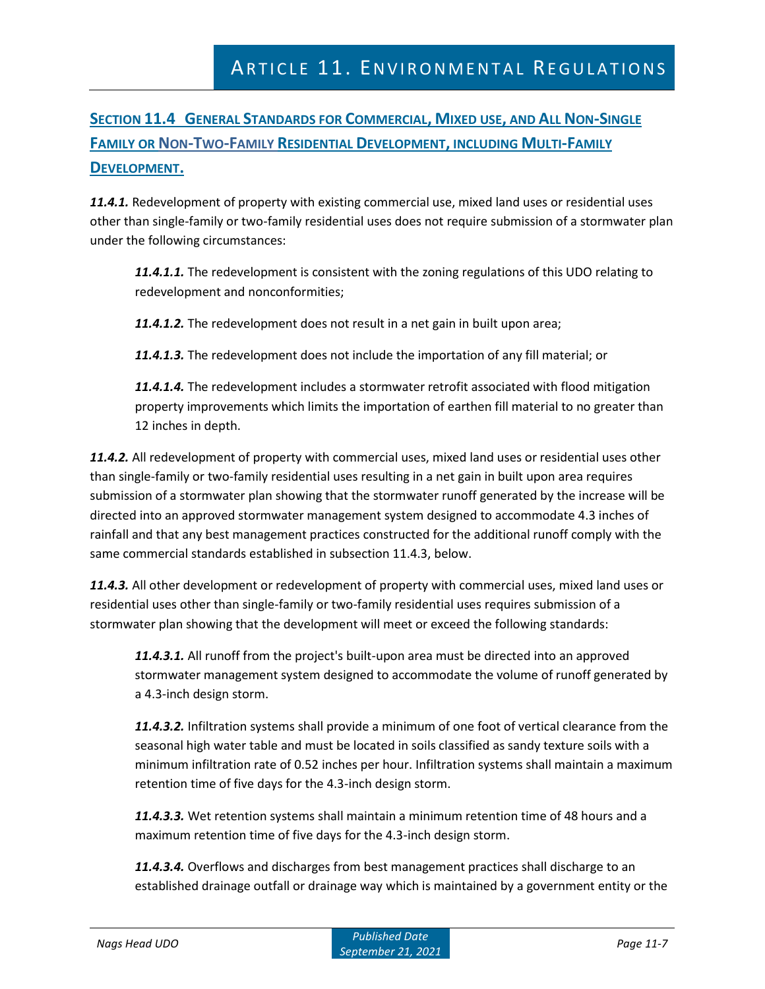# **SECTION 11.4 GENERAL STANDARDS FOR COMMERCIAL, MIXED USE, AND ALL NON-SINGLE FAMILY OR NON-TWO-FAMILY RESIDENTIAL DEVELOPMENT, INCLUDING MULTI-FAMILY DEVELOPMENT.**

*11.4.1.* Redevelopment of property with existing commercial use, mixed land uses or residential uses other than single-family or two-family residential uses does not require submission of a stormwater plan under the following circumstances:

*11.4.1.1.* The redevelopment is consistent with the zoning regulations of this UDO relating to redevelopment and nonconformities;

*11.4.1.2.* The redevelopment does not result in a net gain in built upon area;

*11.4.1.3.* The redevelopment does not include the importation of any fill material; or

*11.4.1.4.* The redevelopment includes a stormwater retrofit associated with flood mitigation property improvements which limits the importation of earthen fill material to no greater than 12 inches in depth.

*11.4.2.* All redevelopment of property with commercial uses, mixed land uses or residential uses other than single-family or two-family residential uses resulting in a net gain in built upon area requires submission of a stormwater plan showing that the stormwater runoff generated by the increase will be directed into an approved stormwater management system designed to accommodate 4.3 inches of rainfall and that any best management practices constructed for the additional runoff comply with the same commercial standards established in subsection 11.4.3, below.

*11.4.3.* All other development or redevelopment of property with commercial uses, mixed land uses or residential uses other than single-family or two-family residential uses requires submission of a stormwater plan showing that the development will meet or exceed the following standards:

*11.4.3.1.* All runoff from the project's built-upon area must be directed into an approved stormwater management system designed to accommodate the volume of runoff generated by a 4.3-inch design storm.

*11.4.3.2.* Infiltration systems shall provide a minimum of one foot of vertical clearance from the seasonal high water table and must be located in soils classified as sandy texture soils with a minimum infiltration rate of 0.52 inches per hour. Infiltration systems shall maintain a maximum retention time of five days for the 4.3-inch design storm.

*11.4.3.3.* Wet retention systems shall maintain a minimum retention time of 48 hours and a maximum retention time of five days for the 4.3-inch design storm.

*11.4.3.4.* Overflows and discharges from best management practices shall discharge to an established drainage outfall or drainage way which is maintained by a government entity or the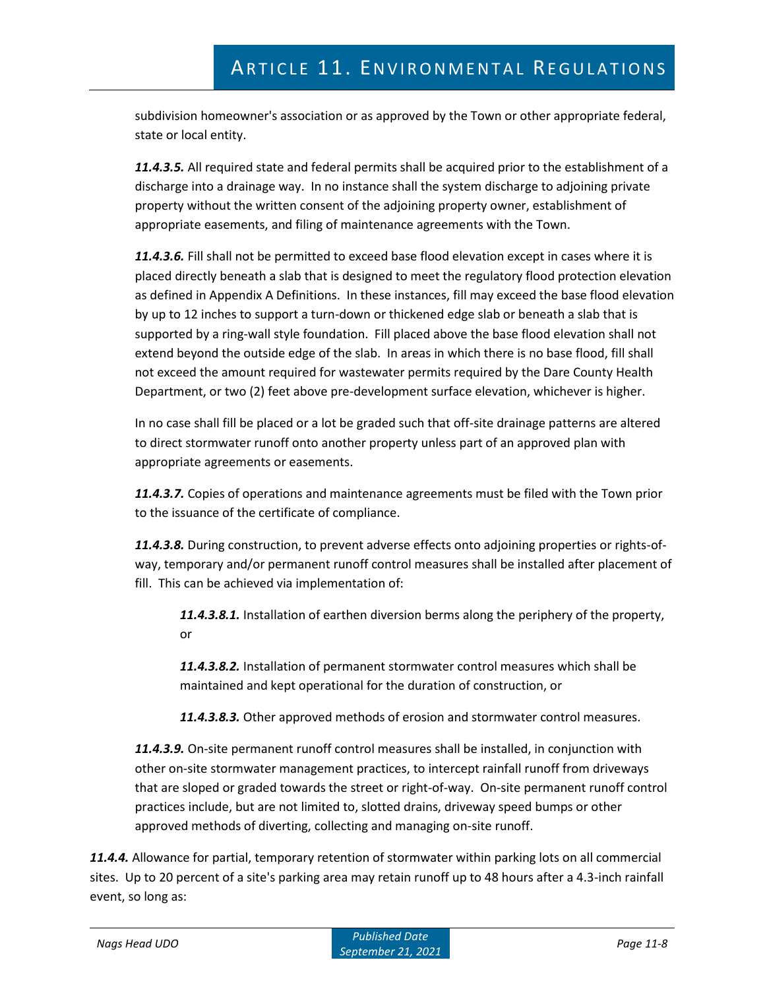subdivision homeowner's association or as approved by the Town or other appropriate federal, state or local entity.

*11.4.3.5.* All required state and federal permits shall be acquired prior to the establishment of a discharge into a drainage way. In no instance shall the system discharge to adjoining private property without the written consent of the adjoining property owner, establishment of appropriate easements, and filing of maintenance agreements with the Town.

*11.4.3.6.* Fill shall not be permitted to exceed base flood elevation except in cases where it is placed directly beneath a slab that is designed to meet the regulatory flood protection elevation as defined in Appendix A Definitions. In these instances, fill may exceed the base flood elevation by up to 12 inches to support a turn-down or thickened edge slab or beneath a slab that is supported by a ring-wall style foundation. Fill placed above the base flood elevation shall not extend beyond the outside edge of the slab. In areas in which there is no base flood, fill shall not exceed the amount required for wastewater permits required by the Dare County Health Department, or two (2) feet above pre-development surface elevation, whichever is higher.

In no case shall fill be placed or a lot be graded such that off-site drainage patterns are altered to direct stormwater runoff onto another property unless part of an approved plan with appropriate agreements or easements.

*11.4.3.7.* Copies of operations and maintenance agreements must be filed with the Town prior to the issuance of the certificate of compliance.

*11.4.3.8.* During construction, to prevent adverse effects onto adjoining properties or rights-ofway, temporary and/or permanent runoff control measures shall be installed after placement of fill. This can be achieved via implementation of:

*11.4.3.8.1.* Installation of earthen diversion berms along the periphery of the property, or

*11.4.3.8.2.* Installation of permanent stormwater control measures which shall be maintained and kept operational for the duration of construction, or

*11.4.3.8.3.* Other approved methods of erosion and stormwater control measures.

*11.4.3.9.* On-site permanent runoff control measures shall be installed, in conjunction with other on-site stormwater management practices, to intercept rainfall runoff from driveways that are sloped or graded towards the street or right-of-way. On-site permanent runoff control practices include, but are not limited to, slotted drains, driveway speed bumps or other approved methods of diverting, collecting and managing on-site runoff.

*11.4.4.* Allowance for partial, temporary retention of stormwater within parking lots on all commercial sites. Up to 20 percent of a site's parking area may retain runoff up to 48 hours after a 4.3-inch rainfall event, so long as: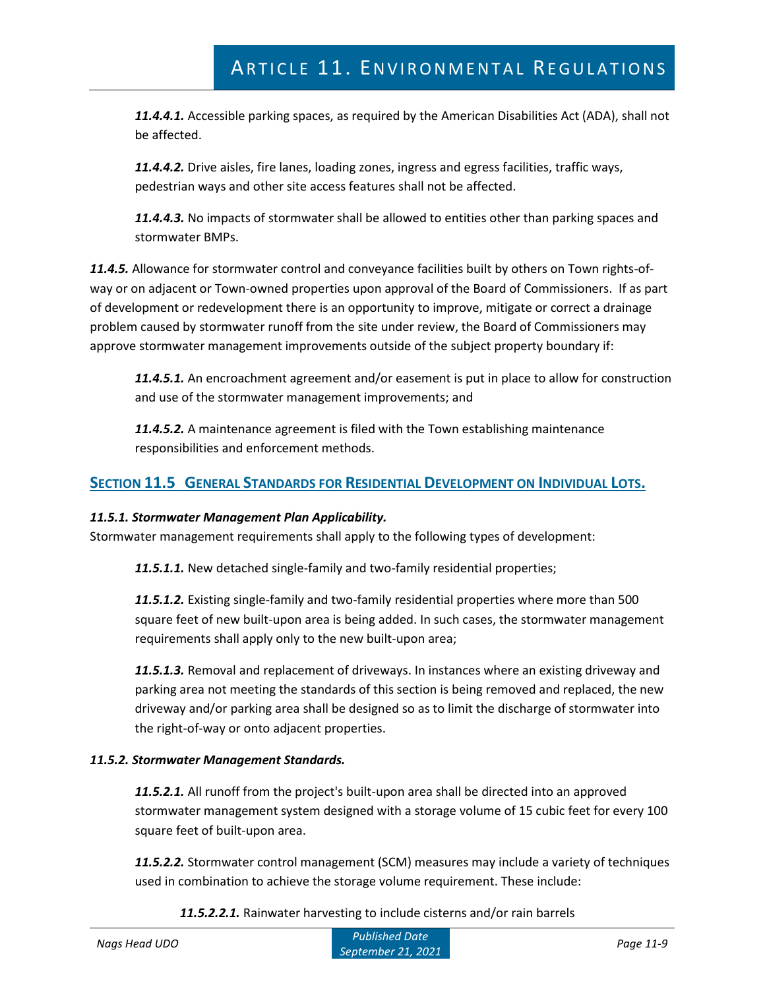*11.4.4.1.* Accessible parking spaces, as required by the American Disabilities Act (ADA), shall not be affected.

*11.4.4.2.* Drive aisles, fire lanes, loading zones, ingress and egress facilities, traffic ways, pedestrian ways and other site access features shall not be affected.

*11.4.4.3.* No impacts of stormwater shall be allowed to entities other than parking spaces and stormwater BMPs.

*11.4.5.* Allowance for stormwater control and conveyance facilities built by others on Town rights-ofway or on adjacent or Town-owned properties upon approval of the Board of Commissioners. If as part of development or redevelopment there is an opportunity to improve, mitigate or correct a drainage problem caused by stormwater runoff from the site under review, the Board of Commissioners may approve stormwater management improvements outside of the subject property boundary if:

*11.4.5.1.* An encroachment agreement and/or easement is put in place to allow for construction and use of the stormwater management improvements; and

*11.4.5.2.* A maintenance agreement is filed with the Town establishing maintenance responsibilities and enforcement methods.

# **SECTION 11.5 GENERAL STANDARDS FOR RESIDENTIAL DEVELOPMENT ON INDIVIDUAL LOTS.**

# *11.5.1. Stormwater Management Plan Applicability.*

Stormwater management requirements shall apply to the following types of development:

*11.5.1.1.* New detached single-family and two-family residential properties;

*11.5.1.2.* Existing single-family and two-family residential properties where more than 500 square feet of new built-upon area is being added. In such cases, the stormwater management requirements shall apply only to the new built-upon area;

*11.5.1.3.* Removal and replacement of driveways. In instances where an existing driveway and parking area not meeting the standards of this section is being removed and replaced, the new driveway and/or parking area shall be designed so as to limit the discharge of stormwater into the right-of-way or onto adjacent properties.

# *11.5.2. Stormwater Management Standards.*

*11.5.2.1.* All runoff from the project's built-upon area shall be directed into an approved stormwater management system designed with a storage volume of 15 cubic feet for every 100 square feet of built-upon area.

*11.5.2.2.* Stormwater control management (SCM) measures may include a variety of techniques used in combination to achieve the storage volume requirement. These include:

*11.5.2.2.1.* Rainwater harvesting to include cisterns and/or rain barrels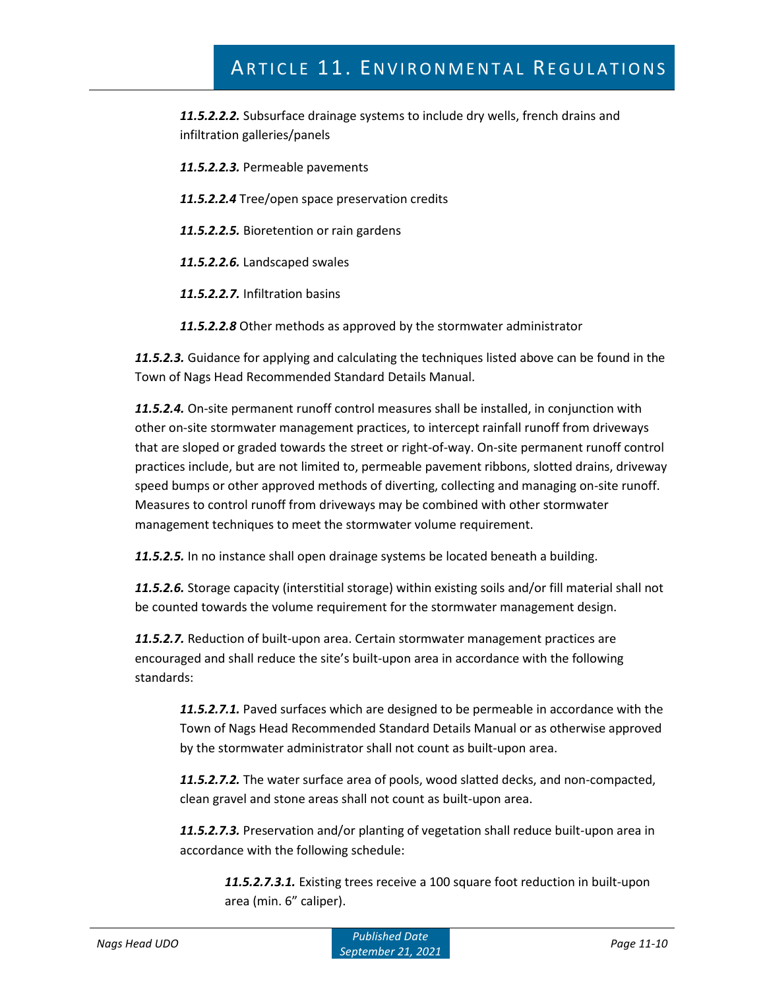*11.5.2.2.2.* Subsurface drainage systems to include dry wells, french drains and infiltration galleries/panels

*11.5.2.2.3.* Permeable pavements

- *11.5.2.2.4* Tree/open space preservation credits
- *11.5.2.2.5.* Bioretention or rain gardens

*11.5.2.2.6.* Landscaped swales

*11.5.2.2.7.* Infiltration basins

*11.5.2.2.8* Other methods as approved by the stormwater administrator

*11.5.2.3.* Guidance for applying and calculating the techniques listed above can be found in the Town of Nags Head Recommended Standard Details Manual.

*11.5.2.4.* On-site permanent runoff control measures shall be installed, in conjunction with other on-site stormwater management practices, to intercept rainfall runoff from driveways that are sloped or graded towards the street or right-of-way. On-site permanent runoff control practices include, but are not limited to, permeable pavement ribbons, slotted drains, driveway speed bumps or other approved methods of diverting, collecting and managing on-site runoff. Measures to control runoff from driveways may be combined with other stormwater management techniques to meet the stormwater volume requirement.

*11.5.2.5.* In no instance shall open drainage systems be located beneath a building.

*11.5.2.6.* Storage capacity (interstitial storage) within existing soils and/or fill material shall not be counted towards the volume requirement for the stormwater management design.

*11.5.2.7.* Reduction of built-upon area. Certain stormwater management practices are encouraged and shall reduce the site's built-upon area in accordance with the following standards:

*11.5.2.7.1.* Paved surfaces which are designed to be permeable in accordance with the Town of Nags Head Recommended Standard Details Manual or as otherwise approved by the stormwater administrator shall not count as built-upon area.

*11.5.2.7.2.* The water surface area of pools, wood slatted decks, and non-compacted, clean gravel and stone areas shall not count as built-upon area.

*11.5.2.7.3.* Preservation and/or planting of vegetation shall reduce built-upon area in accordance with the following schedule:

*11.5.2.7.3.1.* Existing trees receive a 100 square foot reduction in built-upon area (min. 6" caliper).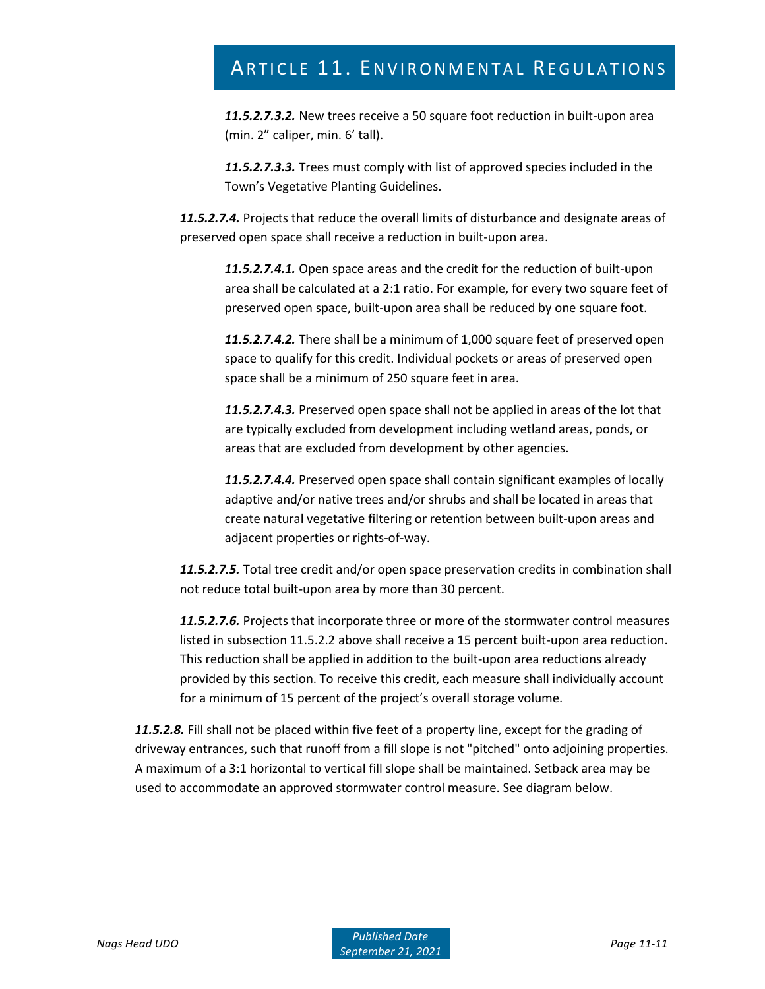*11.5.2.7.3.2.* New trees receive a 50 square foot reduction in built-upon area (min. 2" caliper, min. 6' tall).

*11.5.2.7.3.3.* Trees must comply with list of approved species included in the Town's Vegetative Planting Guidelines.

*11.5.2.7.4.* Projects that reduce the overall limits of disturbance and designate areas of preserved open space shall receive a reduction in built-upon area.

*11.5.2.7.4.1.* Open space areas and the credit for the reduction of built-upon area shall be calculated at a 2:1 ratio. For example, for every two square feet of preserved open space, built-upon area shall be reduced by one square foot.

*11.5.2.7.4.2.* There shall be a minimum of 1,000 square feet of preserved open space to qualify for this credit. Individual pockets or areas of preserved open space shall be a minimum of 250 square feet in area.

*11.5.2.7.4.3.* Preserved open space shall not be applied in areas of the lot that are typically excluded from development including wetland areas, ponds, or areas that are excluded from development by other agencies.

*11.5.2.7.4.4.* Preserved open space shall contain significant examples of locally adaptive and/or native trees and/or shrubs and shall be located in areas that create natural vegetative filtering or retention between built-upon areas and adjacent properties or rights-of-way.

*11.5.2.7.5.* Total tree credit and/or open space preservation credits in combination shall not reduce total built-upon area by more than 30 percent.

*11.5.2.7.6.* Projects that incorporate three or more of the stormwater control measures listed in subsection 11.5.2.2 above shall receive a 15 percent built-upon area reduction. This reduction shall be applied in addition to the built-upon area reductions already provided by this section. To receive this credit, each measure shall individually account for a minimum of 15 percent of the project's overall storage volume.

*11.5.2.8.* Fill shall not be placed within five feet of a property line, except for the grading of driveway entrances, such that runoff from a fill slope is not "pitched" onto adjoining properties. A maximum of a 3:1 horizontal to vertical fill slope shall be maintained. Setback area may be used to accommodate an approved stormwater control measure. See diagram below.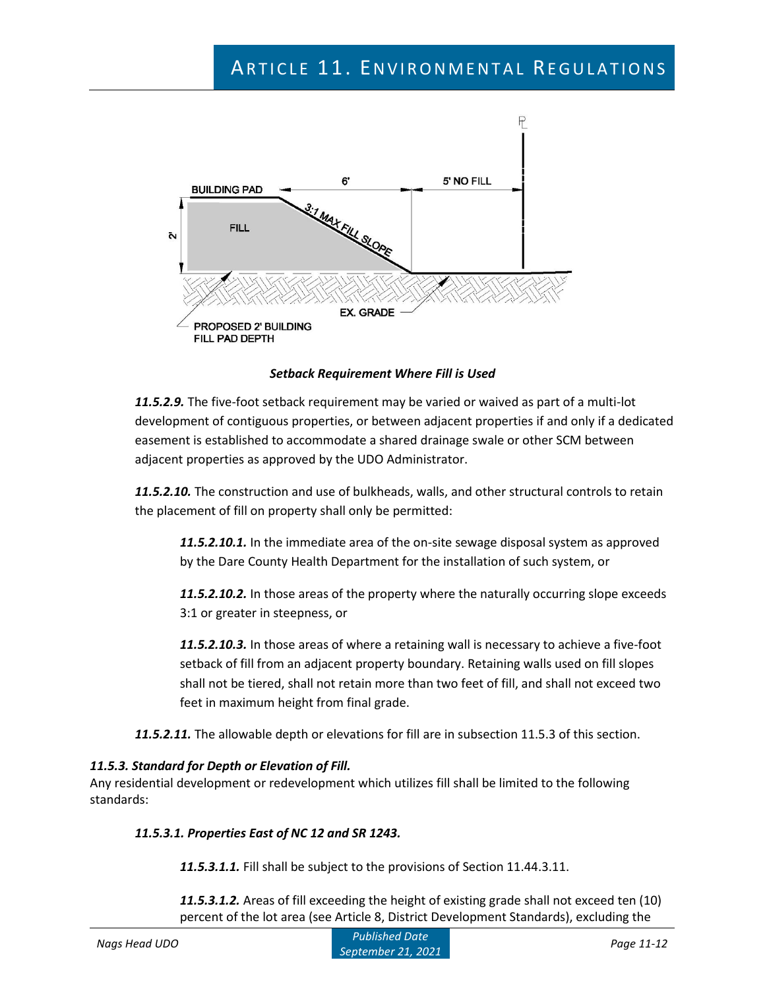

*Setback Requirement Where Fill is Used*

*11.5.2.9.* The five-foot setback requirement may be varied or waived as part of a multi-lot development of contiguous properties, or between adjacent properties if and only if a dedicated easement is established to accommodate a shared drainage swale or other SCM between adjacent properties as approved by the UDO Administrator.

*11.5.2.10.* The construction and use of bulkheads, walls, and other structural controls to retain the placement of fill on property shall only be permitted:

*11.5.2.10.1.* In the immediate area of the on-site sewage disposal system as approved by the Dare County Health Department for the installation of such system, or

*11.5.2.10.2.* In those areas of the property where the naturally occurring slope exceeds 3:1 or greater in steepness, or

*11.5.2.10.3.* In those areas of where a retaining wall is necessary to achieve a five-foot setback of fill from an adjacent property boundary. Retaining walls used on fill slopes shall not be tiered, shall not retain more than two feet of fill, and shall not exceed two feet in maximum height from final grade.

*11.5.2.11.* The allowable depth or elevations for fill are in subsection 11.5.3 of this section.

## *11.5.3. Standard for Depth or Elevation of Fill.*

Any residential development or redevelopment which utilizes fill shall be limited to the following standards:

## *11.5.3.1. Properties East of NC 12 and SR 1243.*

*11.5.3.1.1.* Fill shall be subject to the provisions of Section 11.44.3.11.

*11.5.3.1.2.* Areas of fill exceeding the height of existing grade shall not exceed ten (10) percent of the lot area (see Article 8, District Development Standards), excluding the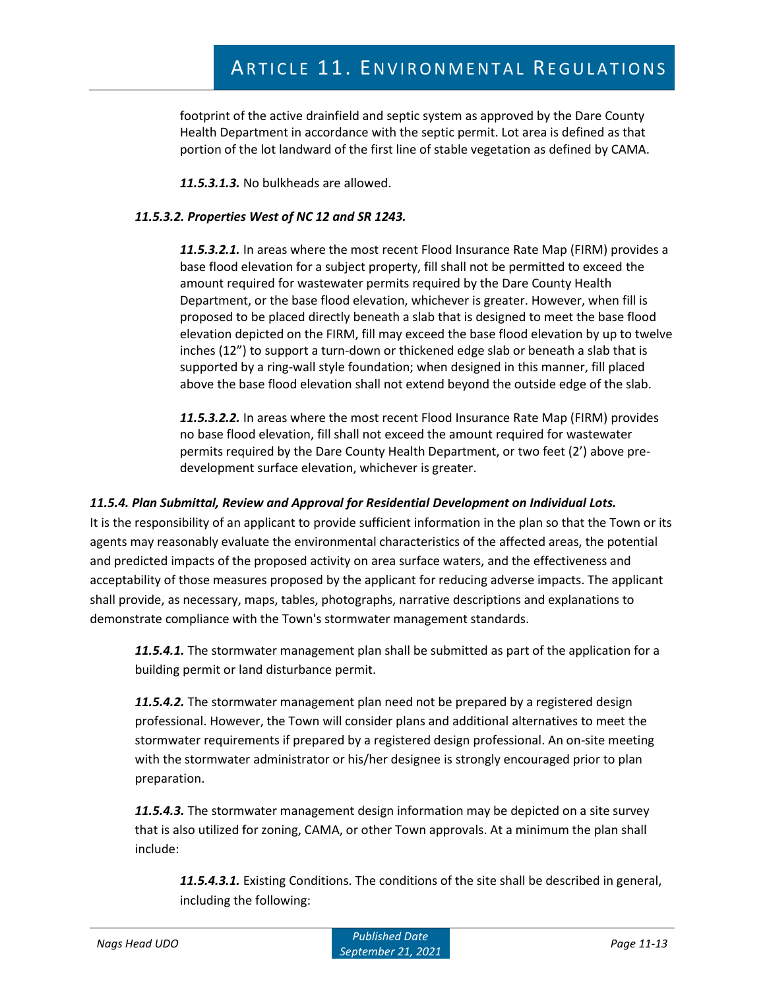footprint of the active drainfield and septic system as approved by the Dare County Health Department in accordance with the septic permit. Lot area is defined as that portion of the lot landward of the first line of stable vegetation as defined by CAMA.

*11.5.3.1.3.* No bulkheads are allowed.

## *11.5.3.2. Properties West of NC 12 and SR 1243.*

*11.5.3.2.1.* In areas where the most recent Flood Insurance Rate Map (FIRM) provides a base flood elevation for a subject property, fill shall not be permitted to exceed the amount required for wastewater permits required by the Dare County Health Department, or the base flood elevation, whichever is greater. However, when fill is proposed to be placed directly beneath a slab that is designed to meet the base flood elevation depicted on the FIRM, fill may exceed the base flood elevation by up to twelve inches (12") to support a turn-down or thickened edge slab or beneath a slab that is supported by a ring-wall style foundation; when designed in this manner, fill placed above the base flood elevation shall not extend beyond the outside edge of the slab.

*11.5.3.2.2.* In areas where the most recent Flood Insurance Rate Map (FIRM) provides no base flood elevation, fill shall not exceed the amount required for wastewater permits required by the Dare County Health Department, or two feet (2') above predevelopment surface elevation, whichever is greater.

## *11.5.4. Plan Submittal, Review and Approval for Residential Development on Individual Lots.*

It is the responsibility of an applicant to provide sufficient information in the plan so that the Town or its agents may reasonably evaluate the environmental characteristics of the affected areas, the potential and predicted impacts of the proposed activity on area surface waters, and the effectiveness and acceptability of those measures proposed by the applicant for reducing adverse impacts. The applicant shall provide, as necessary, maps, tables, photographs, narrative descriptions and explanations to demonstrate compliance with the Town's stormwater management standards.

*11.5.4.1.* The stormwater management plan shall be submitted as part of the application for a building permit or land disturbance permit.

*11.5.4.2.* The stormwater management plan need not be prepared by a registered design professional. However, the Town will consider plans and additional alternatives to meet the stormwater requirements if prepared by a registered design professional. An on-site meeting with the stormwater administrator or his/her designee is strongly encouraged prior to plan preparation.

*11.5.4.3.* The stormwater management design information may be depicted on a site survey that is also utilized for zoning, CAMA, or other Town approvals. At a minimum the plan shall include:

*11.5.4.3.1.* Existing Conditions. The conditions of the site shall be described in general, including the following: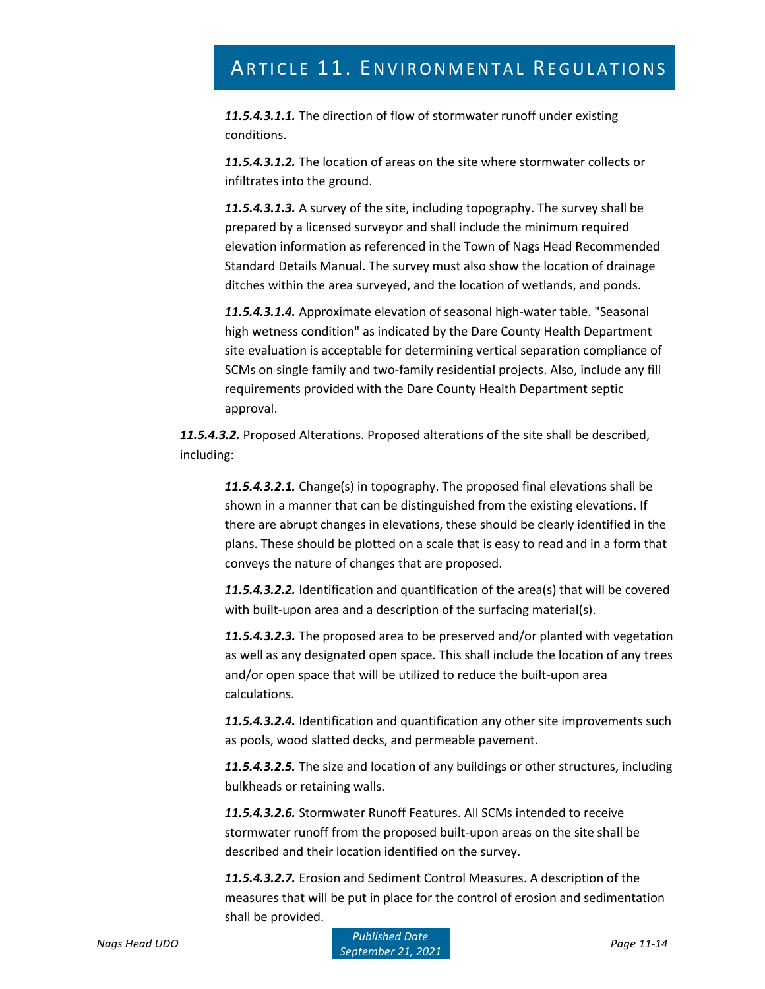*11.5.4.3.1.1.* The direction of flow of stormwater runoff under existing conditions.

*11.5.4.3.1.2.* The location of areas on the site where stormwater collects or infiltrates into the ground.

*11.5.4.3.1.3.* A survey of the site, including topography. The survey shall be prepared by a licensed surveyor and shall include the minimum required elevation information as referenced in the Town of Nags Head Recommended Standard Details Manual. The survey must also show the location of drainage ditches within the area surveyed, and the location of wetlands, and ponds.

*11.5.4.3.1.4.* Approximate elevation of seasonal high-water table. "Seasonal high wetness condition" as indicated by the Dare County Health Department site evaluation is acceptable for determining vertical separation compliance of SCMs on single family and two-family residential projects. Also, include any fill requirements provided with the Dare County Health Department septic approval.

*11.5.4.3.2.* Proposed Alterations. Proposed alterations of the site shall be described, including:

*11.5.4.3.2.1.* Change(s) in topography. The proposed final elevations shall be shown in a manner that can be distinguished from the existing elevations. If there are abrupt changes in elevations, these should be clearly identified in the plans. These should be plotted on a scale that is easy to read and in a form that conveys the nature of changes that are proposed.

*11.5.4.3.2.2.* Identification and quantification of the area(s) that will be covered with built-upon area and a description of the surfacing material(s).

*11.5.4.3.2.3.* The proposed area to be preserved and/or planted with vegetation as well as any designated open space. This shall include the location of any trees and/or open space that will be utilized to reduce the built-upon area calculations.

*11.5.4.3.2.4.* Identification and quantification any other site improvements such as pools, wood slatted decks, and permeable pavement.

*11.5.4.3.2.5.* The size and location of any buildings or other structures, including bulkheads or retaining walls.

*11.5.4.3.2.6.* Stormwater Runoff Features. All SCMs intended to receive stormwater runoff from the proposed built-upon areas on the site shall be described and their location identified on the survey.

*11.5.4.3.2.7.* Erosion and Sediment Control Measures. A description of the measures that will be put in place for the control of erosion and sedimentation shall be provided.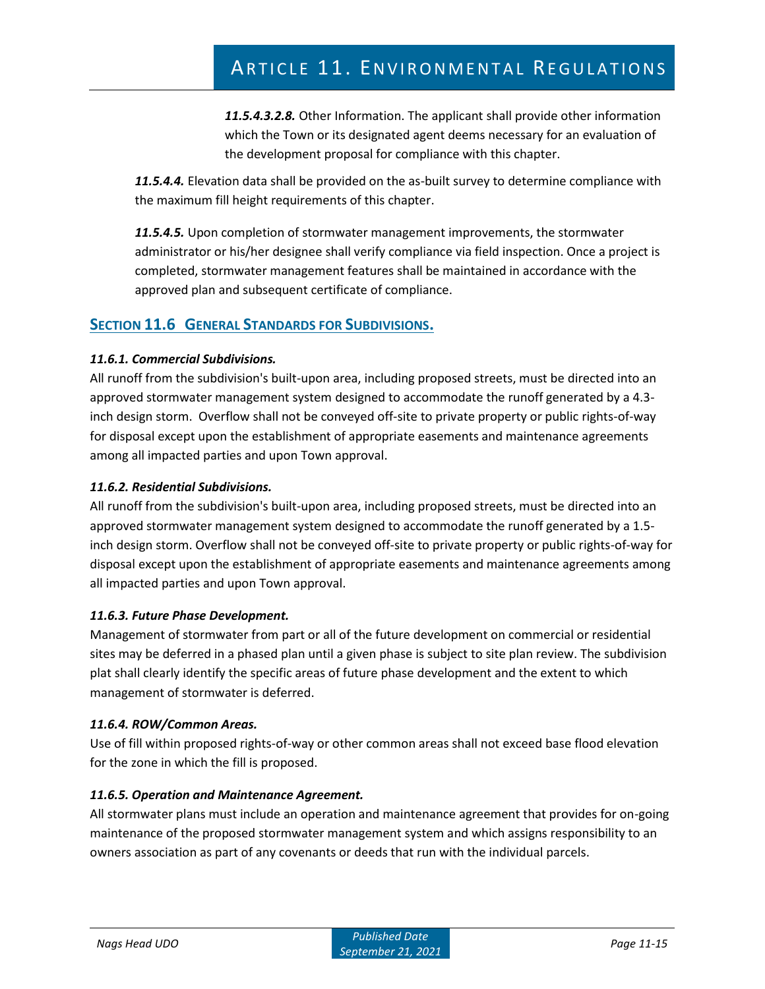*11.5.4.3.2.8.* Other Information. The applicant shall provide other information which the Town or its designated agent deems necessary for an evaluation of the development proposal for compliance with this chapter.

*11.5.4.4.* Elevation data shall be provided on the as-built survey to determine compliance with the maximum fill height requirements of this chapter.

*11.5.4.5.* Upon completion of stormwater management improvements, the stormwater administrator or his/her designee shall verify compliance via field inspection. Once a project is completed, stormwater management features shall be maintained in accordance with the approved plan and subsequent certificate of compliance.

# **SECTION 11.6 GENERAL STANDARDS FOR SUBDIVISIONS.**

# *11.6.1. Commercial Subdivisions.*

All runoff from the subdivision's built-upon area, including proposed streets, must be directed into an approved stormwater management system designed to accommodate the runoff generated by a 4.3 inch design storm. Overflow shall not be conveyed off-site to private property or public rights-of-way for disposal except upon the establishment of appropriate easements and maintenance agreements among all impacted parties and upon Town approval.

# *11.6.2. Residential Subdivisions.*

All runoff from the subdivision's built-upon area, including proposed streets, must be directed into an approved stormwater management system designed to accommodate the runoff generated by a 1.5 inch design storm. Overflow shall not be conveyed off-site to private property or public rights-of-way for disposal except upon the establishment of appropriate easements and maintenance agreements among all impacted parties and upon Town approval.

## *11.6.3. Future Phase Development.*

Management of stormwater from part or all of the future development on commercial or residential sites may be deferred in a phased plan until a given phase is subject to site plan review. The subdivision plat shall clearly identify the specific areas of future phase development and the extent to which management of stormwater is deferred.

## *11.6.4. ROW/Common Areas.*

Use of fill within proposed rights-of-way or other common areas shall not exceed base flood elevation for the zone in which the fill is proposed.

# *11.6.5. Operation and Maintenance Agreement.*

All stormwater plans must include an operation and maintenance agreement that provides for on-going maintenance of the proposed stormwater management system and which assigns responsibility to an owners association as part of any covenants or deeds that run with the individual parcels.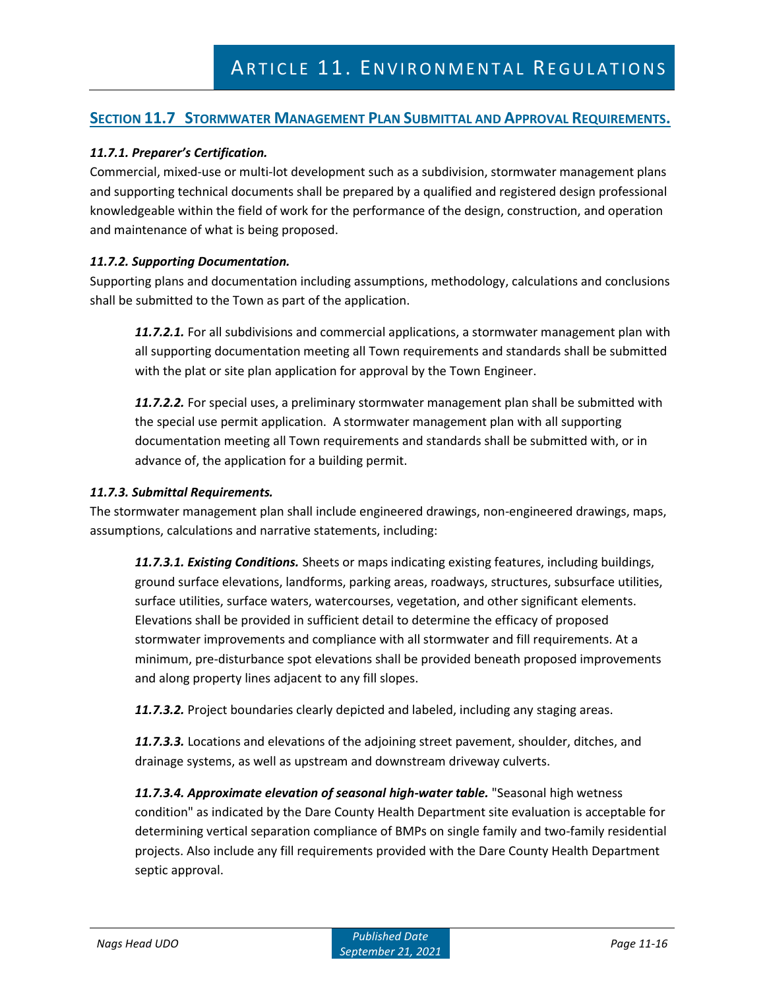# **SECTION 11.7 STORMWATER MANAGEMENT PLAN SUBMITTAL AND APPROVAL REQUIREMENTS.**

# *11.7.1. Preparer's Certification.*

Commercial, mixed-use or multi-lot development such as a subdivision, stormwater management plans and supporting technical documents shall be prepared by a qualified and registered design professional knowledgeable within the field of work for the performance of the design, construction, and operation and maintenance of what is being proposed.

## *11.7.2. Supporting Documentation.*

Supporting plans and documentation including assumptions, methodology, calculations and conclusions shall be submitted to the Town as part of the application.

*11.7.2.1.* For all subdivisions and commercial applications, a stormwater management plan with all supporting documentation meeting all Town requirements and standards shall be submitted with the plat or site plan application for approval by the Town Engineer.

*11.7.2.2.* For special uses, a preliminary stormwater management plan shall be submitted with the special use permit application. A stormwater management plan with all supporting documentation meeting all Town requirements and standards shall be submitted with, or in advance of, the application for a building permit.

#### *11.7.3. Submittal Requirements.*

The stormwater management plan shall include engineered drawings, non-engineered drawings, maps, assumptions, calculations and narrative statements, including:

*11.7.3.1. Existing Conditions.* Sheets or maps indicating existing features, including buildings, ground surface elevations, landforms, parking areas, roadways, structures, subsurface utilities, surface utilities, surface waters, watercourses, vegetation, and other significant elements. Elevations shall be provided in sufficient detail to determine the efficacy of proposed stormwater improvements and compliance with all stormwater and fill requirements. At a minimum, pre-disturbance spot elevations shall be provided beneath proposed improvements and along property lines adjacent to any fill slopes.

*11.7.3.2.* Project boundaries clearly depicted and labeled, including any staging areas.

*11.7.3.3.* Locations and elevations of the adjoining street pavement, shoulder, ditches, and drainage systems, as well as upstream and downstream driveway culverts.

*11.7.3.4. Approximate elevation of seasonal high-water table.* "Seasonal high wetness condition" as indicated by the Dare County Health Department site evaluation is acceptable for determining vertical separation compliance of BMPs on single family and two-family residential projects. Also include any fill requirements provided with the Dare County Health Department septic approval.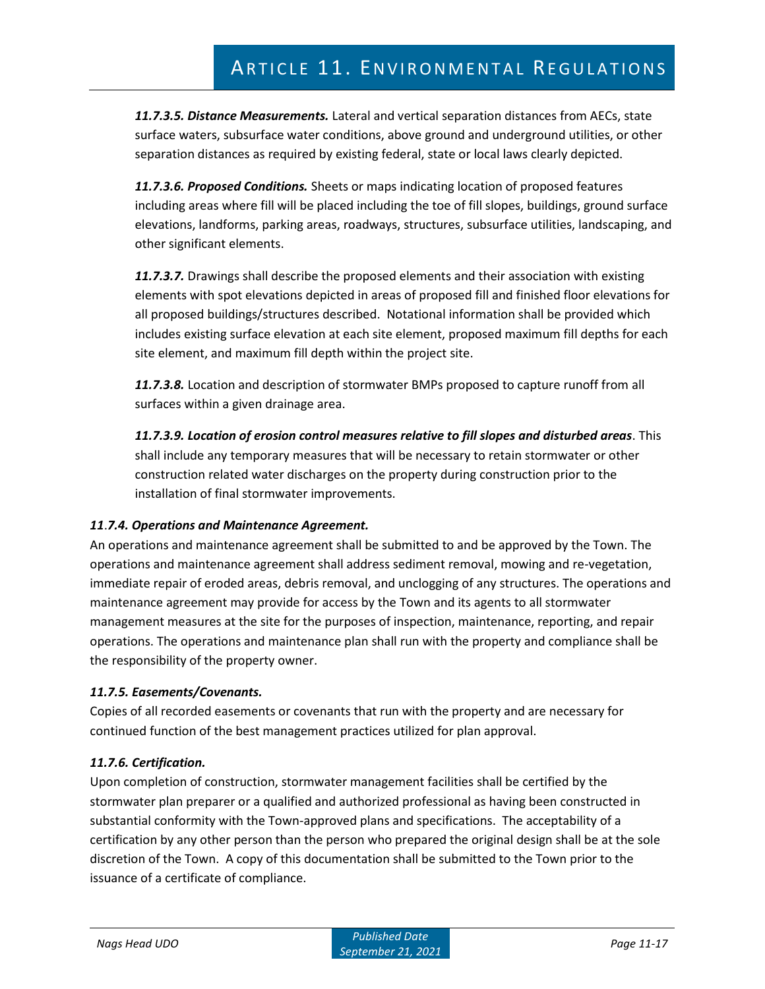*11.7.3.5. Distance Measurements.* Lateral and vertical separation distances from AECs, state surface waters, subsurface water conditions, above ground and underground utilities, or other separation distances as required by existing federal, state or local laws clearly depicted.

*11.7.3.6. Proposed Conditions.* Sheets or maps indicating location of proposed features including areas where fill will be placed including the toe of fill slopes, buildings, ground surface elevations, landforms, parking areas, roadways, structures, subsurface utilities, landscaping, and other significant elements.

*11.7.3.7.* Drawings shall describe the proposed elements and their association with existing elements with spot elevations depicted in areas of proposed fill and finished floor elevations for all proposed buildings/structures described. Notational information shall be provided which includes existing surface elevation at each site element, proposed maximum fill depths for each site element, and maximum fill depth within the project site.

*11.7.3.8.* Location and description of stormwater BMPs proposed to capture runoff from all surfaces within a given drainage area.

*11.7.3.9. Location of erosion control measures relative to fill slopes and disturbed areas*. This shall include any temporary measures that will be necessary to retain stormwater or other construction related water discharges on the property during construction prior to the installation of final stormwater improvements.

# *11*.*7.4. Operations and Maintenance Agreement.*

An operations and maintenance agreement shall be submitted to and be approved by the Town. The operations and maintenance agreement shall address sediment removal, mowing and re-vegetation, immediate repair of eroded areas, debris removal, and unclogging of any structures. The operations and maintenance agreement may provide for access by the Town and its agents to all stormwater management measures at the site for the purposes of inspection, maintenance, reporting, and repair operations. The operations and maintenance plan shall run with the property and compliance shall be the responsibility of the property owner.

# *11.7.5. Easements/Covenants.*

Copies of all recorded easements or covenants that run with the property and are necessary for continued function of the best management practices utilized for plan approval.

# *11.7.6. Certification.*

Upon completion of construction, stormwater management facilities shall be certified by the stormwater plan preparer or a qualified and authorized professional as having been constructed in substantial conformity with the Town-approved plans and specifications. The acceptability of a certification by any other person than the person who prepared the original design shall be at the sole discretion of the Town. A copy of this documentation shall be submitted to the Town prior to the issuance of a certificate of compliance.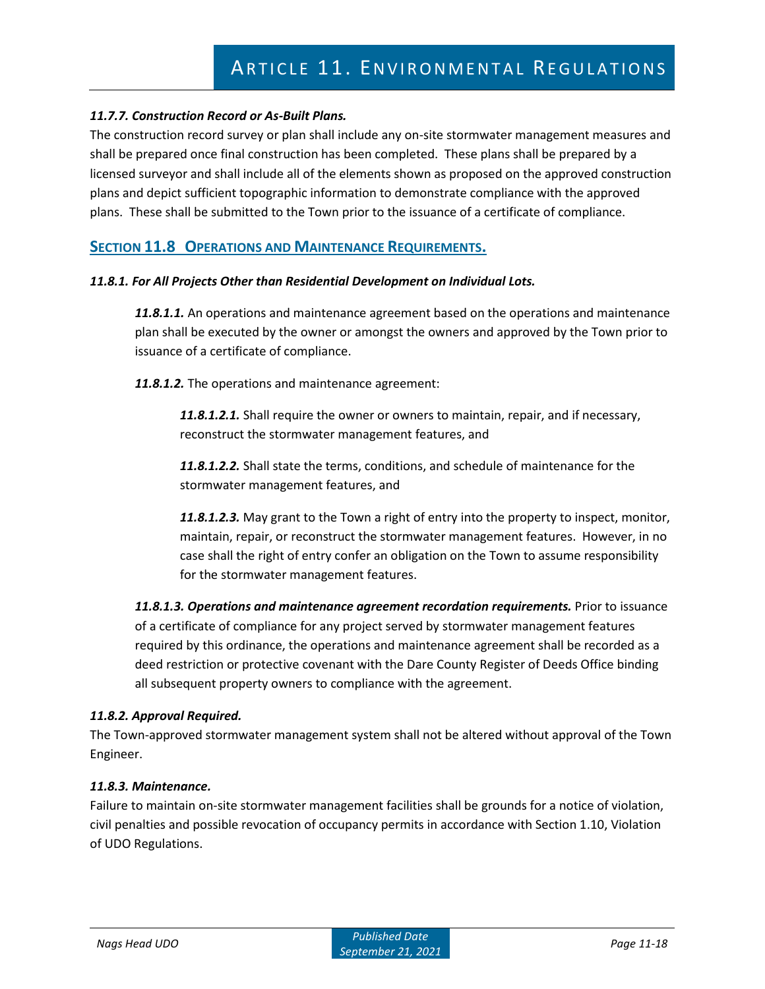## *11.7.7. Construction Record or As-Built Plans.*

The construction record survey or plan shall include any on-site stormwater management measures and shall be prepared once final construction has been completed. These plans shall be prepared by a licensed surveyor and shall include all of the elements shown as proposed on the approved construction plans and depict sufficient topographic information to demonstrate compliance with the approved plans. These shall be submitted to the Town prior to the issuance of a certificate of compliance.

# **SECTION 11.8 OPERATIONS AND MAINTENANCE REQUIREMENTS.**

#### *11.8.1. For All Projects Other than Residential Development on Individual Lots.*

*11.8.1.1.* An operations and maintenance agreement based on the operations and maintenance plan shall be executed by the owner or amongst the owners and approved by the Town prior to issuance of a certificate of compliance.

*11.8.1.2.* The operations and maintenance agreement:

*11.8.1.2.1.* Shall require the owner or owners to maintain, repair, and if necessary, reconstruct the stormwater management features, and

*11.8.1.2.2.* Shall state the terms, conditions, and schedule of maintenance for the stormwater management features, and

*11.8.1.2.3.* May grant to the Town a right of entry into the property to inspect, monitor, maintain, repair, or reconstruct the stormwater management features. However, in no case shall the right of entry confer an obligation on the Town to assume responsibility for the stormwater management features.

*11.8.1.3. Operations and maintenance agreement recordation requirements.* Prior to issuance of a certificate of compliance for any project served by stormwater management features required by this ordinance, the operations and maintenance agreement shall be recorded as a deed restriction or protective covenant with the Dare County Register of Deeds Office binding all subsequent property owners to compliance with the agreement.

#### *11.8.2. Approval Required.*

The Town-approved stormwater management system shall not be altered without approval of the Town Engineer.

#### *11.8.3. Maintenance.*

Failure to maintain on-site stormwater management facilities shall be grounds for a notice of violation, civil penalties and possible revocation of occupancy permits in accordance with Section 1.10, Violation of UDO Regulations.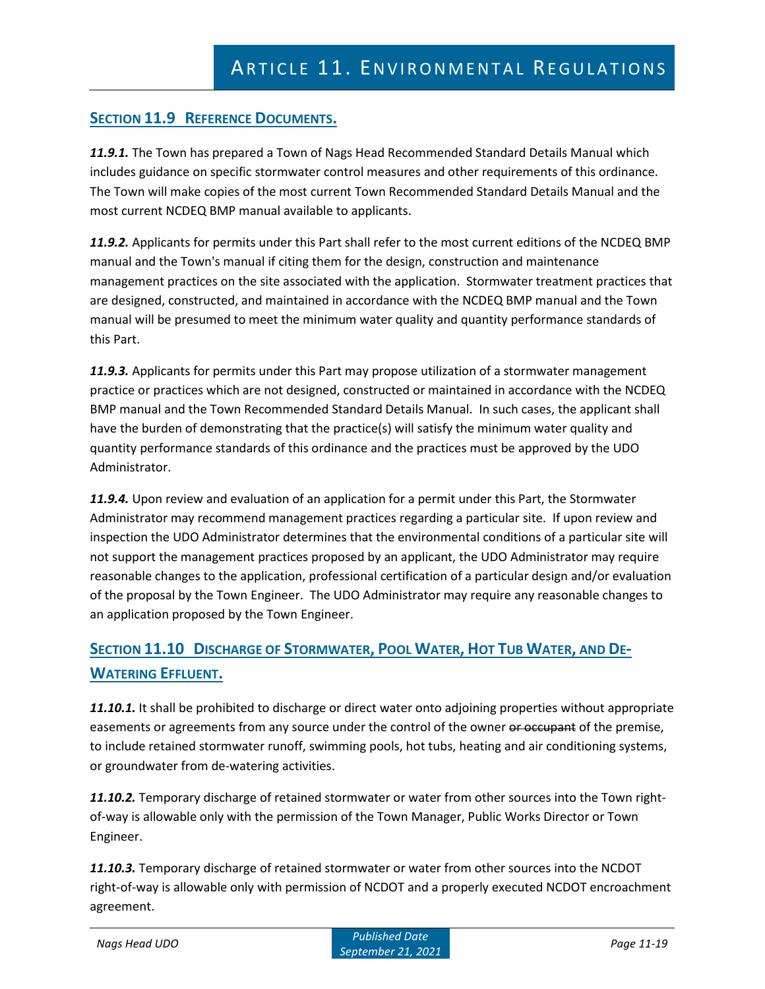# **SECTION 11.9 REFERENCE DOCUMENTS.**

*11.9.1.* The Town has prepared a Town of Nags Head Recommended Standard Details Manual which includes guidance on specific stormwater control measures and other requirements of this ordinance. The Town will make copies of the most current Town Recommended Standard Details Manual and the most current NCDEQ BMP manual available to applicants.

*11.9.2.* Applicants for permits under this Part shall refer to the most current editions of the NCDEQ BMP manual and the Town's manual if citing them for the design, construction and maintenance management practices on the site associated with the application. Stormwater treatment practices that are designed, constructed, and maintained in accordance with the NCDEQ BMP manual and the Town manual will be presumed to meet the minimum water quality and quantity performance standards of this Part.

*11.9.3.* Applicants for permits under this Part may propose utilization of a stormwater management practice or practices which are not designed, constructed or maintained in accordance with the NCDEQ BMP manual and the Town Recommended Standard Details Manual. In such cases, the applicant shall have the burden of demonstrating that the practice(s) will satisfy the minimum water quality and quantity performance standards of this ordinance and the practices must be approved by the UDO Administrator.

*11.9.4.* Upon review and evaluation of an application for a permit under this Part, the Stormwater Administrator may recommend management practices regarding a particular site. If upon review and inspection the UDO Administrator determines that the environmental conditions of a particular site will not support the management practices proposed by an applicant, the UDO Administrator may require reasonable changes to the application, professional certification of a particular design and/or evaluation of the proposal by the Town Engineer. The UDO Administrator may require any reasonable changes to an application proposed by the Town Engineer.

# **SECTION 11.10 DISCHARGE OF STORMWATER, POOL WATER, HOT TUB WATER, AND DE-WATERING EFFLUENT.**

*11.10.1.* It shall be prohibited to discharge or direct water onto adjoining properties without appropriate easements or agreements from any source under the control of the owner or occupant of the premise, to include retained stormwater runoff, swimming pools, hot tubs, heating and air conditioning systems, or groundwater from de-watering activities.

*11.10.2.* Temporary discharge of retained stormwater or water from other sources into the Town rightof-way is allowable only with the permission of the Town Manager, Public Works Director or Town Engineer.

*11.10.3.* Temporary discharge of retained stormwater or water from other sources into the NCDOT right-of-way is allowable only with permission of NCDOT and a properly executed NCDOT encroachment agreement.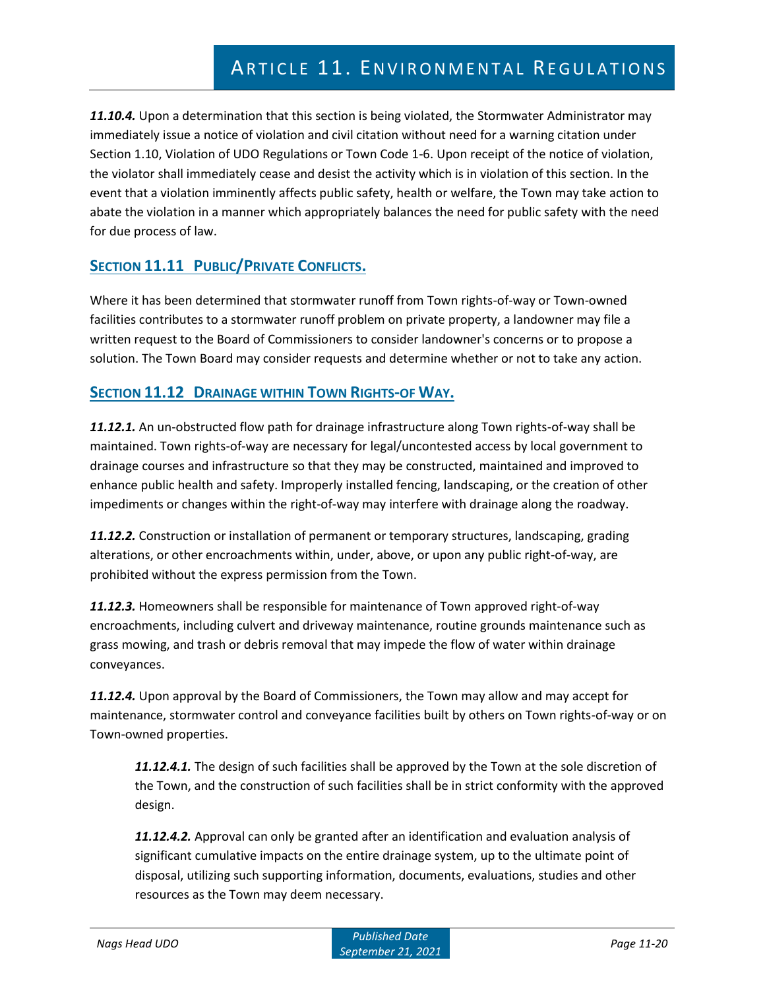*11.10.4.* Upon a determination that this section is being violated, the Stormwater Administrator may immediately issue a notice of violation and civil citation without need for a warning citation under Section 1.10, Violation of UDO Regulations or Town Code 1-6. Upon receipt of the notice of violation, the violator shall immediately cease and desist the activity which is in violation of this section. In the event that a violation imminently affects public safety, health or welfare, the Town may take action to abate the violation in a manner which appropriately balances the need for public safety with the need for due process of law.

# **SECTION 11.11 PUBLIC/PRIVATE CONFLICTS.**

Where it has been determined that stormwater runoff from Town rights-of-way or Town-owned facilities contributes to a stormwater runoff problem on private property, a landowner may file a written request to the Board of Commissioners to consider landowner's concerns or to propose a solution. The Town Board may consider requests and determine whether or not to take any action.

# **SECTION 11.12 DRAINAGE WITHIN TOWN RIGHTS-OF WAY.**

*11.12.1.* An un-obstructed flow path for drainage infrastructure along Town rights-of-way shall be maintained. Town rights-of-way are necessary for legal/uncontested access by local government to drainage courses and infrastructure so that they may be constructed, maintained and improved to enhance public health and safety. Improperly installed fencing, landscaping, or the creation of other impediments or changes within the right-of-way may interfere with drainage along the roadway.

*11.12.2.* Construction or installation of permanent or temporary structures, landscaping, grading alterations, or other encroachments within, under, above, or upon any public right-of-way, are prohibited without the express permission from the Town.

*11.12.3.* Homeowners shall be responsible for maintenance of Town approved right-of-way encroachments, including culvert and driveway maintenance, routine grounds maintenance such as grass mowing, and trash or debris removal that may impede the flow of water within drainage conveyances.

*11.12.4.* Upon approval by the Board of Commissioners, the Town may allow and may accept for maintenance, stormwater control and conveyance facilities built by others on Town rights-of-way or on Town-owned properties.

*11.12.4.1.* The design of such facilities shall be approved by the Town at the sole discretion of the Town, and the construction of such facilities shall be in strict conformity with the approved design.

*11.12.4.2.* Approval can only be granted after an identification and evaluation analysis of significant cumulative impacts on the entire drainage system, up to the ultimate point of disposal, utilizing such supporting information, documents, evaluations, studies and other resources as the Town may deem necessary.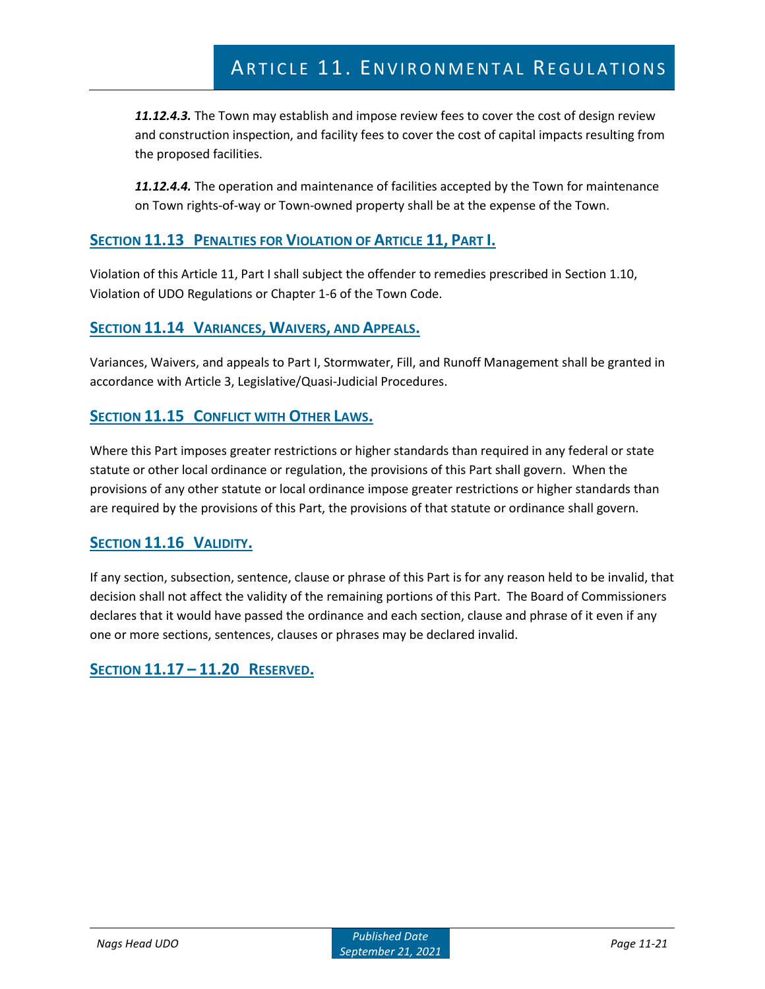*11.12.4.3.* The Town may establish and impose review fees to cover the cost of design review and construction inspection, and facility fees to cover the cost of capital impacts resulting from the proposed facilities.

*11.12.4.4.* The operation and maintenance of facilities accepted by the Town for maintenance on Town rights-of-way or Town-owned property shall be at the expense of the Town.

# **SECTION 11.13 PENALTIES FOR VIOLATION OF ARTICLE 11, PART I.**

Violation of this Article 11, Part I shall subject the offender to remedies prescribed in Section 1.10, Violation of UDO Regulations or Chapter 1-6 of the Town Code.

# **SECTION 11.14 VARIANCES, WAIVERS, AND APPEALS.**

Variances, Waivers, and appeals to Part I, Stormwater, Fill, and Runoff Management shall be granted in accordance with Article 3, Legislative/Quasi-Judicial Procedures.

# **SECTION 11.15 CONFLICT WITH OTHER LAWS.**

Where this Part imposes greater restrictions or higher standards than required in any federal or state statute or other local ordinance or regulation, the provisions of this Part shall govern. When the provisions of any other statute or local ordinance impose greater restrictions or higher standards than are required by the provisions of this Part, the provisions of that statute or ordinance shall govern.

# **SECTION 11.16 VALIDITY.**

If any section, subsection, sentence, clause or phrase of this Part is for any reason held to be invalid, that decision shall not affect the validity of the remaining portions of this Part. The Board of Commissioners declares that it would have passed the ordinance and each section, clause and phrase of it even if any one or more sections, sentences, clauses or phrases may be declared invalid.

**SECTION 11.17 – 11.20 RESERVED.**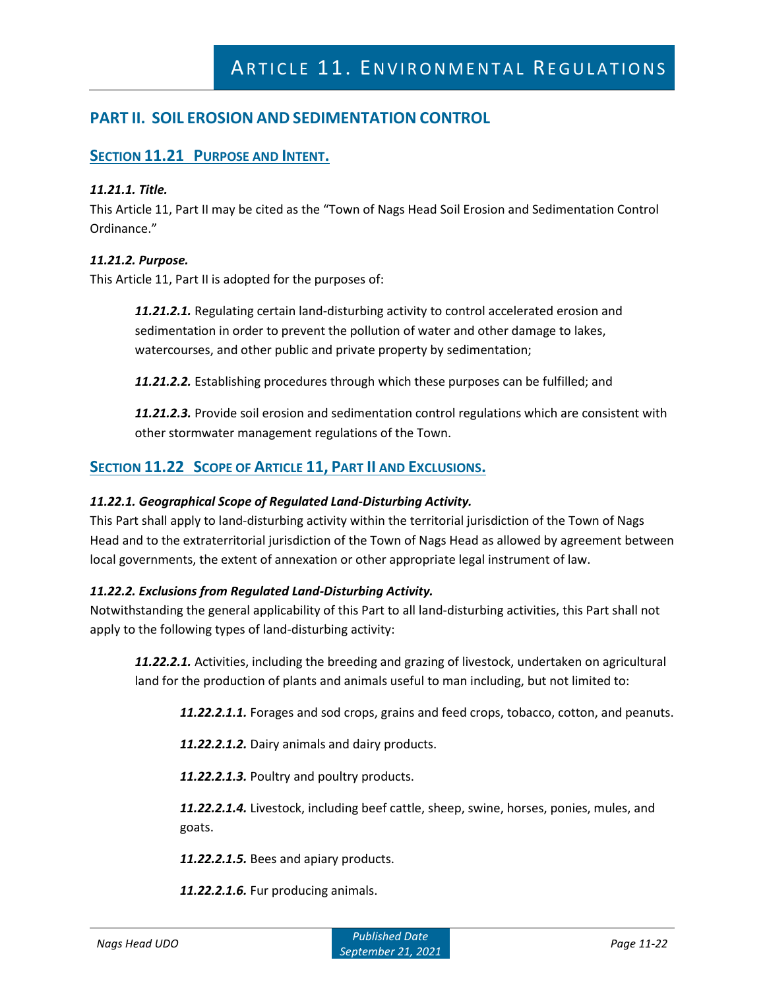# **PART II. SOIL EROSION AND SEDIMENTATION CONTROL**

# **SECTION 11.21 PURPOSE AND INTENT.**

#### *11.21.1. Title.*

This Article 11, Part II may be cited as the "Town of Nags Head Soil Erosion and Sedimentation Control Ordinance."

## *11.21.2. Purpose.*

This Article 11, Part II is adopted for the purposes of:

*11.21.2.1.* Regulating certain land-disturbing activity to control accelerated erosion and sedimentation in order to prevent the pollution of water and other damage to lakes, watercourses, and other public and private property by sedimentation;

*11.21.2.2.* Establishing procedures through which these purposes can be fulfilled; and

*11.21.2.3.* Provide soil erosion and sedimentation control regulations which are consistent with other stormwater management regulations of the Town.

# **SECTION 11.22 SCOPE OF ARTICLE 11, PART II AND EXCLUSIONS.**

## *11.22.1. Geographical Scope of Regulated Land-Disturbing Activity.*

This Part shall apply to land-disturbing activity within the territorial jurisdiction of the Town of Nags Head and to the extraterritorial jurisdiction of the Town of Nags Head as allowed by agreement between local governments, the extent of annexation or other appropriate legal instrument of law.

## *11.22.2. Exclusions from Regulated Land-Disturbing Activity.*

Notwithstanding the general applicability of this Part to all land-disturbing activities, this Part shall not apply to the following types of land-disturbing activity:

*11.22.2.1.* Activities, including the breeding and grazing of livestock, undertaken on agricultural land for the production of plants and animals useful to man including, but not limited to:

*11.22.2.1.1.* Forages and sod crops, grains and feed crops, tobacco, cotton, and peanuts.

*11.22.2.1.2.* Dairy animals and dairy products.

*11.22.2.1.3.* Poultry and poultry products.

*11.22.2.1.4.* Livestock, including beef cattle, sheep, swine, horses, ponies, mules, and goats.

*11.22.2.1.5.* Bees and apiary products.

*11.22.2.1.6.* Fur producing animals.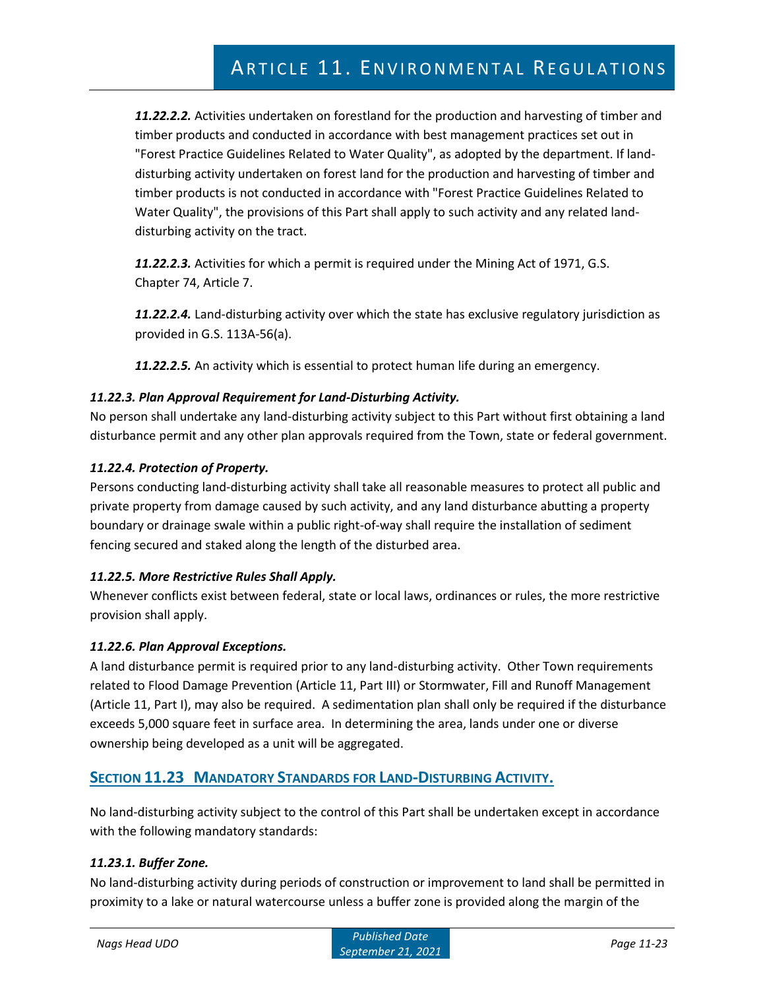*11.22.2.2.* Activities undertaken on forestland for the production and harvesting of timber and timber products and conducted in accordance with best management practices set out in "Forest Practice Guidelines Related to Water Quality", as adopted by the department. If landdisturbing activity undertaken on forest land for the production and harvesting of timber and timber products is not conducted in accordance with "Forest Practice Guidelines Related to Water Quality", the provisions of this Part shall apply to such activity and any related landdisturbing activity on the tract.

*11.22.2.3.* Activities for which a permit is required under the Mining Act of 1971, G.S. Chapter 74, Article 7.

*11.22.2.4.* Land-disturbing activity over which the state has exclusive regulatory jurisdiction as provided in G.S. 113A-56(a).

*11.22.2.5.* An activity which is essential to protect human life during an emergency.

# *11.22.3. Plan Approval Requirement for Land-Disturbing Activity.*

No person shall undertake any land-disturbing activity subject to this Part without first obtaining a land disturbance permit and any other plan approvals required from the Town, state or federal government.

# *11.22.4. Protection of Property.*

Persons conducting land-disturbing activity shall take all reasonable measures to protect all public and private property from damage caused by such activity, and any land disturbance abutting a property boundary or drainage swale within a public right-of-way shall require the installation of sediment fencing secured and staked along the length of the disturbed area.

# *11.22.5. More Restrictive Rules Shall Apply.*

Whenever conflicts exist between federal, state or local laws, ordinances or rules, the more restrictive provision shall apply.

## *11.22.6. Plan Approval Exceptions.*

A land disturbance permit is required prior to any land-disturbing activity. Other Town requirements related to Flood Damage Prevention (Article 11, Part III) or Stormwater, Fill and Runoff Management (Article 11, Part I), may also be required. A sedimentation plan shall only be required if the disturbance exceeds 5,000 square feet in surface area. In determining the area, lands under one or diverse ownership being developed as a unit will be aggregated.

# **SECTION 11.23 MANDATORY STANDARDS FOR LAND-DISTURBING ACTIVITY.**

No land-disturbing activity subject to the control of this Part shall be undertaken except in accordance with the following mandatory standards:

## *11.23.1. Buffer Zone.*

No land-disturbing activity during periods of construction or improvement to land shall be permitted in proximity to a lake or natural watercourse unless a buffer zone is provided along the margin of the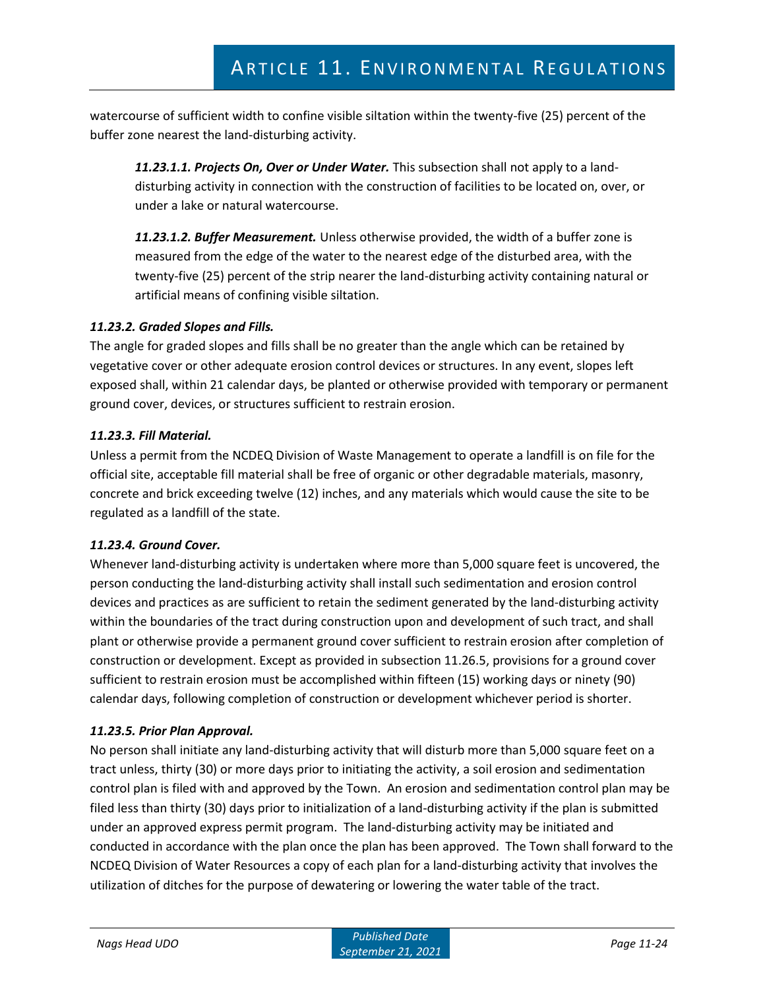watercourse of sufficient width to confine visible siltation within the twenty-five (25) percent of the buffer zone nearest the land-disturbing activity.

*11.23.1.1. Projects On, Over or Under Water.* This subsection shall not apply to a landdisturbing activity in connection with the construction of facilities to be located on, over, or under a lake or natural watercourse.

*11.23.1.2. Buffer Measurement.* Unless otherwise provided, the width of a buffer zone is measured from the edge of the water to the nearest edge of the disturbed area, with the twenty-five (25) percent of the strip nearer the land-disturbing activity containing natural or artificial means of confining visible siltation.

# *11.23.2. Graded Slopes and Fills.*

The angle for graded slopes and fills shall be no greater than the angle which can be retained by vegetative cover or other adequate erosion control devices or structures. In any event, slopes left exposed shall, within 21 calendar days, be planted or otherwise provided with temporary or permanent ground cover, devices, or structures sufficient to restrain erosion.

## *11.23.3. Fill Material.*

Unless a permit from the NCDEQ Division of Waste Management to operate a landfill is on file for the official site, acceptable fill material shall be free of organic or other degradable materials, masonry, concrete and brick exceeding twelve (12) inches, and any materials which would cause the site to be regulated as a landfill of the state.

## *11.23.4. Ground Cover.*

Whenever land-disturbing activity is undertaken where more than 5,000 square feet is uncovered, the person conducting the land-disturbing activity shall install such sedimentation and erosion control devices and practices as are sufficient to retain the sediment generated by the land-disturbing activity within the boundaries of the tract during construction upon and development of such tract, and shall plant or otherwise provide a permanent ground cover sufficient to restrain erosion after completion of construction or development. Except as provided in subsection 11.26.5, provisions for a ground cover sufficient to restrain erosion must be accomplished within fifteen (15) working days or ninety (90) calendar days, following completion of construction or development whichever period is shorter.

## *11.23.5. Prior Plan Approval.*

No person shall initiate any land-disturbing activity that will disturb more than 5,000 square feet on a tract unless, thirty (30) or more days prior to initiating the activity, a soil erosion and sedimentation control plan is filed with and approved by the Town. An erosion and sedimentation control plan may be filed less than thirty (30) days prior to initialization of a land-disturbing activity if the plan is submitted under an approved express permit program. The land-disturbing activity may be initiated and conducted in accordance with the plan once the plan has been approved. The Town shall forward to the NCDEQ Division of Water Resources a copy of each plan for a land-disturbing activity that involves the utilization of ditches for the purpose of dewatering or lowering the water table of the tract.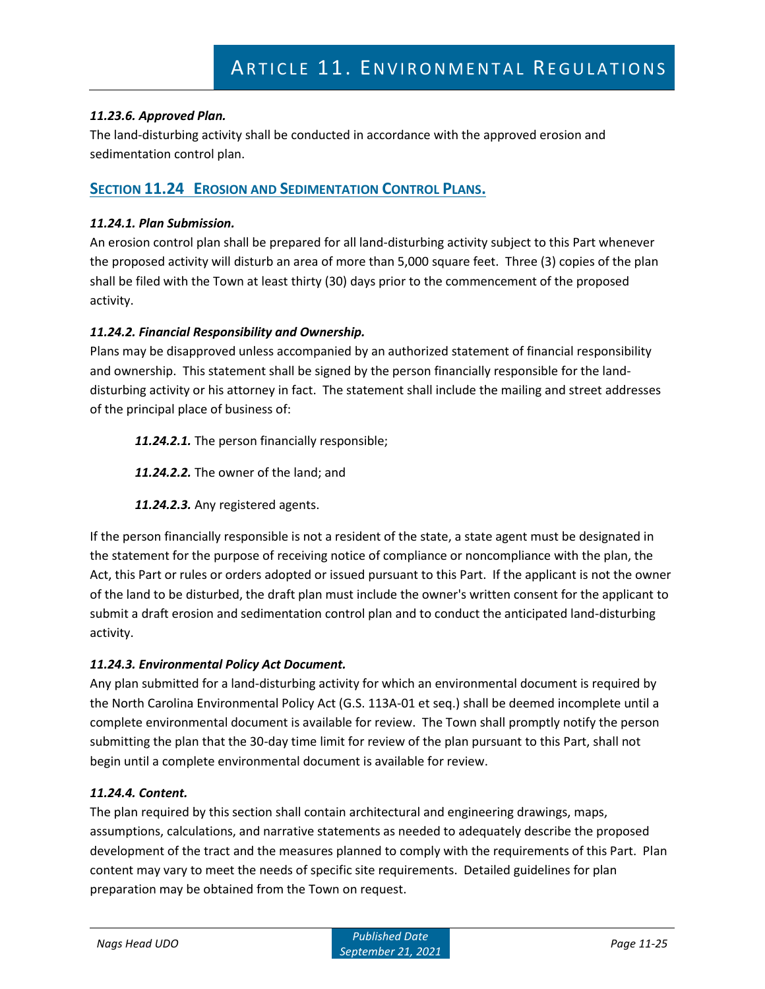# *11.23.6. Approved Plan.*

The land-disturbing activity shall be conducted in accordance with the approved erosion and sedimentation control plan.

# **SECTION 11.24 EROSION AND SEDIMENTATION CONTROL PLANS.**

## *11.24.1. Plan Submission.*

An erosion control plan shall be prepared for all land-disturbing activity subject to this Part whenever the proposed activity will disturb an area of more than 5,000 square feet. Three (3) copies of the plan shall be filed with the Town at least thirty (30) days prior to the commencement of the proposed activity.

## *11.24.2. Financial Responsibility and Ownership.*

Plans may be disapproved unless accompanied by an authorized statement of financial responsibility and ownership. This statement shall be signed by the person financially responsible for the landdisturbing activity or his attorney in fact. The statement shall include the mailing and street addresses of the principal place of business of:

*11.24.2.1.* The person financially responsible;

*11.24.2.2.* The owner of the land; and

*11.24.2.3.* Any registered agents.

If the person financially responsible is not a resident of the state, a state agent must be designated in the statement for the purpose of receiving notice of compliance or noncompliance with the plan, the Act, this Part or rules or orders adopted or issued pursuant to this Part. If the applicant is not the owner of the land to be disturbed, the draft plan must include the owner's written consent for the applicant to submit a draft erosion and sedimentation control plan and to conduct the anticipated land-disturbing activity.

## *11.24.3. Environmental Policy Act Document.*

Any plan submitted for a land-disturbing activity for which an environmental document is required by the North Carolina Environmental Policy Act (G.S. 113A-01 et seq.) shall be deemed incomplete until a complete environmental document is available for review. The Town shall promptly notify the person submitting the plan that the 30-day time limit for review of the plan pursuant to this Part, shall not begin until a complete environmental document is available for review.

## *11.24.4. Content.*

The plan required by this section shall contain architectural and engineering drawings, maps, assumptions, calculations, and narrative statements as needed to adequately describe the proposed development of the tract and the measures planned to comply with the requirements of this Part. Plan content may vary to meet the needs of specific site requirements. Detailed guidelines for plan preparation may be obtained from the Town on request.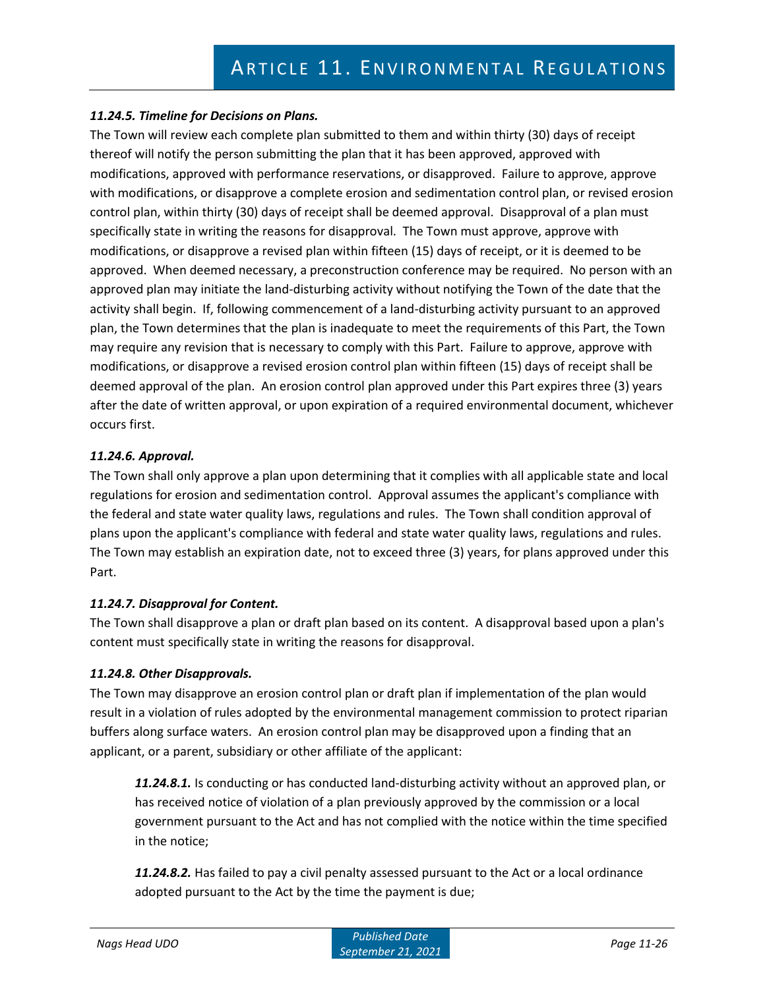# *11.24.5. Timeline for Decisions on Plans.*

The Town will review each complete plan submitted to them and within thirty (30) days of receipt thereof will notify the person submitting the plan that it has been approved, approved with modifications, approved with performance reservations, or disapproved. Failure to approve, approve with modifications, or disapprove a complete erosion and sedimentation control plan, or revised erosion control plan, within thirty (30) days of receipt shall be deemed approval. Disapproval of a plan must specifically state in writing the reasons for disapproval. The Town must approve, approve with modifications, or disapprove a revised plan within fifteen (15) days of receipt, or it is deemed to be approved. When deemed necessary, a preconstruction conference may be required. No person with an approved plan may initiate the land-disturbing activity without notifying the Town of the date that the activity shall begin. If, following commencement of a land-disturbing activity pursuant to an approved plan, the Town determines that the plan is inadequate to meet the requirements of this Part, the Town may require any revision that is necessary to comply with this Part. Failure to approve, approve with modifications, or disapprove a revised erosion control plan within fifteen (15) days of receipt shall be deemed approval of the plan. An erosion control plan approved under this Part expires three (3) years after the date of written approval, or upon expiration of a required environmental document, whichever occurs first.

# *11.24.6. Approval.*

The Town shall only approve a plan upon determining that it complies with all applicable state and local regulations for erosion and sedimentation control. Approval assumes the applicant's compliance with the federal and state water quality laws, regulations and rules. The Town shall condition approval of plans upon the applicant's compliance with federal and state water quality laws, regulations and rules. The Town may establish an expiration date, not to exceed three (3) years, for plans approved under this Part.

# *11.24.7. Disapproval for Content.*

The Town shall disapprove a plan or draft plan based on its content. A disapproval based upon a plan's content must specifically state in writing the reasons for disapproval.

# *11.24.8. Other Disapprovals.*

The Town may disapprove an erosion control plan or draft plan if implementation of the plan would result in a violation of rules adopted by the environmental management commission to protect riparian buffers along surface waters. An erosion control plan may be disapproved upon a finding that an applicant, or a parent, subsidiary or other affiliate of the applicant:

*11.24.8.1.* Is conducting or has conducted land-disturbing activity without an approved plan, or has received notice of violation of a plan previously approved by the commission or a local government pursuant to the Act and has not complied with the notice within the time specified in the notice;

*11.24.8.2.* Has failed to pay a civil penalty assessed pursuant to the Act or a local ordinance adopted pursuant to the Act by the time the payment is due;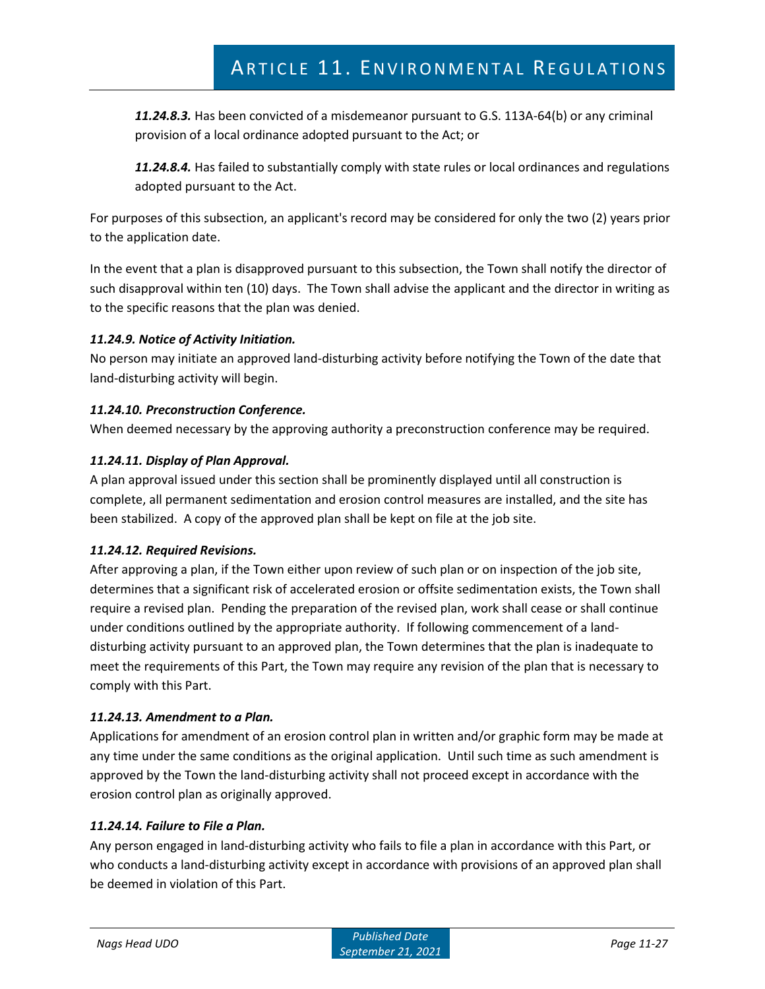*11.24.8.3.* Has been convicted of a misdemeanor pursuant to G.S. 113A-64(b) or any criminal provision of a local ordinance adopted pursuant to the Act; or

*11.24.8.4.* Has failed to substantially comply with state rules or local ordinances and regulations adopted pursuant to the Act.

For purposes of this subsection, an applicant's record may be considered for only the two (2) years prior to the application date.

In the event that a plan is disapproved pursuant to this subsection, the Town shall notify the director of such disapproval within ten (10) days. The Town shall advise the applicant and the director in writing as to the specific reasons that the plan was denied.

# *11.24.9. Notice of Activity Initiation.*

No person may initiate an approved land-disturbing activity before notifying the Town of the date that land-disturbing activity will begin.

# *11.24.10. Preconstruction Conference.*

When deemed necessary by the approving authority a preconstruction conference may be required.

# *11.24.11. Display of Plan Approval.*

A plan approval issued under this section shall be prominently displayed until all construction is complete, all permanent sedimentation and erosion control measures are installed, and the site has been stabilized. A copy of the approved plan shall be kept on file at the job site.

## *11.24.12. Required Revisions.*

After approving a plan, if the Town either upon review of such plan or on inspection of the job site, determines that a significant risk of accelerated erosion or offsite sedimentation exists, the Town shall require a revised plan. Pending the preparation of the revised plan, work shall cease or shall continue under conditions outlined by the appropriate authority. If following commencement of a landdisturbing activity pursuant to an approved plan, the Town determines that the plan is inadequate to meet the requirements of this Part, the Town may require any revision of the plan that is necessary to comply with this Part.

## *11.24.13. Amendment to a Plan.*

Applications for amendment of an erosion control plan in written and/or graphic form may be made at any time under the same conditions as the original application. Until such time as such amendment is approved by the Town the land-disturbing activity shall not proceed except in accordance with the erosion control plan as originally approved.

# *11.24.14. Failure to File a Plan.*

Any person engaged in land-disturbing activity who fails to file a plan in accordance with this Part, or who conducts a land-disturbing activity except in accordance with provisions of an approved plan shall be deemed in violation of this Part.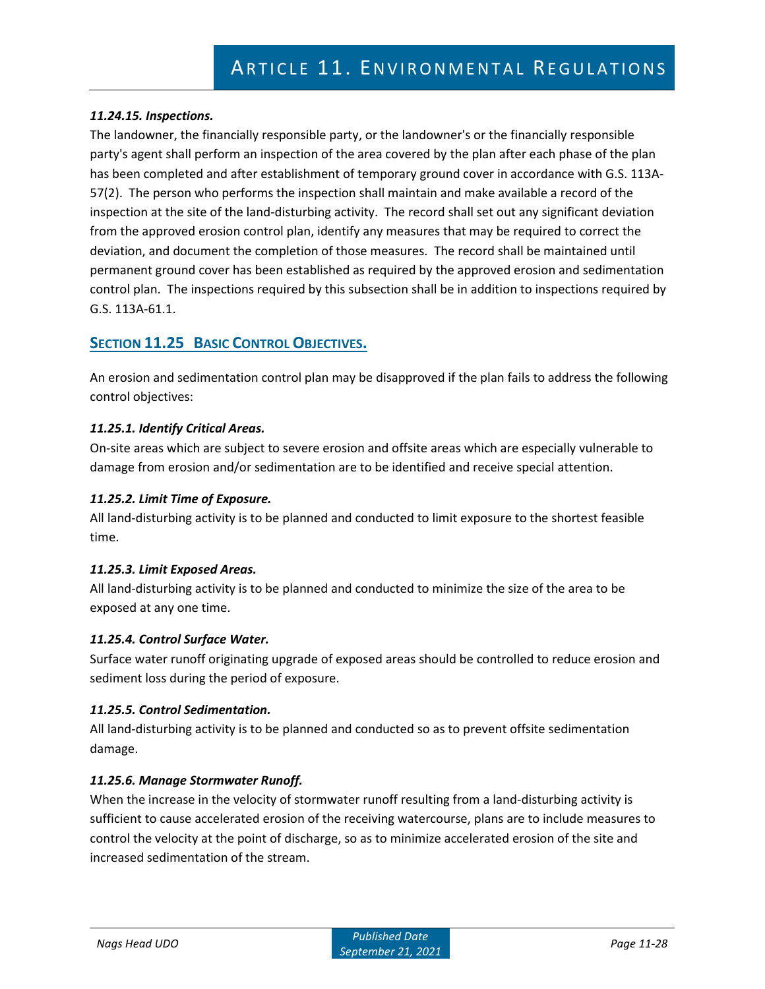## *11.24.15. Inspections.*

The landowner, the financially responsible party, or the landowner's or the financially responsible party's agent shall perform an inspection of the area covered by the plan after each phase of the plan has been completed and after establishment of temporary ground cover in accordance with G.S. 113A-57(2). The person who performs the inspection shall maintain and make available a record of the inspection at the site of the land-disturbing activity. The record shall set out any significant deviation from the approved erosion control plan, identify any measures that may be required to correct the deviation, and document the completion of those measures. The record shall be maintained until permanent ground cover has been established as required by the approved erosion and sedimentation control plan. The inspections required by this subsection shall be in addition to inspections required by G.S. 113A-61.1.

# **SECTION 11.25 BASIC CONTROL OBJECTIVES.**

An erosion and sedimentation control plan may be disapproved if the plan fails to address the following control objectives:

## *11.25.1. Identify Critical Areas.*

On-site areas which are subject to severe erosion and offsite areas which are especially vulnerable to damage from erosion and/or sedimentation are to be identified and receive special attention.

#### *11.25.2. Limit Time of Exposure.*

All land-disturbing activity is to be planned and conducted to limit exposure to the shortest feasible time.

#### *11.25.3. Limit Exposed Areas.*

All land-disturbing activity is to be planned and conducted to minimize the size of the area to be exposed at any one time.

#### *11.25.4. Control Surface Water.*

Surface water runoff originating upgrade of exposed areas should be controlled to reduce erosion and sediment loss during the period of exposure.

#### *11.25.5. Control Sedimentation.*

All land-disturbing activity is to be planned and conducted so as to prevent offsite sedimentation damage.

## *11.25.6. Manage Stormwater Runoff.*

When the increase in the velocity of stormwater runoff resulting from a land-disturbing activity is sufficient to cause accelerated erosion of the receiving watercourse, plans are to include measures to control the velocity at the point of discharge, so as to minimize accelerated erosion of the site and increased sedimentation of the stream.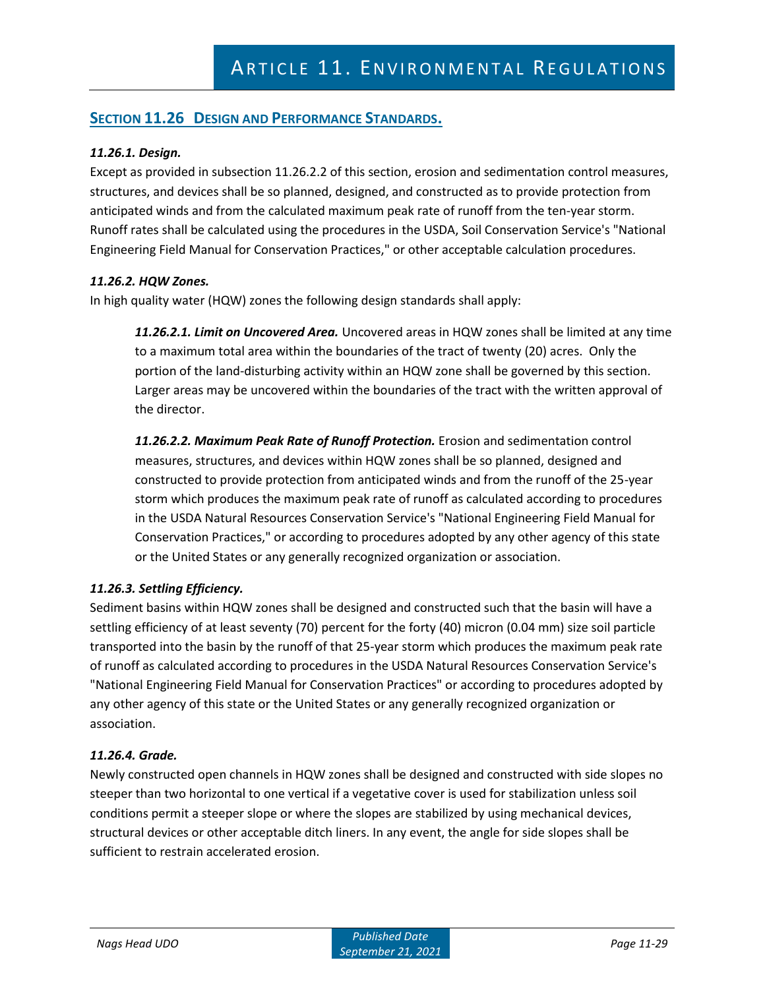# **SECTION 11.26 DESIGN AND PERFORMANCE STANDARDS.**

## *11.26.1. Design.*

Except as provided in subsection 11.26.2.2 of this section, erosion and sedimentation control measures, structures, and devices shall be so planned, designed, and constructed as to provide protection from anticipated winds and from the calculated maximum peak rate of runoff from the ten-year storm. Runoff rates shall be calculated using the procedures in the USDA, Soil Conservation Service's "National Engineering Field Manual for Conservation Practices," or other acceptable calculation procedures.

#### *11.26.2. HQW Zones.*

In high quality water (HQW) zones the following design standards shall apply:

*11.26.2.1. Limit on Uncovered Area.* Uncovered areas in HQW zones shall be limited at any time to a maximum total area within the boundaries of the tract of twenty (20) acres. Only the portion of the land-disturbing activity within an HQW zone shall be governed by this section. Larger areas may be uncovered within the boundaries of the tract with the written approval of the director.

*11.26.2.2. Maximum Peak Rate of Runoff Protection.* Erosion and sedimentation control measures, structures, and devices within HQW zones shall be so planned, designed and constructed to provide protection from anticipated winds and from the runoff of the 25-year storm which produces the maximum peak rate of runoff as calculated according to procedures in the USDA Natural Resources Conservation Service's "National Engineering Field Manual for Conservation Practices," or according to procedures adopted by any other agency of this state or the United States or any generally recognized organization or association.

## *11.26.3. Settling Efficiency.*

Sediment basins within HQW zones shall be designed and constructed such that the basin will have a settling efficiency of at least seventy (70) percent for the forty (40) micron (0.04 mm) size soil particle transported into the basin by the runoff of that 25-year storm which produces the maximum peak rate of runoff as calculated according to procedures in the USDA Natural Resources Conservation Service's "National Engineering Field Manual for Conservation Practices" or according to procedures adopted by any other agency of this state or the United States or any generally recognized organization or association.

#### *11.26.4. Grade.*

Newly constructed open channels in HQW zones shall be designed and constructed with side slopes no steeper than two horizontal to one vertical if a vegetative cover is used for stabilization unless soil conditions permit a steeper slope or where the slopes are stabilized by using mechanical devices, structural devices or other acceptable ditch liners. In any event, the angle for side slopes shall be sufficient to restrain accelerated erosion.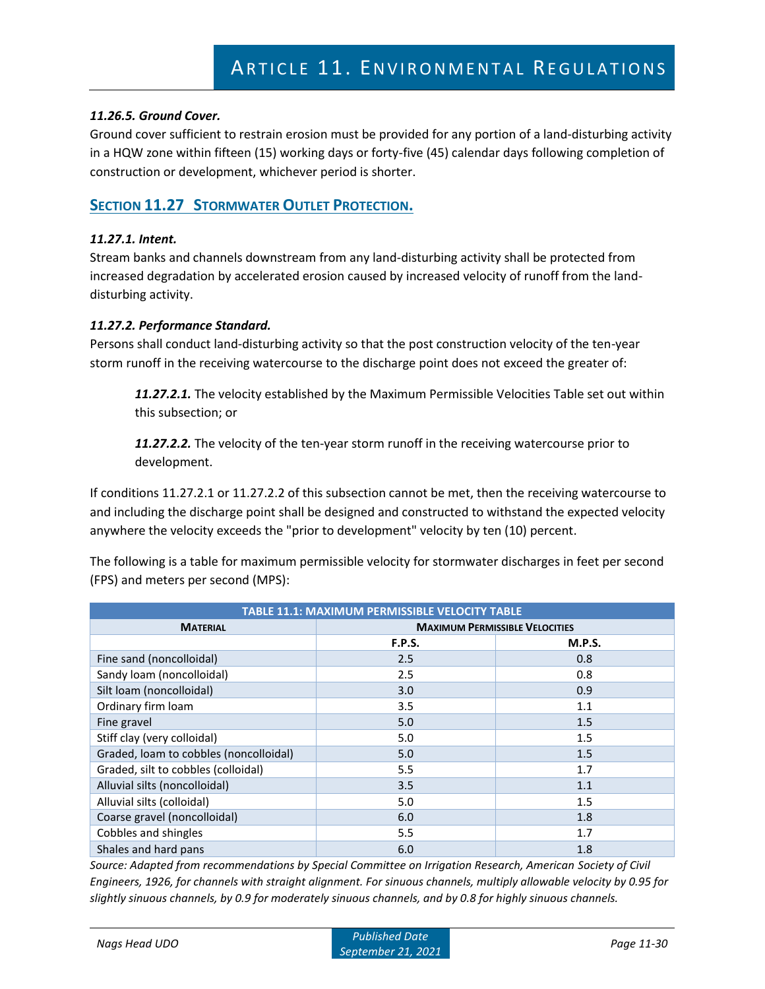## *11.26.5. Ground Cover.*

Ground cover sufficient to restrain erosion must be provided for any portion of a land-disturbing activity in a HQW zone within fifteen (15) working days or forty-five (45) calendar days following completion of construction or development, whichever period is shorter.

# **SECTION 11.27 STORMWATER OUTLET PROTECTION.**

## *11.27.1. Intent.*

Stream banks and channels downstream from any land-disturbing activity shall be protected from increased degradation by accelerated erosion caused by increased velocity of runoff from the landdisturbing activity.

## *11.27.2. Performance Standard.*

Persons shall conduct land-disturbing activity so that the post construction velocity of the ten-year storm runoff in the receiving watercourse to the discharge point does not exceed the greater of:

*11.27.2.1.* The velocity established by the Maximum Permissible Velocities Table set out within this subsection; or

*11.27.2.2.* The velocity of the ten-year storm runoff in the receiving watercourse prior to development.

If conditions 11.27.2.1 or 11.27.2.2 of this subsection cannot be met, then the receiving watercourse to and including the discharge point shall be designed and constructed to withstand the expected velocity anywhere the velocity exceeds the "prior to development" velocity by ten (10) percent.

The following is a table for maximum permissible velocity for stormwater discharges in feet per second (FPS) and meters per second (MPS):

| <b>TABLE 11.1: MAXIMUM PERMISSIBLE VELOCITY TABLE</b> |                                       |               |  |  |  |  |
|-------------------------------------------------------|---------------------------------------|---------------|--|--|--|--|
| <b>MATERIAL</b>                                       | <b>MAXIMUM PERMISSIBLE VELOCITIES</b> |               |  |  |  |  |
|                                                       | <b>F.P.S.</b>                         | <b>M.P.S.</b> |  |  |  |  |
| Fine sand (noncolloidal)                              | 2.5                                   | 0.8           |  |  |  |  |
| Sandy loam (noncolloidal)                             | 2.5                                   | 0.8           |  |  |  |  |
| Silt loam (noncolloidal)                              | 3.0                                   | 0.9           |  |  |  |  |
| Ordinary firm loam                                    | 3.5                                   | 1.1           |  |  |  |  |
| Fine gravel                                           | 5.0                                   | 1.5           |  |  |  |  |
| Stiff clay (very colloidal)                           | 5.0                                   | 1.5           |  |  |  |  |
| Graded, loam to cobbles (noncolloidal)                | 5.0                                   | 1.5           |  |  |  |  |
| Graded, silt to cobbles (colloidal)                   | 5.5                                   | 1.7           |  |  |  |  |
| Alluvial silts (noncolloidal)                         | 3.5                                   | 1.1           |  |  |  |  |
| Alluvial silts (colloidal)                            | 5.0                                   | 1.5           |  |  |  |  |
| Coarse gravel (noncolloidal)                          | 6.0                                   | 1.8           |  |  |  |  |
| Cobbles and shingles                                  | 5.5                                   | 1.7           |  |  |  |  |
| Shales and hard pans                                  | 6.0                                   | 1.8           |  |  |  |  |

*Source: Adapted from recommendations by Special Committee on Irrigation Research, American Society of Civil Engineers, 1926, for channels with straight alignment. For sinuous channels, multiply allowable velocity by 0.95 for slightly sinuous channels, by 0.9 for moderately sinuous channels, and by 0.8 for highly sinuous channels.*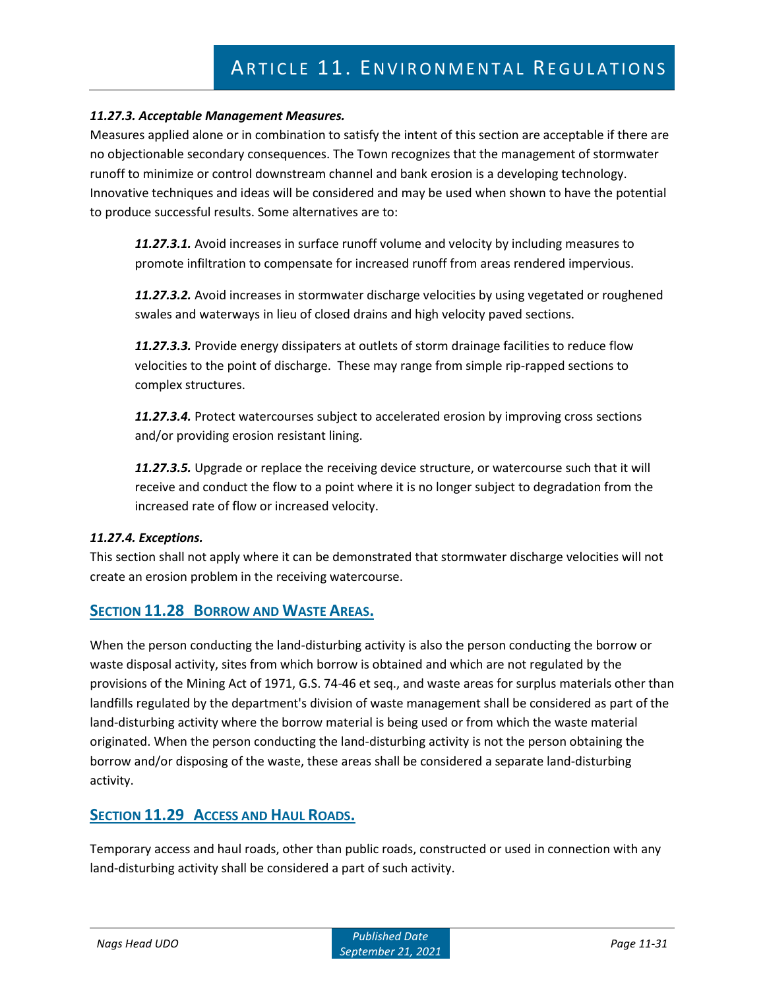# *11.27.3. Acceptable Management Measures.*

Measures applied alone or in combination to satisfy the intent of this section are acceptable if there are no objectionable secondary consequences. The Town recognizes that the management of stormwater runoff to minimize or control downstream channel and bank erosion is a developing technology. Innovative techniques and ideas will be considered and may be used when shown to have the potential to produce successful results. Some alternatives are to:

*11.27.3.1.* Avoid increases in surface runoff volume and velocity by including measures to promote infiltration to compensate for increased runoff from areas rendered impervious.

*11.27.3.2.* Avoid increases in stormwater discharge velocities by using vegetated or roughened swales and waterways in lieu of closed drains and high velocity paved sections.

*11.27.3.3.* Provide energy dissipaters at outlets of storm drainage facilities to reduce flow velocities to the point of discharge. These may range from simple rip-rapped sections to complex structures.

*11.27.3.4.* Protect watercourses subject to accelerated erosion by improving cross sections and/or providing erosion resistant lining.

*11.27.3.5.* Upgrade or replace the receiving device structure, or watercourse such that it will receive and conduct the flow to a point where it is no longer subject to degradation from the increased rate of flow or increased velocity.

## *11.27.4. Exceptions.*

This section shall not apply where it can be demonstrated that stormwater discharge velocities will not create an erosion problem in the receiving watercourse.

# **SECTION 11.28 BORROW AND WASTE AREAS.**

When the person conducting the land-disturbing activity is also the person conducting the borrow or waste disposal activity, sites from which borrow is obtained and which are not regulated by the provisions of the Mining Act of 1971, G.S. 74-46 et seq., and waste areas for surplus materials other than landfills regulated by the department's division of waste management shall be considered as part of the land-disturbing activity where the borrow material is being used or from which the waste material originated. When the person conducting the land-disturbing activity is not the person obtaining the borrow and/or disposing of the waste, these areas shall be considered a separate land-disturbing activity.

# **SECTION 11.29 ACCESS AND HAUL ROADS.**

Temporary access and haul roads, other than public roads, constructed or used in connection with any land-disturbing activity shall be considered a part of such activity.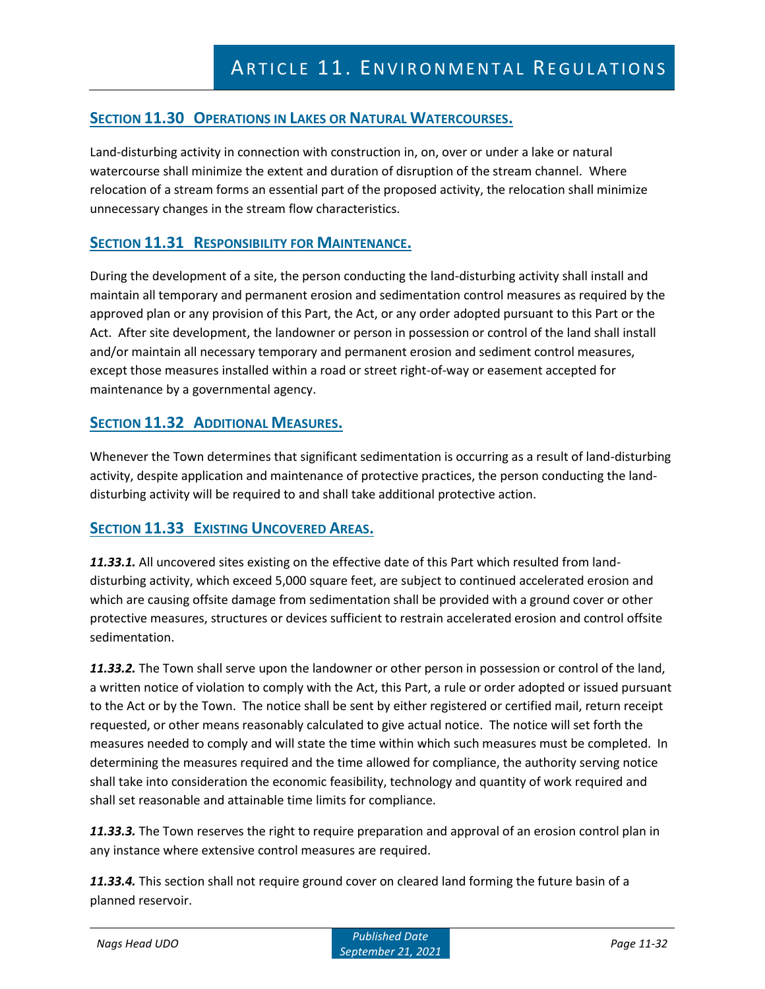# **SECTION 11.30 OPERATIONS IN LAKES OR NATURAL WATERCOURSES.**

Land-disturbing activity in connection with construction in, on, over or under a lake or natural watercourse shall minimize the extent and duration of disruption of the stream channel. Where relocation of a stream forms an essential part of the proposed activity, the relocation shall minimize unnecessary changes in the stream flow characteristics.

# **SECTION 11.31 RESPONSIBILITY FOR MAINTENANCE.**

During the development of a site, the person conducting the land-disturbing activity shall install and maintain all temporary and permanent erosion and sedimentation control measures as required by the approved plan or any provision of this Part, the Act, or any order adopted pursuant to this Part or the Act. After site development, the landowner or person in possession or control of the land shall install and/or maintain all necessary temporary and permanent erosion and sediment control measures, except those measures installed within a road or street right-of-way or easement accepted for maintenance by a governmental agency.

# **SECTION 11.32 ADDITIONAL MEASURES.**

Whenever the Town determines that significant sedimentation is occurring as a result of land-disturbing activity, despite application and maintenance of protective practices, the person conducting the landdisturbing activity will be required to and shall take additional protective action.

# **SECTION 11.33 EXISTING UNCOVERED AREAS.**

*11.33.1.* All uncovered sites existing on the effective date of this Part which resulted from landdisturbing activity, which exceed 5,000 square feet, are subject to continued accelerated erosion and which are causing offsite damage from sedimentation shall be provided with a ground cover or other protective measures, structures or devices sufficient to restrain accelerated erosion and control offsite sedimentation.

*11.33.2.* The Town shall serve upon the landowner or other person in possession or control of the land, a written notice of violation to comply with the Act, this Part, a rule or order adopted or issued pursuant to the Act or by the Town. The notice shall be sent by either registered or certified mail, return receipt requested, or other means reasonably calculated to give actual notice. The notice will set forth the measures needed to comply and will state the time within which such measures must be completed. In determining the measures required and the time allowed for compliance, the authority serving notice shall take into consideration the economic feasibility, technology and quantity of work required and shall set reasonable and attainable time limits for compliance.

*11.33.3.* The Town reserves the right to require preparation and approval of an erosion control plan in any instance where extensive control measures are required.

*11.33.4.* This section shall not require ground cover on cleared land forming the future basin of a planned reservoir.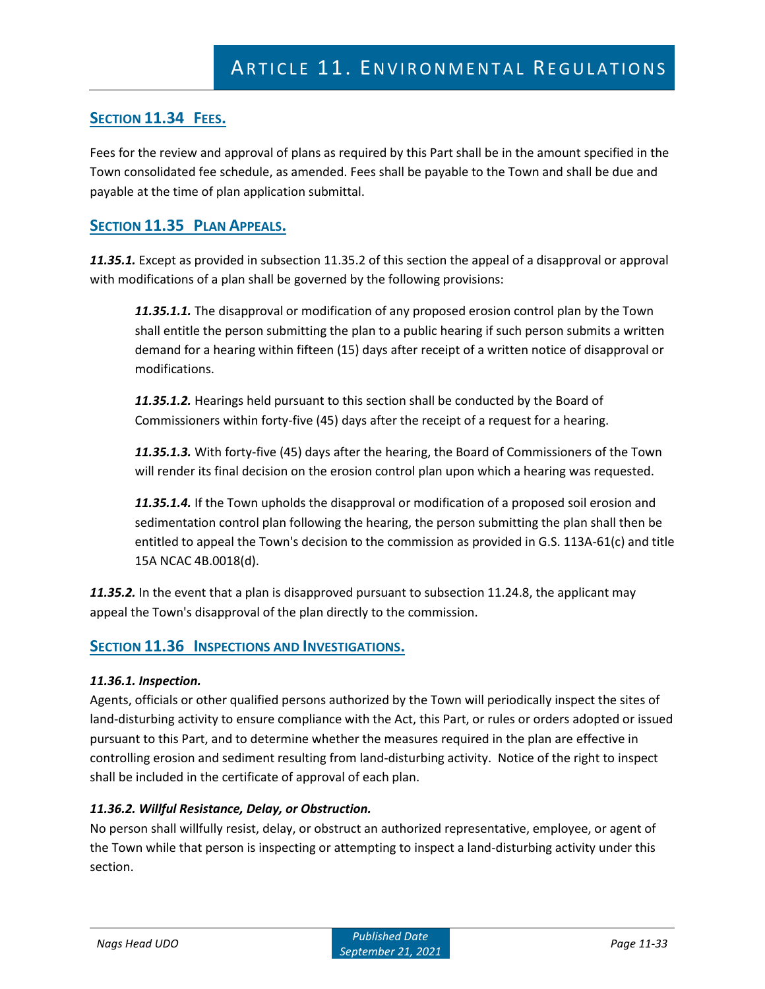# **SECTION 11.34 FEES.**

Fees for the review and approval of plans as required by this Part shall be in the amount specified in the Town consolidated fee schedule, as amended. Fees shall be payable to the Town and shall be due and payable at the time of plan application submittal.

# **SECTION 11.35 PLAN APPEALS.**

*11.35.1.* Except as provided in subsection 11.35.2 of this section the appeal of a disapproval or approval with modifications of a plan shall be governed by the following provisions:

*11.35.1.1.* The disapproval or modification of any proposed erosion control plan by the Town shall entitle the person submitting the plan to a public hearing if such person submits a written demand for a hearing within fifteen (15) days after receipt of a written notice of disapproval or modifications.

*11.35.1.2.* Hearings held pursuant to this section shall be conducted by the Board of Commissioners within forty-five (45) days after the receipt of a request for a hearing.

*11.35.1.3.* With forty-five (45) days after the hearing, the Board of Commissioners of the Town will render its final decision on the erosion control plan upon which a hearing was requested.

*11.35.1.4.* If the Town upholds the disapproval or modification of a proposed soil erosion and sedimentation control plan following the hearing, the person submitting the plan shall then be entitled to appeal the Town's decision to the commission as provided in G.S. 113A-61(c) and title 15A NCAC 4B.0018(d).

*11.35.2.* In the event that a plan is disapproved pursuant to subsection 11.24.8, the applicant may appeal the Town's disapproval of the plan directly to the commission.

# **SECTION 11.36 INSPECTIONS AND INVESTIGATIONS.**

## *11.36.1. Inspection.*

Agents, officials or other qualified persons authorized by the Town will periodically inspect the sites of land-disturbing activity to ensure compliance with the Act, this Part, or rules or orders adopted or issued pursuant to this Part, and to determine whether the measures required in the plan are effective in controlling erosion and sediment resulting from land-disturbing activity. Notice of the right to inspect shall be included in the certificate of approval of each plan.

## *11.36.2. Willful Resistance, Delay, or Obstruction.*

No person shall willfully resist, delay, or obstruct an authorized representative, employee, or agent of the Town while that person is inspecting or attempting to inspect a land-disturbing activity under this section.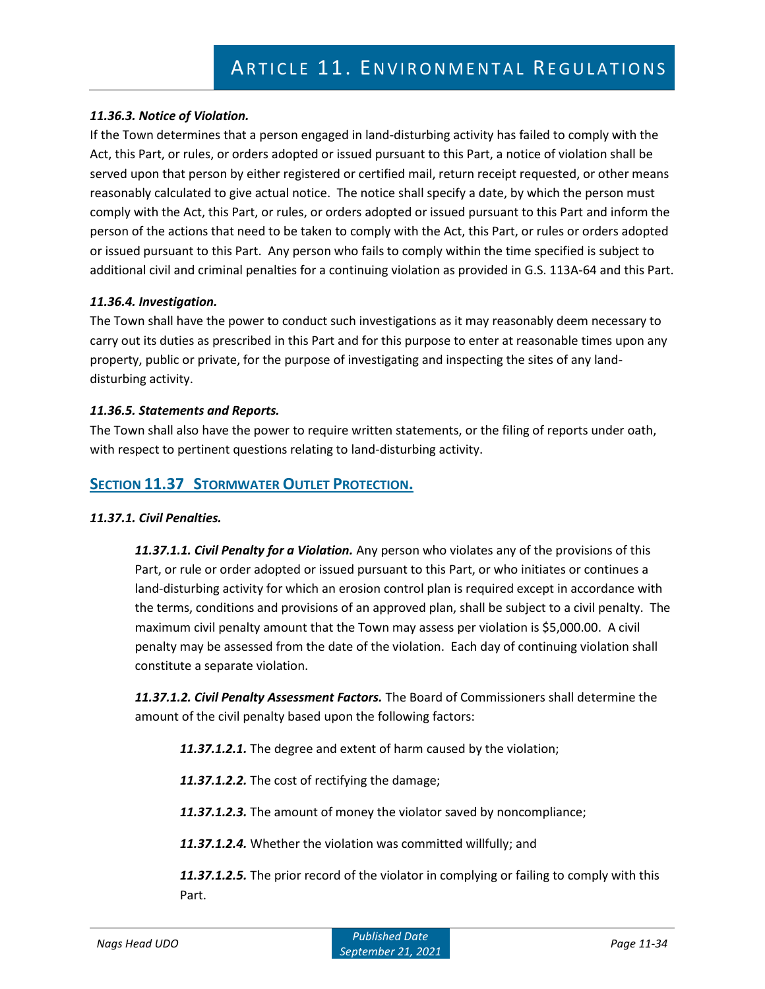# *11.36.3. Notice of Violation.*

If the Town determines that a person engaged in land-disturbing activity has failed to comply with the Act, this Part, or rules, or orders adopted or issued pursuant to this Part, a notice of violation shall be served upon that person by either registered or certified mail, return receipt requested, or other means reasonably calculated to give actual notice. The notice shall specify a date, by which the person must comply with the Act, this Part, or rules, or orders adopted or issued pursuant to this Part and inform the person of the actions that need to be taken to comply with the Act, this Part, or rules or orders adopted or issued pursuant to this Part. Any person who fails to comply within the time specified is subject to additional civil and criminal penalties for a continuing violation as provided in G.S. 113A-64 and this Part.

#### *11.36.4. Investigation.*

The Town shall have the power to conduct such investigations as it may reasonably deem necessary to carry out its duties as prescribed in this Part and for this purpose to enter at reasonable times upon any property, public or private, for the purpose of investigating and inspecting the sites of any landdisturbing activity.

#### *11.36.5. Statements and Reports.*

The Town shall also have the power to require written statements, or the filing of reports under oath, with respect to pertinent questions relating to land-disturbing activity.

# **SECTION 11.37 STORMWATER OUTLET PROTECTION.**

## *11.37.1. Civil Penalties.*

*11.37.1.1. Civil Penalty for a Violation.* Any person who violates any of the provisions of this Part, or rule or order adopted or issued pursuant to this Part, or who initiates or continues a land-disturbing activity for which an erosion control plan is required except in accordance with the terms, conditions and provisions of an approved plan, shall be subject to a civil penalty. The maximum civil penalty amount that the Town may assess per violation is \$5,000.00. A civil penalty may be assessed from the date of the violation. Each day of continuing violation shall constitute a separate violation.

*11.37.1.2. Civil Penalty Assessment Factors.* The Board of Commissioners shall determine the amount of the civil penalty based upon the following factors:

*11.37.1.2.1.* The degree and extent of harm caused by the violation;

*11.37.1.2.2.* The cost of rectifying the damage;

*11.37.1.2.3.* The amount of money the violator saved by noncompliance;

*11.37.1.2.4.* Whether the violation was committed willfully; and

*11.37.1.2.5.* The prior record of the violator in complying or failing to comply with this Part.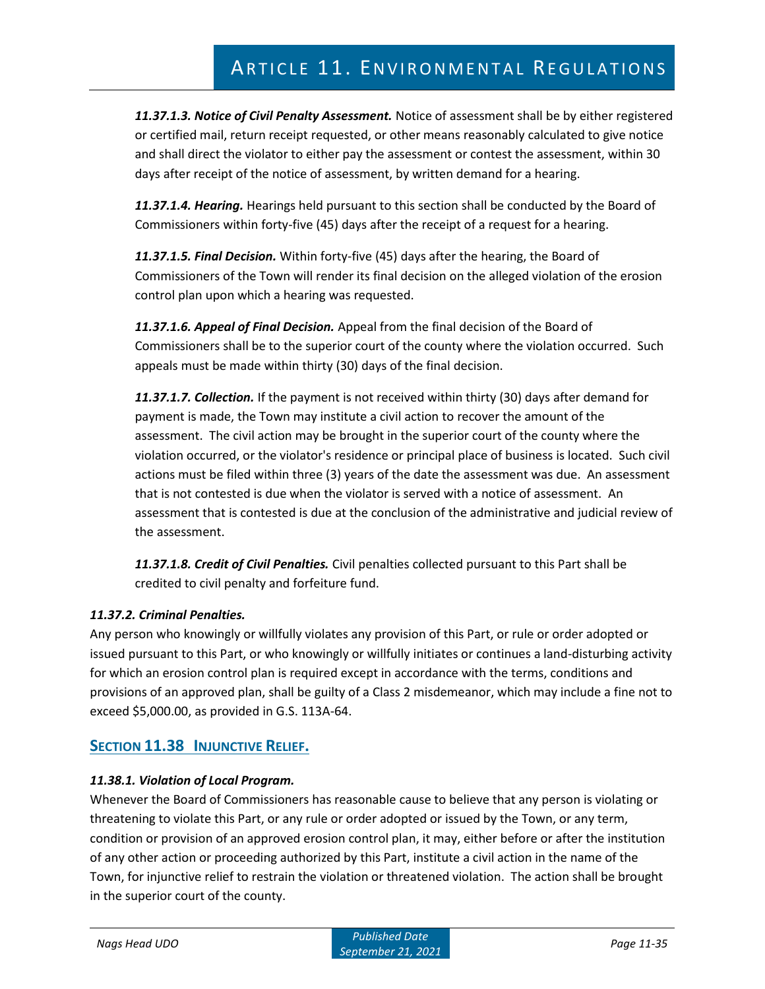*11.37.1.3. Notice of Civil Penalty Assessment.* Notice of assessment shall be by either registered or certified mail, return receipt requested, or other means reasonably calculated to give notice and shall direct the violator to either pay the assessment or contest the assessment, within 30 days after receipt of the notice of assessment, by written demand for a hearing.

*11.37.1.4. Hearing.* Hearings held pursuant to this section shall be conducted by the Board of Commissioners within forty-five (45) days after the receipt of a request for a hearing.

*11.37.1.5. Final Decision.* Within forty-five (45) days after the hearing, the Board of Commissioners of the Town will render its final decision on the alleged violation of the erosion control plan upon which a hearing was requested.

*11.37.1.6. Appeal of Final Decision.* Appeal from the final decision of the Board of Commissioners shall be to the superior court of the county where the violation occurred. Such appeals must be made within thirty (30) days of the final decision.

*11.37.1.7. Collection.* If the payment is not received within thirty (30) days after demand for payment is made, the Town may institute a civil action to recover the amount of the assessment. The civil action may be brought in the superior court of the county where the violation occurred, or the violator's residence or principal place of business is located. Such civil actions must be filed within three (3) years of the date the assessment was due. An assessment that is not contested is due when the violator is served with a notice of assessment. An assessment that is contested is due at the conclusion of the administrative and judicial review of the assessment.

*11.37.1.8. Credit of Civil Penalties.* Civil penalties collected pursuant to this Part shall be credited to civil penalty and forfeiture fund.

# *11.37.2. Criminal Penalties.*

Any person who knowingly or willfully violates any provision of this Part, or rule or order adopted or issued pursuant to this Part, or who knowingly or willfully initiates or continues a land-disturbing activity for which an erosion control plan is required except in accordance with the terms, conditions and provisions of an approved plan, shall be guilty of a Class 2 misdemeanor, which may include a fine not to exceed \$5,000.00, as provided in G.S. 113A-64.

# **SECTION 11.38 INJUNCTIVE RELIEF.**

## *11.38.1. Violation of Local Program.*

Whenever the Board of Commissioners has reasonable cause to believe that any person is violating or threatening to violate this Part, or any rule or order adopted or issued by the Town, or any term, condition or provision of an approved erosion control plan, it may, either before or after the institution of any other action or proceeding authorized by this Part, institute a civil action in the name of the Town, for injunctive relief to restrain the violation or threatened violation. The action shall be brought in the superior court of the county.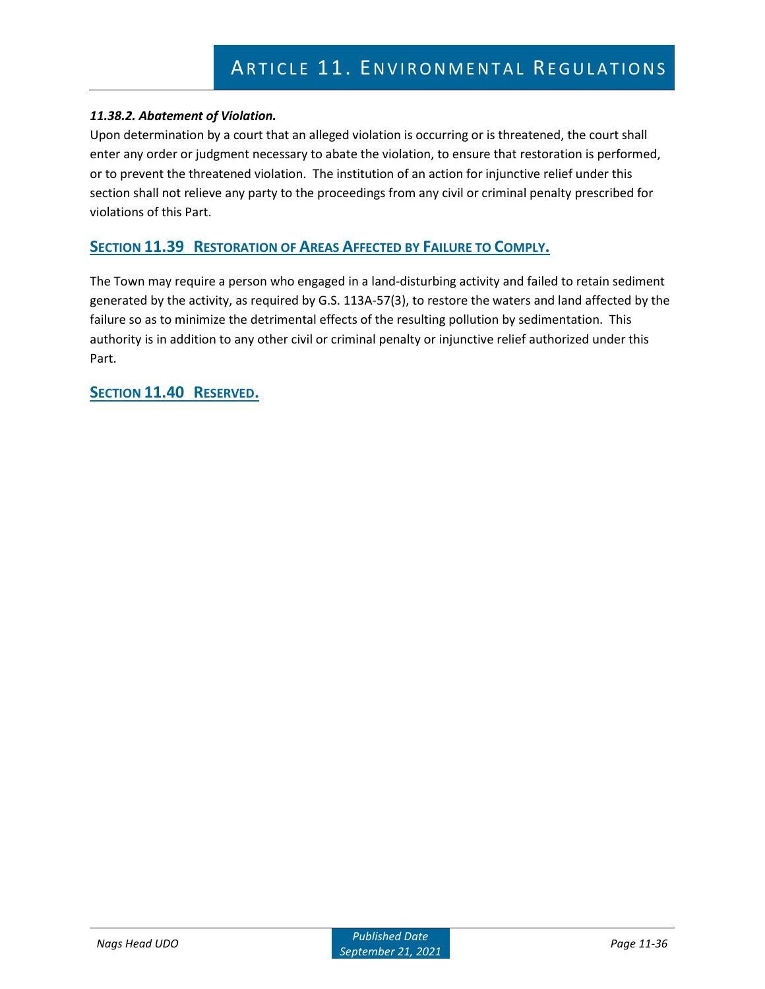# *11.38.2. Abatement of Violation.*

Upon determination by a court that an alleged violation is occurring or is threatened, the court shall enter any order or judgment necessary to abate the violation, to ensure that restoration is performed, or to prevent the threatened violation. The institution of an action for injunctive relief under this section shall not relieve any party to the proceedings from any civil or criminal penalty prescribed for violations of this Part.

# **SECTION 11.39 RESTORATION OF AREAS AFFECTED BY FAILURE TO COMPLY.**

The Town may require a person who engaged in a land-disturbing activity and failed to retain sediment generated by the activity, as required by G.S. 113A-57(3), to restore the waters and land affected by the failure so as to minimize the detrimental effects of the resulting pollution by sedimentation. This authority is in addition to any other civil or criminal penalty or injunctive relief authorized under this Part.

# **SECTION 11.40 RESERVED.**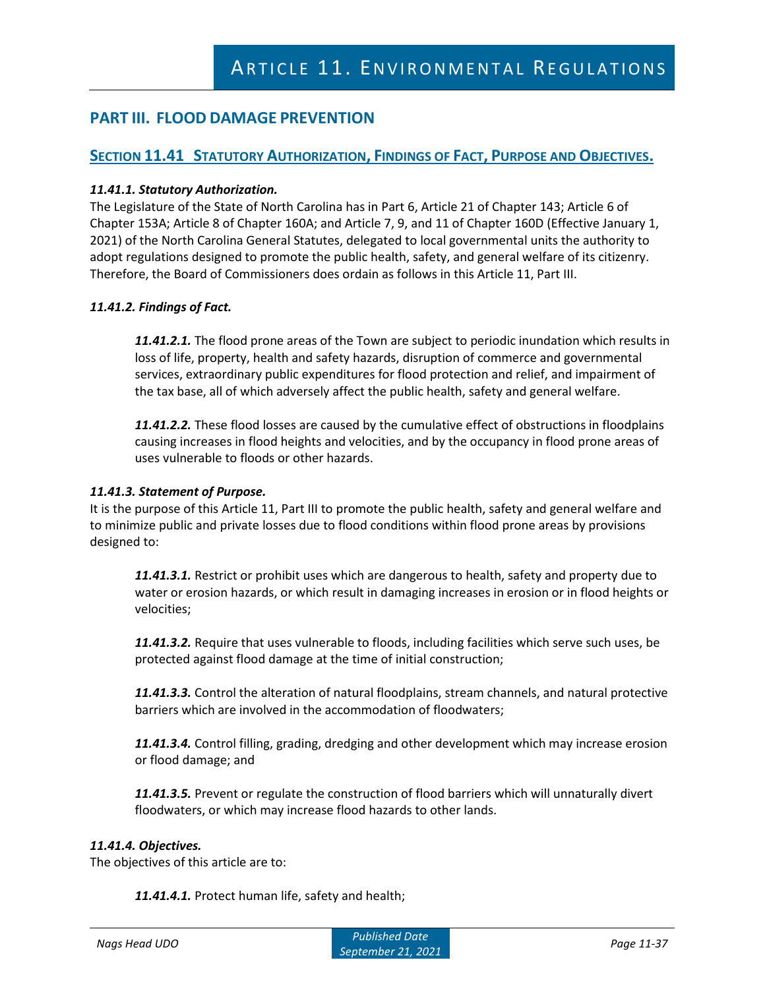# **PART III. FLOOD DAMAGE PREVENTION**

# **SECTION 11.41 STATUTORY AUTHORIZATION, FINDINGS OF FACT, PURPOSE AND OBJECTIVES.**

## *11.41.1. Statutory Authorization.*

The Legislature of the State of North Carolina has in Part 6, Article 21 of Chapter 143; Article 6 of Chapter 153A; Article 8 of Chapter 160A; and Article 7, 9, and 11 of Chapter 160D (Effective January 1, 2021) of the North Carolina General Statutes, delegated to local governmental units the authority to adopt regulations designed to promote the public health, safety, and general welfare of its citizenry. Therefore, the Board of Commissioners does ordain as follows in this Article 11, Part III.

#### *11.41.2. Findings of Fact.*

*11.41.2.1.* The flood prone areas of the Town are subject to periodic inundation which results in loss of life, property, health and safety hazards, disruption of commerce and governmental services, extraordinary public expenditures for flood protection and relief, and impairment of the tax base, all of which adversely affect the public health, safety and general welfare.

*11.41.2.2.* These flood losses are caused by the cumulative effect of obstructions in floodplains causing increases in flood heights and velocities, and by the occupancy in flood prone areas of uses vulnerable to floods or other hazards.

#### *11.41.3. Statement of Purpose.*

It is the purpose of this Article 11, Part III to promote the public health, safety and general welfare and to minimize public and private losses due to flood conditions within flood prone areas by provisions designed to:

*11.41.3.1.* Restrict or prohibit uses which are dangerous to health, safety and property due to water or erosion hazards, or which result in damaging increases in erosion or in flood heights or velocities;

*11.41.3.2.* Require that uses vulnerable to floods, including facilities which serve such uses, be protected against flood damage at the time of initial construction;

*11.41.3.3.* Control the alteration of natural floodplains, stream channels, and natural protective barriers which are involved in the accommodation of floodwaters;

*11.41.3.4.* Control filling, grading, dredging and other development which may increase erosion or flood damage; and

*11.41.3.5.* Prevent or regulate the construction of flood barriers which will unnaturally divert floodwaters, or which may increase flood hazards to other lands.

#### *11.41.4. Objectives.*

The objectives of this article are to:

*11.41.4.1.* Protect human life, safety and health;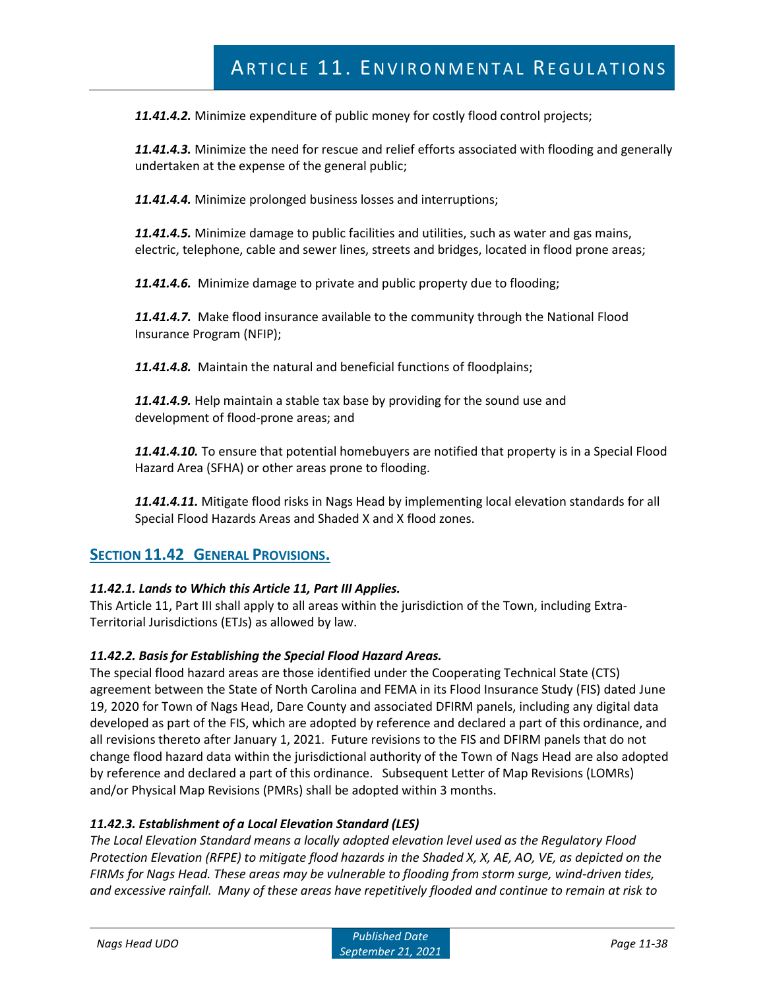*11.41.4.2.* Minimize expenditure of public money for costly flood control projects;

*11.41.4.3.* Minimize the need for rescue and relief efforts associated with flooding and generally undertaken at the expense of the general public;

*11.41.4.4.* Minimize prolonged business losses and interruptions;

*11.41.4.5.* Minimize damage to public facilities and utilities, such as water and gas mains, electric, telephone, cable and sewer lines, streets and bridges, located in flood prone areas;

*11.41.4.6.* Minimize damage to private and public property due to flooding;

*11.41.4.7.* Make flood insurance available to the community through the National Flood Insurance Program (NFIP);

*11.41.4.8.* Maintain the natural and beneficial functions of floodplains;

*11.41.4.9.* Help maintain a stable tax base by providing for the sound use and development of flood-prone areas; and

*11.41.4.10.* To ensure that potential homebuyers are notified that property is in a Special Flood Hazard Area (SFHA) or other areas prone to flooding.

*11.41.4.11.* Mitigate flood risks in Nags Head by implementing local elevation standards for all Special Flood Hazards Areas and Shaded X and X flood zones.

# **SECTION 11.42 GENERAL PROVISIONS.**

## *11.42.1. Lands to Which this Article 11, Part III Applies.*

This Article 11, Part III shall apply to all areas within the jurisdiction of the Town, including Extra-Territorial Jurisdictions (ETJs) as allowed by law.

#### *11.42.2. Basis for Establishing the Special Flood Hazard Areas.*

The special flood hazard areas are those identified under the Cooperating Technical State (CTS) agreement between the State of North Carolina and FEMA in its Flood Insurance Study (FIS) dated June 19, 2020 for Town of Nags Head, Dare County and associated DFIRM panels, including any digital data developed as part of the FIS, which are adopted by reference and declared a part of this ordinance, and all revisions thereto after January 1, 2021. Future revisions to the FIS and DFIRM panels that do not change flood hazard data within the jurisdictional authority of the Town of Nags Head are also adopted by reference and declared a part of this ordinance. Subsequent Letter of Map Revisions (LOMRs) and/or Physical Map Revisions (PMRs) shall be adopted within 3 months.

#### *11.42.3. Establishment of a Local Elevation Standard (LES)*

*The Local Elevation Standard means a locally adopted elevation level used as the Regulatory Flood Protection Elevation (RFPE) to mitigate flood hazards in the Shaded X, X, AE, AO, VE, as depicted on the FIRMs for Nags Head. These areas may be vulnerable to flooding from storm surge, wind-driven tides, and excessive rainfall. Many of these areas have repetitively flooded and continue to remain at risk to*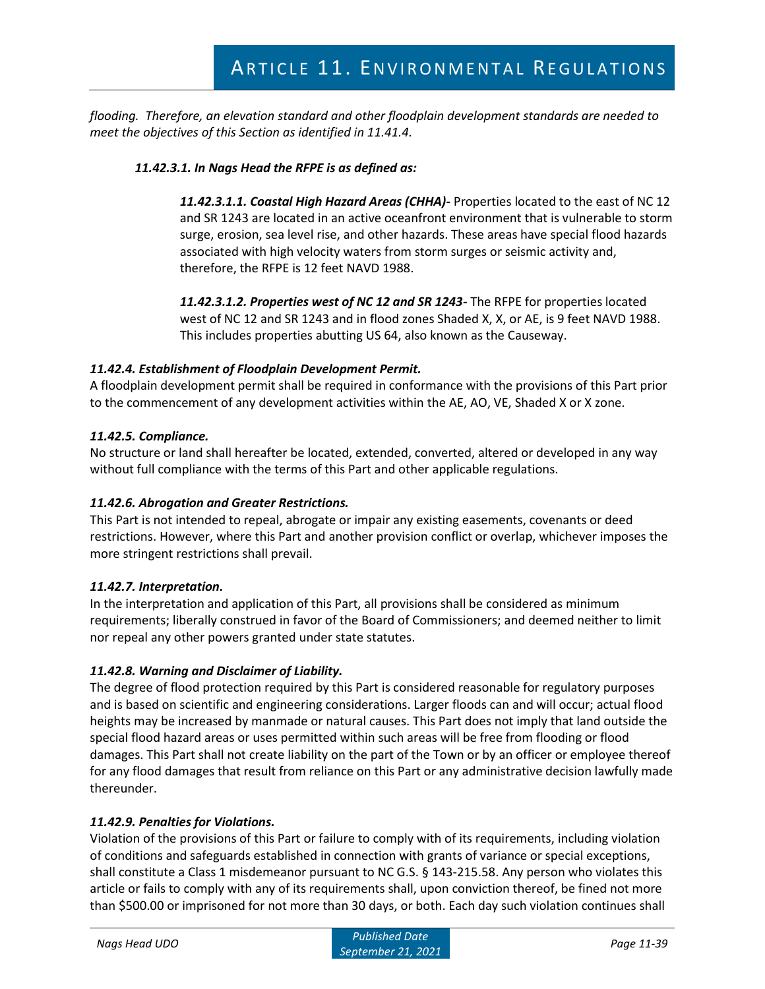*flooding. Therefore, an elevation standard and other floodplain development standards are needed to meet the objectives of this Section as identified in 11.41.4.*

# *11.42.3.1. In Nags Head the RFPE is as defined as:*

*11.42.3.1.1. Coastal High Hazard Areas (CHHA)-* Properties located to the east of NC 12 and SR 1243 are located in an active oceanfront environment that is vulnerable to storm surge, erosion, sea level rise, and other hazards. These areas have special flood hazards associated with high velocity waters from storm surges or seismic activity and, therefore, the RFPE is 12 feet NAVD 1988.

*11.42.3.1.2. Properties west of NC 12 and SR 1243-* The RFPE for properties located west of NC 12 and SR 1243 and in flood zones Shaded X, X, or AE, is 9 feet NAVD 1988. This includes properties abutting US 64, also known as the Causeway.

## *11.42.4. Establishment of Floodplain Development Permit.*

A floodplain development permit shall be required in conformance with the provisions of this Part prior to the commencement of any development activities within the AE, AO, VE, Shaded X or X zone.

## *11.42.5. Compliance.*

No structure or land shall hereafter be located, extended, converted, altered or developed in any way without full compliance with the terms of this Part and other applicable regulations.

## *11.42.6. Abrogation and Greater Restrictions.*

This Part is not intended to repeal, abrogate or impair any existing easements, covenants or deed restrictions. However, where this Part and another provision conflict or overlap, whichever imposes the more stringent restrictions shall prevail.

## *11.42.7. Interpretation.*

In the interpretation and application of this Part, all provisions shall be considered as minimum requirements; liberally construed in favor of the Board of Commissioners; and deemed neither to limit nor repeal any other powers granted under state statutes.

# *11.42.8. Warning and Disclaimer of Liability.*

The degree of flood protection required by this Part is considered reasonable for regulatory purposes and is based on scientific and engineering considerations. Larger floods can and will occur; actual flood heights may be increased by manmade or natural causes. This Part does not imply that land outside the special flood hazard areas or uses permitted within such areas will be free from flooding or flood damages. This Part shall not create liability on the part of the Town or by an officer or employee thereof for any flood damages that result from reliance on this Part or any administrative decision lawfully made thereunder.

## *11.42.9. Penalties for Violations.*

Violation of the provisions of this Part or failure to comply with of its requirements, including violation of conditions and safeguards established in connection with grants of variance or special exceptions, shall constitute a Class 1 misdemeanor pursuant to NC G.S. § 143-215.58. Any person who violates this article or fails to comply with any of its requirements shall, upon conviction thereof, be fined not more than \$500.00 or imprisoned for not more than 30 days, or both. Each day such violation continues shall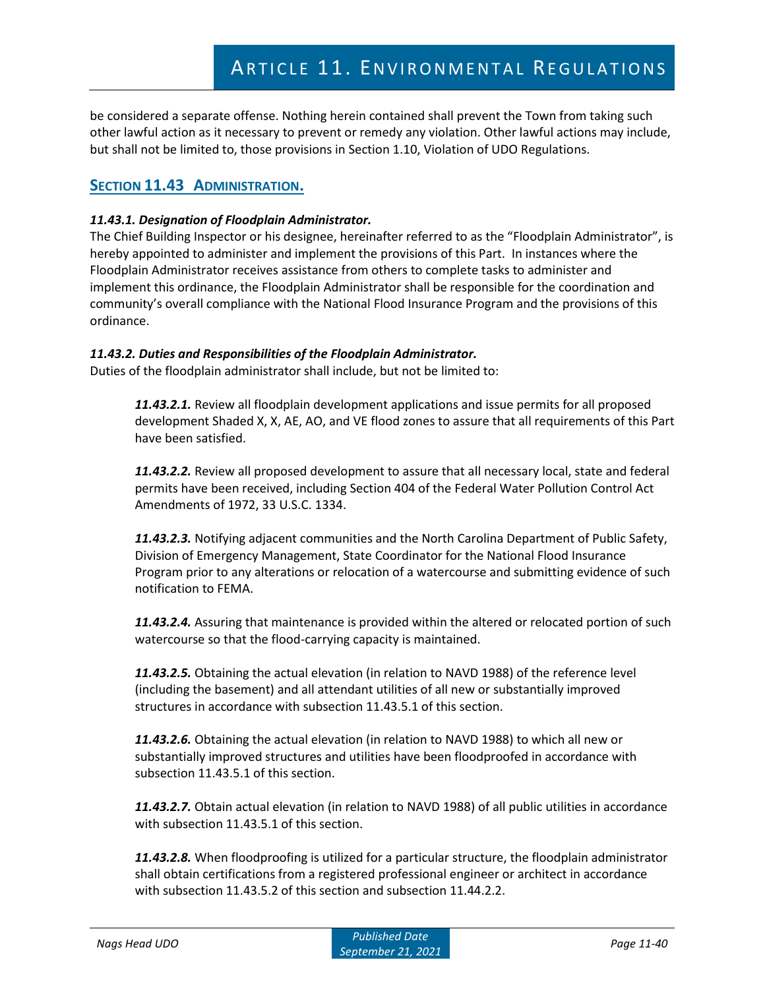be considered a separate offense. Nothing herein contained shall prevent the Town from taking such other lawful action as it necessary to prevent or remedy any violation. Other lawful actions may include, but shall not be limited to, those provisions in Section 1.10, Violation of UDO Regulations.

# **SECTION 11.43 ADMINISTRATION.**

# *11.43.1. Designation of Floodplain Administrator.*

The Chief Building Inspector or his designee, hereinafter referred to as the "Floodplain Administrator", is hereby appointed to administer and implement the provisions of this Part. In instances where the Floodplain Administrator receives assistance from others to complete tasks to administer and implement this ordinance, the Floodplain Administrator shall be responsible for the coordination and community's overall compliance with the National Flood Insurance Program and the provisions of this ordinance.

# *11.43.2. Duties and Responsibilities of the Floodplain Administrator.*

Duties of the floodplain administrator shall include, but not be limited to:

*11.43.2.1.* Review all floodplain development applications and issue permits for all proposed development Shaded X, X, AE, AO, and VE flood zones to assure that all requirements of this Part have been satisfied.

*11.43.2.2.* Review all proposed development to assure that all necessary local, state and federal permits have been received, including Section 404 of the Federal Water Pollution Control Act Amendments of 1972, 33 U.S.C. 1334.

*11.43.2.3.* Notifying adjacent communities and the North Carolina Department of Public Safety, Division of Emergency Management, State Coordinator for the National Flood Insurance Program prior to any alterations or relocation of a watercourse and submitting evidence of such notification to FEMA.

*11.43.2.4.* Assuring that maintenance is provided within the altered or relocated portion of such watercourse so that the flood-carrying capacity is maintained.

*11.43.2.5.* Obtaining the actual elevation (in relation to NAVD 1988) of the reference level (including the basement) and all attendant utilities of all new or substantially improved structures in accordance with subsection 11.43.5.1 of this section.

*11.43.2.6.* Obtaining the actual elevation (in relation to NAVD 1988) to which all new or substantially improved structures and utilities have been floodproofed in accordance with subsection 11.43.5.1 of this section.

*11.43.2.7.* Obtain actual elevation (in relation to NAVD 1988) of all public utilities in accordance with subsection 11.43.5.1 of this section.

*11.43.2.8.* When floodproofing is utilized for a particular structure, the floodplain administrator shall obtain certifications from a registered professional engineer or architect in accordance with subsection 11.43.5.2 of this section and subsection 11.44.2.2.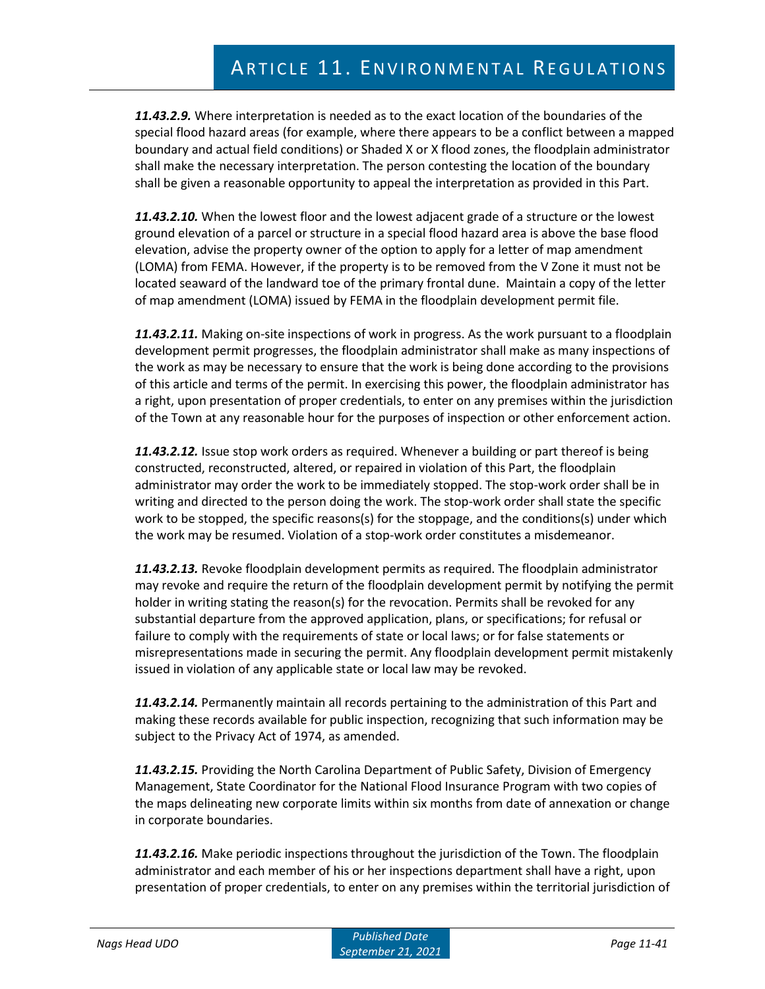*11.43.2.9.* Where interpretation is needed as to the exact location of the boundaries of the special flood hazard areas (for example, where there appears to be a conflict between a mapped boundary and actual field conditions) or Shaded X or X flood zones, the floodplain administrator shall make the necessary interpretation. The person contesting the location of the boundary shall be given a reasonable opportunity to appeal the interpretation as provided in this Part.

*11.43.2.10.* When the lowest floor and the lowest adjacent grade of a structure or the lowest ground elevation of a parcel or structure in a special flood hazard area is above the base flood elevation, advise the property owner of the option to apply for a letter of map amendment (LOMA) from FEMA. However, if the property is to be removed from the V Zone it must not be located seaward of the landward toe of the primary frontal dune.Maintain a copy of the letter of map amendment (LOMA) issued by FEMA in the floodplain development permit file.

*11.43.2.11.* Making on-site inspections of work in progress. As the work pursuant to a floodplain development permit progresses, the floodplain administrator shall make as many inspections of the work as may be necessary to ensure that the work is being done according to the provisions of this article and terms of the permit. In exercising this power, the floodplain administrator has a right, upon presentation of proper credentials, to enter on any premises within the jurisdiction of the Town at any reasonable hour for the purposes of inspection or other enforcement action.

*11.43.2.12.* Issue stop work orders as required. Whenever a building or part thereof is being constructed, reconstructed, altered, or repaired in violation of this Part, the floodplain administrator may order the work to be immediately stopped. The stop-work order shall be in writing and directed to the person doing the work. The stop-work order shall state the specific work to be stopped, the specific reasons(s) for the stoppage, and the conditions(s) under which the work may be resumed. Violation of a stop-work order constitutes a misdemeanor.

*11.43.2.13.* Revoke floodplain development permits as required. The floodplain administrator may revoke and require the return of the floodplain development permit by notifying the permit holder in writing stating the reason(s) for the revocation. Permits shall be revoked for any substantial departure from the approved application, plans, or specifications; for refusal or failure to comply with the requirements of state or local laws; or for false statements or misrepresentations made in securing the permit. Any floodplain development permit mistakenly issued in violation of any applicable state or local law may be revoked.

*11.43.2.14.* Permanently maintain all records pertaining to the administration of this Part and making these records available for public inspection, recognizing that such information may be subject to the Privacy Act of 1974, as amended.

*11.43.2.15.* Providing the North Carolina Department of Public Safety, Division of Emergency Management, State Coordinator for the National Flood Insurance Program with two copies of the maps delineating new corporate limits within six months from date of annexation or change in corporate boundaries.

*11.43.2.16.* Make periodic inspections throughout the jurisdiction of the Town. The floodplain administrator and each member of his or her inspections department shall have a right, upon presentation of proper credentials, to enter on any premises within the territorial jurisdiction of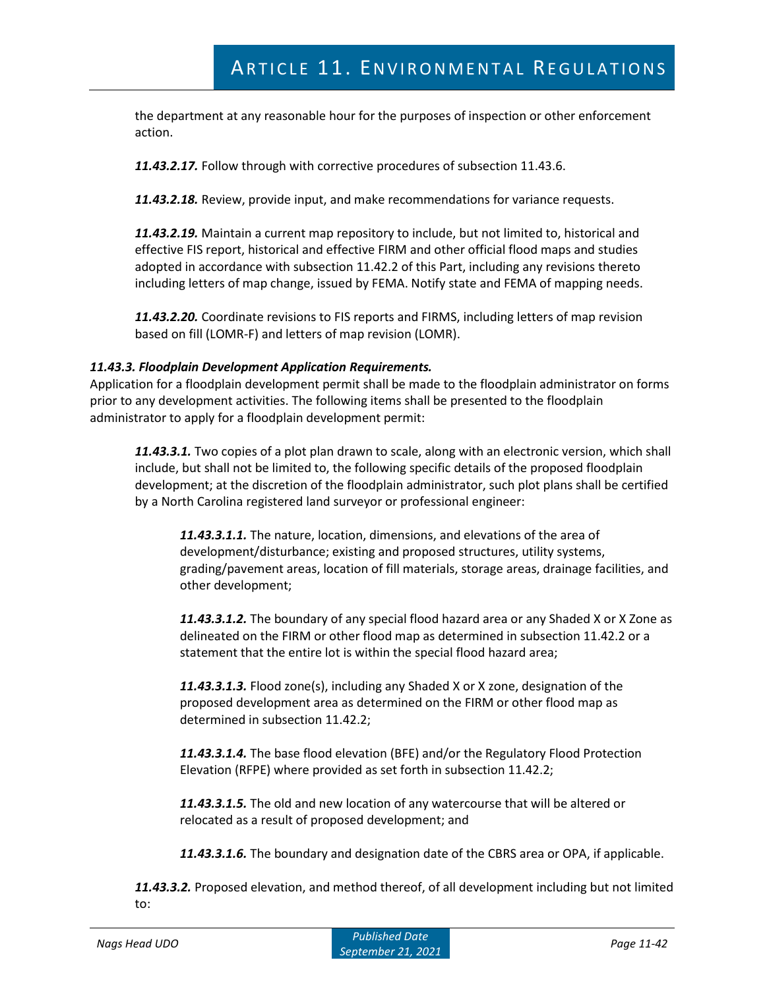the department at any reasonable hour for the purposes of inspection or other enforcement action.

*11.43.2.17.* Follow through with corrective procedures of subsection 11.43.6.

*11.43.2.18.* Review, provide input, and make recommendations for variance requests.

*11.43.2.19.* Maintain a current map repository to include, but not limited to, historical and effective FIS report, historical and effective FIRM and other official flood maps and studies adopted in accordance with subsection 11.42.2 of this Part, including any revisions thereto including letters of map change, issued by FEMA. Notify state and FEMA of mapping needs.

*11.43.2.20.* Coordinate revisions to FIS reports and FIRMS, including letters of map revision based on fill (LOMR-F) and letters of map revision (LOMR).

#### *11.43.3. Floodplain Development Application Requirements.*

Application for a floodplain development permit shall be made to the floodplain administrator on forms prior to any development activities. The following items shall be presented to the floodplain administrator to apply for a floodplain development permit:

*11.43.3.1.* Two copies of a plot plan drawn to scale, along with an electronic version, which shall include, but shall not be limited to, the following specific details of the proposed floodplain development; at the discretion of the floodplain administrator, such plot plans shall be certified by a North Carolina registered land surveyor or professional engineer:

*11.43.3.1.1.* The nature, location, dimensions, and elevations of the area of development/disturbance; existing and proposed structures, utility systems, grading/pavement areas, location of fill materials, storage areas, drainage facilities, and other development;

*11.43.3.1.2.* The boundary of any special flood hazard area or any Shaded X or X Zone as delineated on the FIRM or other flood map as determined in subsection 11.42.2 or a statement that the entire lot is within the special flood hazard area;

*11.43.3.1.3.* Flood zone(s), including any Shaded X or X zone, designation of the proposed development area as determined on the FIRM or other flood map as determined in subsection 11.42.2;

*11.43.3.1.4.* The base flood elevation (BFE) and/or the Regulatory Flood Protection Elevation (RFPE) where provided as set forth in subsection 11.42.2;

*11.43.3.1.5.* The old and new location of any watercourse that will be altered or relocated as a result of proposed development; and

*11.43.3.1.6.* The boundary and designation date of the CBRS area or OPA, if applicable.

*11.43.3.2.* Proposed elevation, and method thereof, of all development including but not limited to: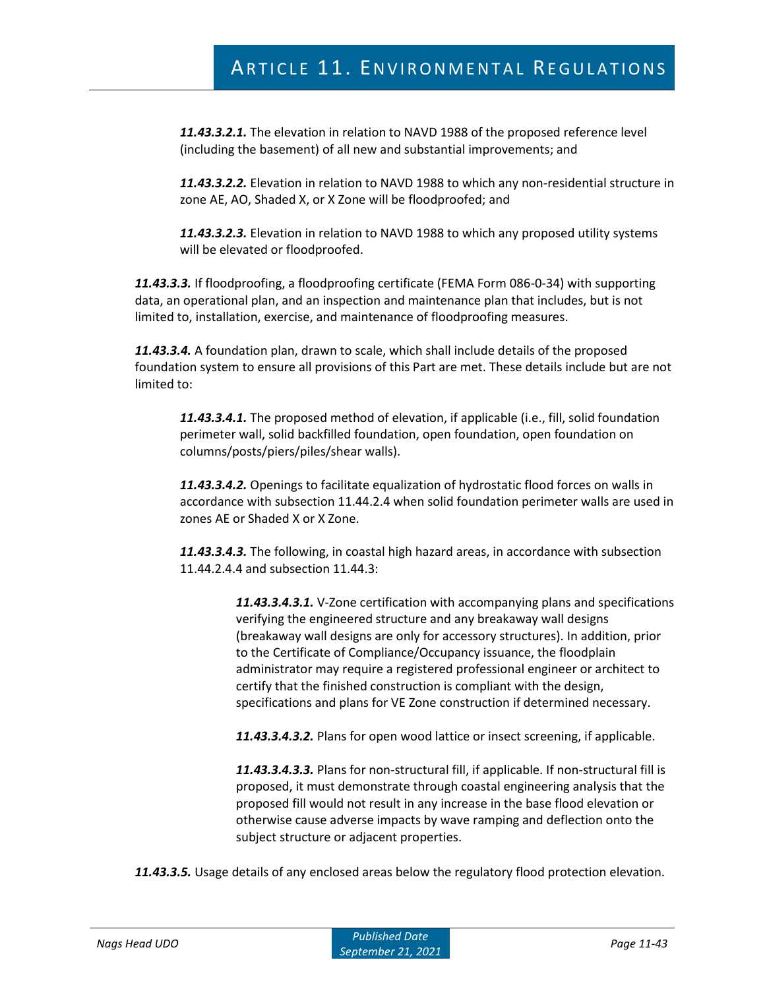*11.43.3.2.1.* The elevation in relation to NAVD 1988 of the proposed reference level (including the basement) of all new and substantial improvements; and

*11.43.3.2.2.* Elevation in relation to NAVD 1988 to which any non-residential structure in zone AE, AO, Shaded X, or X Zone will be floodproofed; and

*11.43.3.2.3.* Elevation in relation to NAVD 1988 to which any proposed utility systems will be elevated or floodproofed.

*11.43.3.3.* If floodproofing, a floodproofing certificate (FEMA Form 086-0-34) with supporting data, an operational plan, and an inspection and maintenance plan that includes, but is not limited to, installation, exercise, and maintenance of floodproofing measures.

*11.43.3.4.* A foundation plan, drawn to scale, which shall include details of the proposed foundation system to ensure all provisions of this Part are met. These details include but are not limited to:

*11.43.3.4.1.* The proposed method of elevation, if applicable (i.e., fill, solid foundation perimeter wall, solid backfilled foundation, open foundation, open foundation on columns/posts/piers/piles/shear walls).

*11.43.3.4.2.* Openings to facilitate equalization of hydrostatic flood forces on walls in accordance with subsection 11.44.2.4 when solid foundation perimeter walls are used in zones AE or Shaded X or X Zone.

*11.43.3.4.3.* The following, in coastal high hazard areas, in accordance with subsection 11.44.2.4.4 and subsection 11.44.3:

> *11.43.3.4.3.1.* V-Zone certification with accompanying plans and specifications verifying the engineered structure and any breakaway wall designs (breakaway wall designs are only for accessory structures). In addition, prior to the Certificate of Compliance/Occupancy issuance, the floodplain administrator may require a registered professional engineer or architect to certify that the finished construction is compliant with the design, specifications and plans for VE Zone construction if determined necessary.

*11.43.3.4.3.2.* Plans for open wood lattice or insect screening, if applicable.

*11.43.3.4.3.3.* Plans for non-structural fill, if applicable. If non-structural fill is proposed, it must demonstrate through coastal engineering analysis that the proposed fill would not result in any increase in the base flood elevation or otherwise cause adverse impacts by wave ramping and deflection onto the subject structure or adjacent properties.

*11.43.3.5.* Usage details of any enclosed areas below the regulatory flood protection elevation.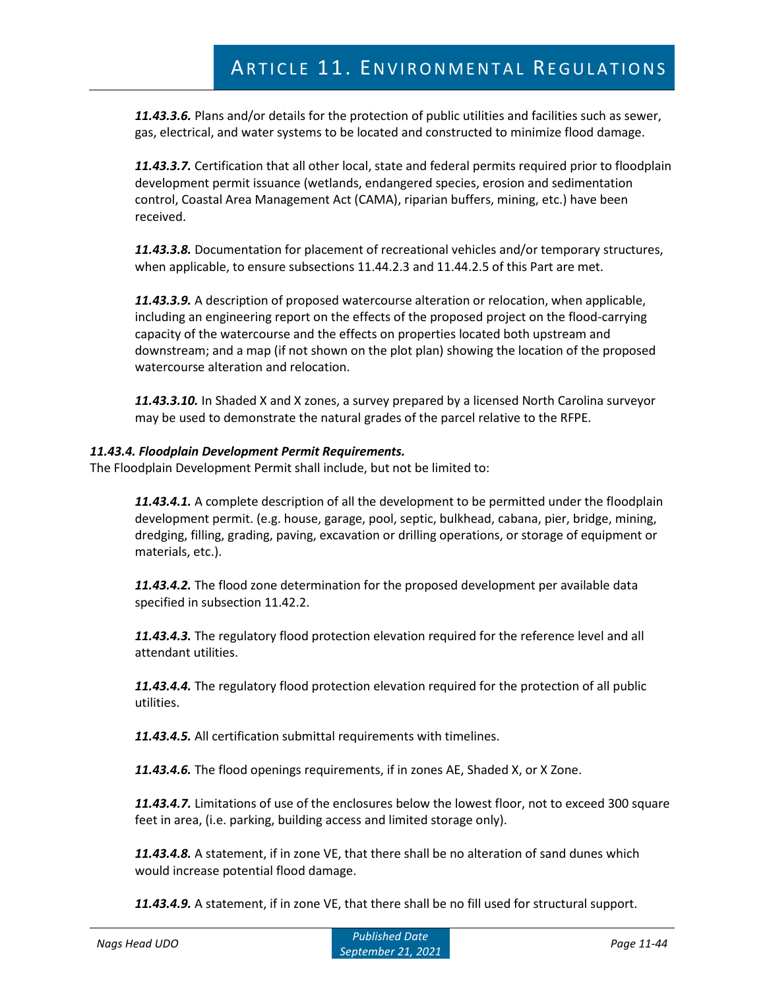*11.43.3.6.* Plans and/or details for the protection of public utilities and facilities such as sewer, gas, electrical, and water systems to be located and constructed to minimize flood damage.

*11.43.3.7.* Certification that all other local, state and federal permits required prior to floodplain development permit issuance (wetlands, endangered species, erosion and sedimentation control, Coastal Area Management Act (CAMA), riparian buffers, mining, etc.) have been received.

*11.43.3.8.* Documentation for placement of recreational vehicles and/or temporary structures, when applicable, to ensure subsections 11.44.2.3 and 11.44.2.5 of this Part are met.

*11.43.3.9.* A description of proposed watercourse alteration or relocation, when applicable, including an engineering report on the effects of the proposed project on the flood-carrying capacity of the watercourse and the effects on properties located both upstream and downstream; and a map (if not shown on the plot plan) showing the location of the proposed watercourse alteration and relocation.

*11.43.3.10.* In Shaded X and X zones, a survey prepared by a licensed North Carolina surveyor may be used to demonstrate the natural grades of the parcel relative to the RFPE.

#### *11.43.4. Floodplain Development Permit Requirements.*

The Floodplain Development Permit shall include, but not be limited to:

*11.43.4.1.* A complete description of all the development to be permitted under the floodplain development permit. (e.g. house, garage, pool, septic, bulkhead, cabana, pier, bridge, mining, dredging, filling, grading, paving, excavation or drilling operations, or storage of equipment or materials, etc.).

*11.43.4.2.* The flood zone determination for the proposed development per available data specified in subsection 11.42.2.

*11.43.4.3.* The regulatory flood protection elevation required for the reference level and all attendant utilities.

*11.43.4.4.* The regulatory flood protection elevation required for the protection of all public utilities.

*11.43.4.5.* All certification submittal requirements with timelines.

*11.43.4.6.* The flood openings requirements, if in zones AE, Shaded X, or X Zone.

*11.43.4.7.* Limitations of use of the enclosures below the lowest floor, not to exceed 300 square feet in area, (i.e. parking, building access and limited storage only).

*11.43.4.8.* A statement, if in zone VE, that there shall be no alteration of sand dunes which would increase potential flood damage.

*11.43.4.9.* A statement, if in zone VE, that there shall be no fill used for structural support.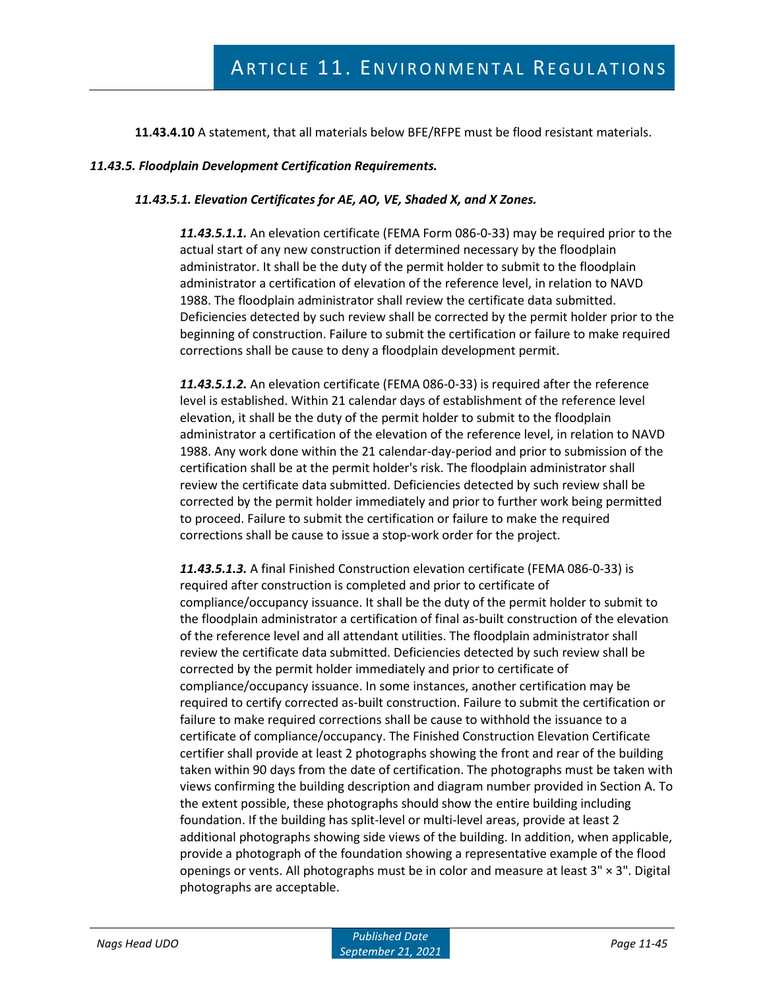**11.43.4.10** A statement, that all materials below BFE/RFPE must be flood resistant materials.

#### *11.43.5. Floodplain Development Certification Requirements.*

#### *11.43.5.1. Elevation Certificates for AE, AO, VE, Shaded X, and X Zones.*

*11.43.5.1.1.* An elevation certificate (FEMA Form 086-0-33) may be required prior to the actual start of any new construction if determined necessary by the floodplain administrator. It shall be the duty of the permit holder to submit to the floodplain administrator a certification of elevation of the reference level, in relation to NAVD 1988. The floodplain administrator shall review the certificate data submitted. Deficiencies detected by such review shall be corrected by the permit holder prior to the beginning of construction. Failure to submit the certification or failure to make required corrections shall be cause to deny a floodplain development permit.

*11.43.5.1.2.* An elevation certificate (FEMA 086-0-33) is required after the reference level is established. Within 21 calendar days of establishment of the reference level elevation, it shall be the duty of the permit holder to submit to the floodplain administrator a certification of the elevation of the reference level, in relation to NAVD 1988. Any work done within the 21 calendar-day-period and prior to submission of the certification shall be at the permit holder's risk. The floodplain administrator shall review the certificate data submitted. Deficiencies detected by such review shall be corrected by the permit holder immediately and prior to further work being permitted to proceed. Failure to submit the certification or failure to make the required corrections shall be cause to issue a stop-work order for the project.

*11.43.5.1.3.* A final Finished Construction elevation certificate (FEMA 086-0-33) is required after construction is completed and prior to certificate of compliance/occupancy issuance. It shall be the duty of the permit holder to submit to the floodplain administrator a certification of final as-built construction of the elevation of the reference level and all attendant utilities. The floodplain administrator shall review the certificate data submitted. Deficiencies detected by such review shall be corrected by the permit holder immediately and prior to certificate of compliance/occupancy issuance. In some instances, another certification may be required to certify corrected as-built construction. Failure to submit the certification or failure to make required corrections shall be cause to withhold the issuance to a certificate of compliance/occupancy. The Finished Construction Elevation Certificate certifier shall provide at least 2 photographs showing the front and rear of the building taken within 90 days from the date of certification. The photographs must be taken with views confirming the building description and diagram number provided in Section A. To the extent possible, these photographs should show the entire building including foundation. If the building has split-level or multi-level areas, provide at least 2 additional photographs showing side views of the building. In addition, when applicable, provide a photograph of the foundation showing a representative example of the flood openings or vents. All photographs must be in color and measure at least  $3'' \times 3''$ . Digital photographs are acceptable.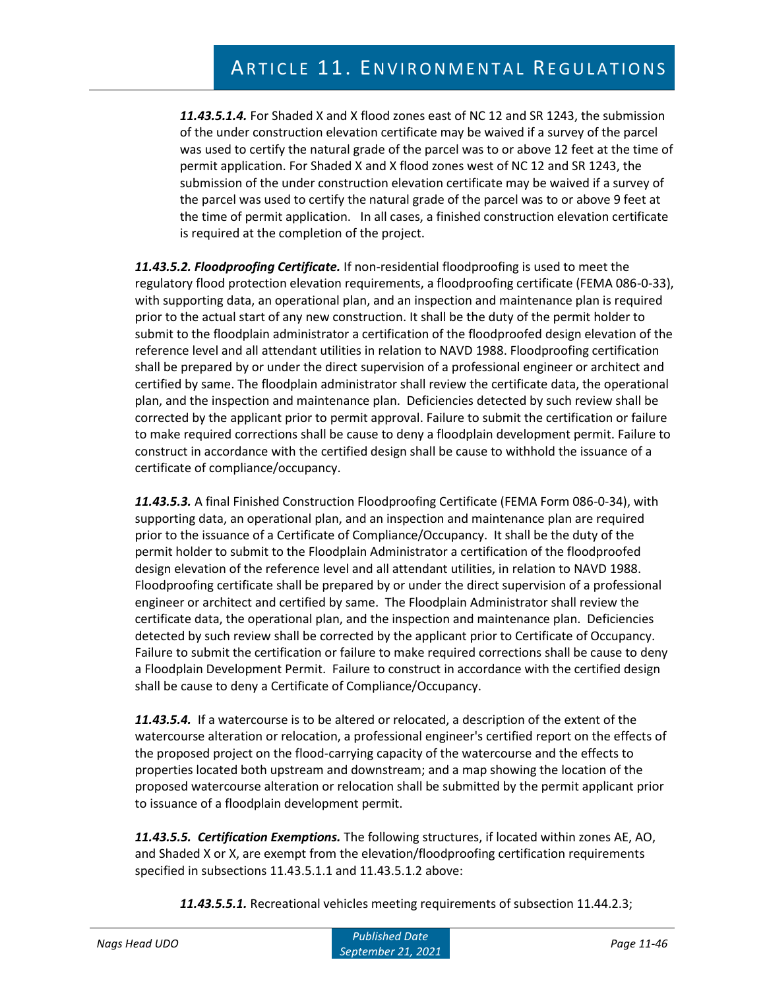*11.43.5.1.4.* For Shaded X and X flood zones east of NC 12 and SR 1243, the submission of the under construction elevation certificate may be waived if a survey of the parcel was used to certify the natural grade of the parcel was to or above 12 feet at the time of permit application. For Shaded X and X flood zones west of NC 12 and SR 1243, the submission of the under construction elevation certificate may be waived if a survey of the parcel was used to certify the natural grade of the parcel was to or above 9 feet at the time of permit application. In all cases, a finished construction elevation certificate is required at the completion of the project.

*11.43.5.2. Floodproofing Certificate.* If non-residential floodproofing is used to meet the regulatory flood protection elevation requirements, a floodproofing certificate (FEMA 086-0-33), with supporting data, an operational plan, and an inspection and maintenance plan is required prior to the actual start of any new construction. It shall be the duty of the permit holder to submit to the floodplain administrator a certification of the floodproofed design elevation of the reference level and all attendant utilities in relation to NAVD 1988. Floodproofing certification shall be prepared by or under the direct supervision of a professional engineer or architect and certified by same. The floodplain administrator shall review the certificate data, the operational plan, and the inspection and maintenance plan. Deficiencies detected by such review shall be corrected by the applicant prior to permit approval. Failure to submit the certification or failure to make required corrections shall be cause to deny a floodplain development permit. Failure to construct in accordance with the certified design shall be cause to withhold the issuance of a certificate of compliance/occupancy.

*11.43.5.3.* A final Finished Construction Floodproofing Certificate (FEMA Form 086-0-34), with supporting data, an operational plan, and an inspection and maintenance plan are required prior to the issuance of a Certificate of Compliance/Occupancy. It shall be the duty of the permit holder to submit to the Floodplain Administrator a certification of the floodproofed design elevation of the reference level and all attendant utilities, in relation to NAVD 1988. Floodproofing certificate shall be prepared by or under the direct supervision of a professional engineer or architect and certified by same. The Floodplain Administrator shall review the certificate data, the operational plan, and the inspection and maintenance plan. Deficiencies detected by such review shall be corrected by the applicant prior to Certificate of Occupancy. Failure to submit the certification or failure to make required corrections shall be cause to deny a Floodplain Development Permit. Failure to construct in accordance with the certified design shall be cause to deny a Certificate of Compliance/Occupancy.

*11.43.5.4.* If a watercourse is to be altered or relocated, a description of the extent of the watercourse alteration or relocation, a professional engineer's certified report on the effects of the proposed project on the flood-carrying capacity of the watercourse and the effects to properties located both upstream and downstream; and a map showing the location of the proposed watercourse alteration or relocation shall be submitted by the permit applicant prior to issuance of a floodplain development permit.

*11.43.5.5. Certification Exemptions.* The following structures, if located within zones AE, AO, and Shaded X or X, are exempt from the elevation/floodproofing certification requirements specified in subsections 11.43.5.1.1 and 11.43.5.1.2 above:

*11.43.5.5.1.* Recreational vehicles meeting requirements of subsection 11.44.2.3;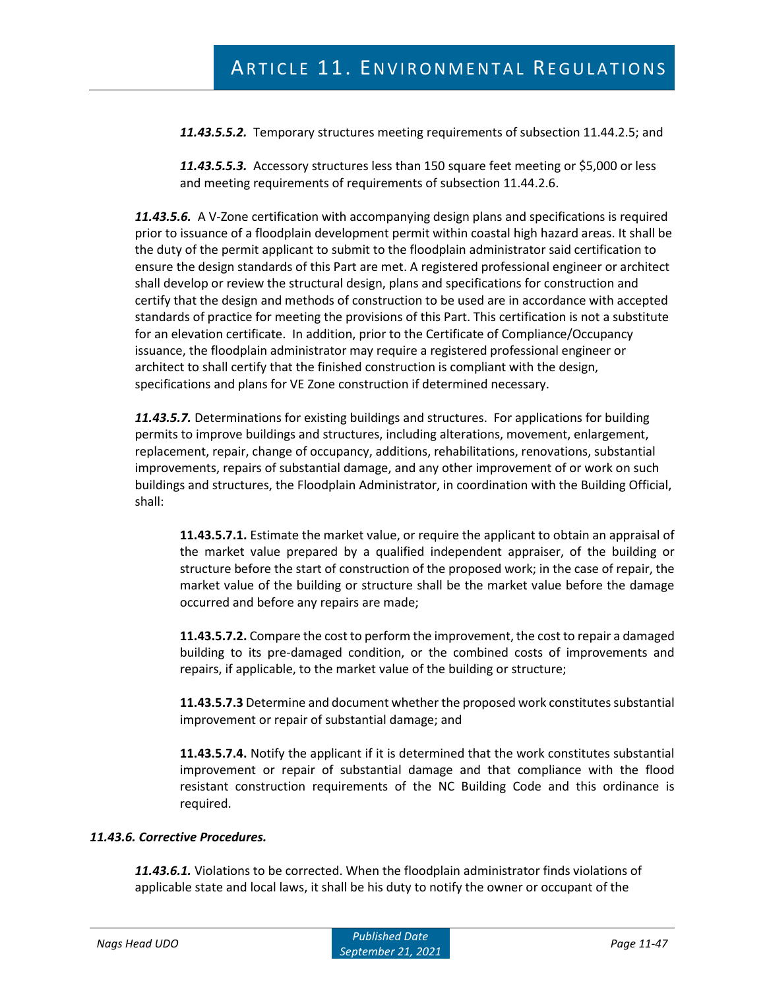*11.43.5.5.2.* Temporary structures meeting requirements of subsection 11.44.2.5; and

*11.43.5.5.3.* Accessory structures less than 150 square feet meeting or \$5,000 or less and meeting requirements of requirements of subsection 11.44.2.6.

*11.43.5.6.* A V-Zone certification with accompanying design plans and specifications is required prior to issuance of a floodplain development permit within coastal high hazard areas. It shall be the duty of the permit applicant to submit to the floodplain administrator said certification to ensure the design standards of this Part are met. A registered professional engineer or architect shall develop or review the structural design, plans and specifications for construction and certify that the design and methods of construction to be used are in accordance with accepted standards of practice for meeting the provisions of this Part. This certification is not a substitute for an elevation certificate. In addition, prior to the Certificate of Compliance/Occupancy issuance, the floodplain administrator may require a registered professional engineer or architect to shall certify that the finished construction is compliant with the design, specifications and plans for VE Zone construction if determined necessary.

*11.43.5.7.* Determinations for existing buildings and structures. For applications for building permits to improve buildings and structures, including alterations, movement, enlargement, replacement, repair, change of occupancy, additions, rehabilitations, renovations, substantial improvements, repairs of substantial damage, and any other improvement of or work on such buildings and structures, the Floodplain Administrator, in coordination with the Building Official, shall:

**11.43.5.7.1.** Estimate the market value, or require the applicant to obtain an appraisal of the market value prepared by a qualified independent appraiser, of the building or structure before the start of construction of the proposed work; in the case of repair, the market value of the building or structure shall be the market value before the damage occurred and before any repairs are made;

**11.43.5.7.2.** Compare the cost to perform the improvement, the cost to repair a damaged building to its pre-damaged condition, or the combined costs of improvements and repairs, if applicable, to the market value of the building or structure;

**11.43.5.7.3** Determine and document whether the proposed work constitutes substantial improvement or repair of substantial damage; and

**11.43.5.7.4.** Notify the applicant if it is determined that the work constitutes substantial improvement or repair of substantial damage and that compliance with the flood resistant construction requirements of the NC Building Code and this ordinance is required.

#### *11.43.6. Corrective Procedures.*

*11.43.6.1.* Violations to be corrected. When the floodplain administrator finds violations of applicable state and local laws, it shall be his duty to notify the owner or occupant of the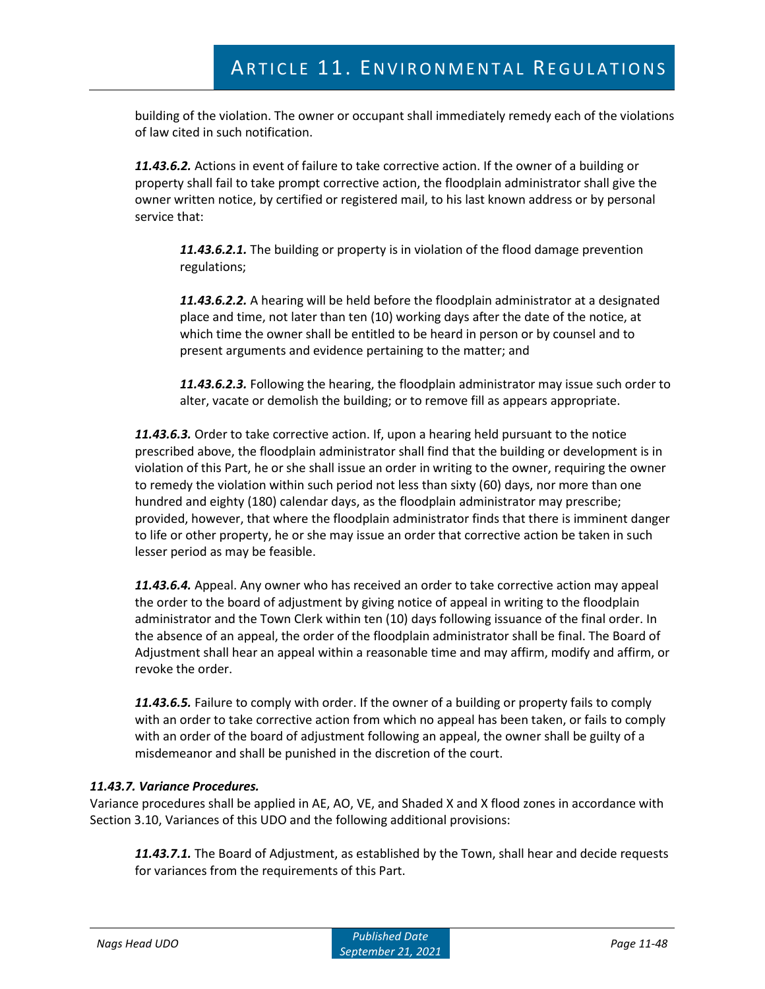building of the violation. The owner or occupant shall immediately remedy each of the violations of law cited in such notification.

*11.43.6.2.* Actions in event of failure to take corrective action. If the owner of a building or property shall fail to take prompt corrective action, the floodplain administrator shall give the owner written notice, by certified or registered mail, to his last known address or by personal service that:

*11.43.6.2.1.* The building or property is in violation of the flood damage prevention regulations;

*11.43.6.2.2.* A hearing will be held before the floodplain administrator at a designated place and time, not later than ten (10) working days after the date of the notice, at which time the owner shall be entitled to be heard in person or by counsel and to present arguments and evidence pertaining to the matter; and

*11.43.6.2.3.* Following the hearing, the floodplain administrator may issue such order to alter, vacate or demolish the building; or to remove fill as appears appropriate.

*11.43.6.3.* Order to take corrective action. If, upon a hearing held pursuant to the notice prescribed above, the floodplain administrator shall find that the building or development is in violation of this Part, he or she shall issue an order in writing to the owner, requiring the owner to remedy the violation within such period not less than sixty (60) days, nor more than one hundred and eighty (180) calendar days, as the floodplain administrator may prescribe; provided, however, that where the floodplain administrator finds that there is imminent danger to life or other property, he or she may issue an order that corrective action be taken in such lesser period as may be feasible.

*11.43.6.4.* Appeal. Any owner who has received an order to take corrective action may appeal the order to the board of adjustment by giving notice of appeal in writing to the floodplain administrator and the Town Clerk within ten (10) days following issuance of the final order. In the absence of an appeal, the order of the floodplain administrator shall be final. The Board of Adjustment shall hear an appeal within a reasonable time and may affirm, modify and affirm, or revoke the order.

*11.43.6.5.* Failure to comply with order. If the owner of a building or property fails to comply with an order to take corrective action from which no appeal has been taken, or fails to comply with an order of the board of adjustment following an appeal, the owner shall be guilty of a misdemeanor and shall be punished in the discretion of the court.

## *11.43.7. Variance Procedures.*

Variance procedures shall be applied in AE, AO, VE, and Shaded X and X flood zones in accordance with Section 3.10, Variances of this UDO and the following additional provisions:

*11.43.7.1.* The Board of Adjustment, as established by the Town, shall hear and decide requests for variances from the requirements of this Part.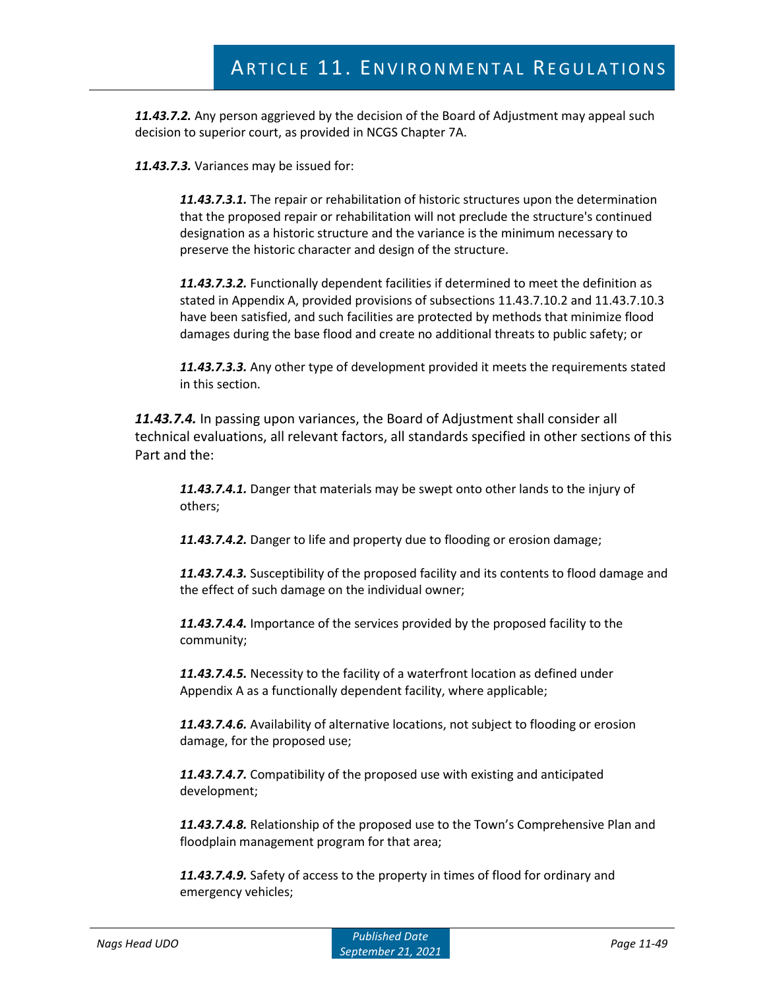*11.43.7.2.* Any person aggrieved by the decision of the Board of Adjustment may appeal such decision to superior court, as provided in NCGS Chapter 7A.

*11.43.7.3.* Variances may be issued for:

*11.43.7.3.1.* The repair or rehabilitation of historic structures upon the determination that the proposed repair or rehabilitation will not preclude the structure's continued designation as a historic structure and the variance is the minimum necessary to preserve the historic character and design of the structure.

*11.43.7.3.2.* Functionally dependent facilities if determined to meet the definition as stated in Appendix A, provided provisions of subsections 11.43.7.10.2 and 11.43.7.10.3 have been satisfied, and such facilities are protected by methods that minimize flood damages during the base flood and create no additional threats to public safety; or

*11.43.7.3.3.* Any other type of development provided it meets the requirements stated in this section.

*11.43.7.4.* In passing upon variances, the Board of Adjustment shall consider all technical evaluations, all relevant factors, all standards specified in other sections of this Part and the:

*11.43.7.4.1.* Danger that materials may be swept onto other lands to the injury of others;

*11.43.7.4.2.* Danger to life and property due to flooding or erosion damage;

*11.43.7.4.3.* Susceptibility of the proposed facility and its contents to flood damage and the effect of such damage on the individual owner;

*11.43.7.4.4.* Importance of the services provided by the proposed facility to the community;

*11.43.7.4.5.* Necessity to the facility of a waterfront location as defined under Appendix A as a functionally dependent facility, where applicable;

*11.43.7.4.6.* Availability of alternative locations, not subject to flooding or erosion damage, for the proposed use;

*11.43.7.4.7.* Compatibility of the proposed use with existing and anticipated development;

*11.43.7.4.8.* Relationship of the proposed use to the Town's Comprehensive Plan and floodplain management program for that area;

*11.43.7.4.9.* Safety of access to the property in times of flood for ordinary and emergency vehicles;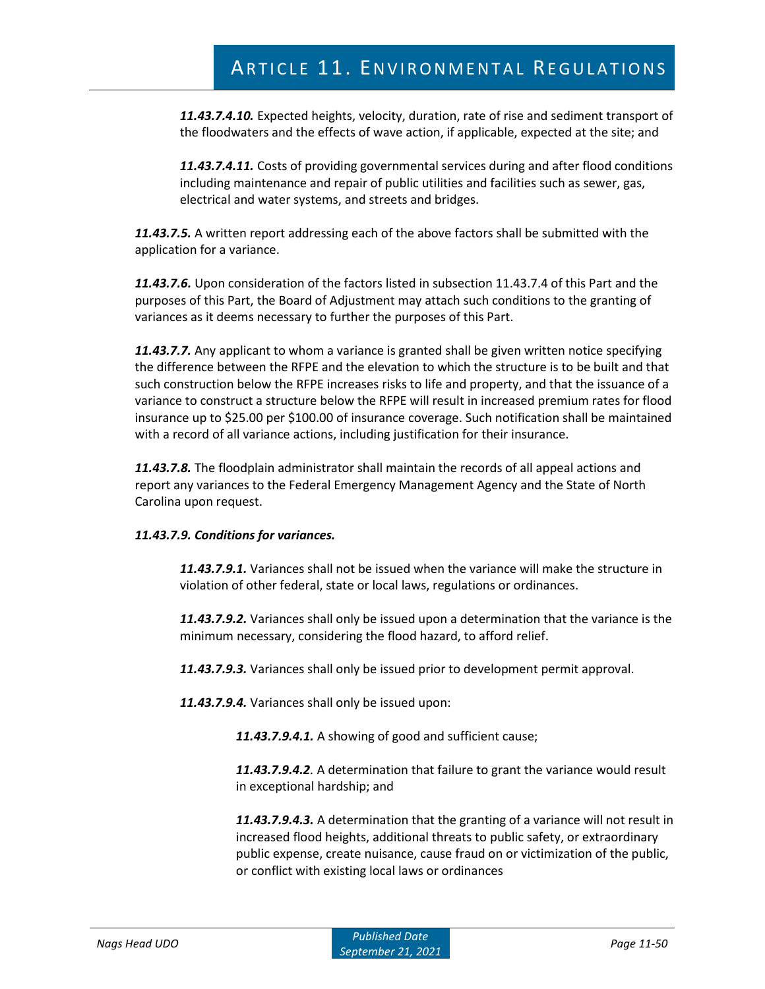*11.43.7.4.10.* Expected heights, velocity, duration, rate of rise and sediment transport of the floodwaters and the effects of wave action, if applicable, expected at the site; and

*11.43.7.4.11.* Costs of providing governmental services during and after flood conditions including maintenance and repair of public utilities and facilities such as sewer, gas, electrical and water systems, and streets and bridges.

*11.43.7.5.* A written report addressing each of the above factors shall be submitted with the application for a variance.

*11.43.7.6.* Upon consideration of the factors listed in subsection 11.43.7.4 of this Part and the purposes of this Part, the Board of Adjustment may attach such conditions to the granting of variances as it deems necessary to further the purposes of this Part.

*11.43.7.7.* Any applicant to whom a variance is granted shall be given written notice specifying the difference between the RFPE and the elevation to which the structure is to be built and that such construction below the RFPE increases risks to life and property, and that the issuance of a variance to construct a structure below the RFPE will result in increased premium rates for flood insurance up to \$25.00 per \$100.00 of insurance coverage. Such notification shall be maintained with a record of all variance actions, including justification for their insurance.

*11.43.7.8.* The floodplain administrator shall maintain the records of all appeal actions and report any variances to the Federal Emergency Management Agency and the State of North Carolina upon request.

## *11.43.7.9. Conditions for variances.*

*11.43.7.9.1.* Variances shall not be issued when the variance will make the structure in violation of other federal, state or local laws, regulations or ordinances.

*11.43.7.9.2.* Variances shall only be issued upon a determination that the variance is the minimum necessary, considering the flood hazard, to afford relief.

*11.43.7.9.3.* Variances shall only be issued prior to development permit approval.

*11.43.7.9.4.* Variances shall only be issued upon:

*11.43.7.9.4.1.* A showing of good and sufficient cause;

*11.43.7.9.4.2.* A determination that failure to grant the variance would result in exceptional hardship; and

*11.43.7.9.4.3.* A determination that the granting of a variance will not result in increased flood heights, additional threats to public safety, or extraordinary public expense, create nuisance, cause fraud on or victimization of the public, or conflict with existing local laws or ordinances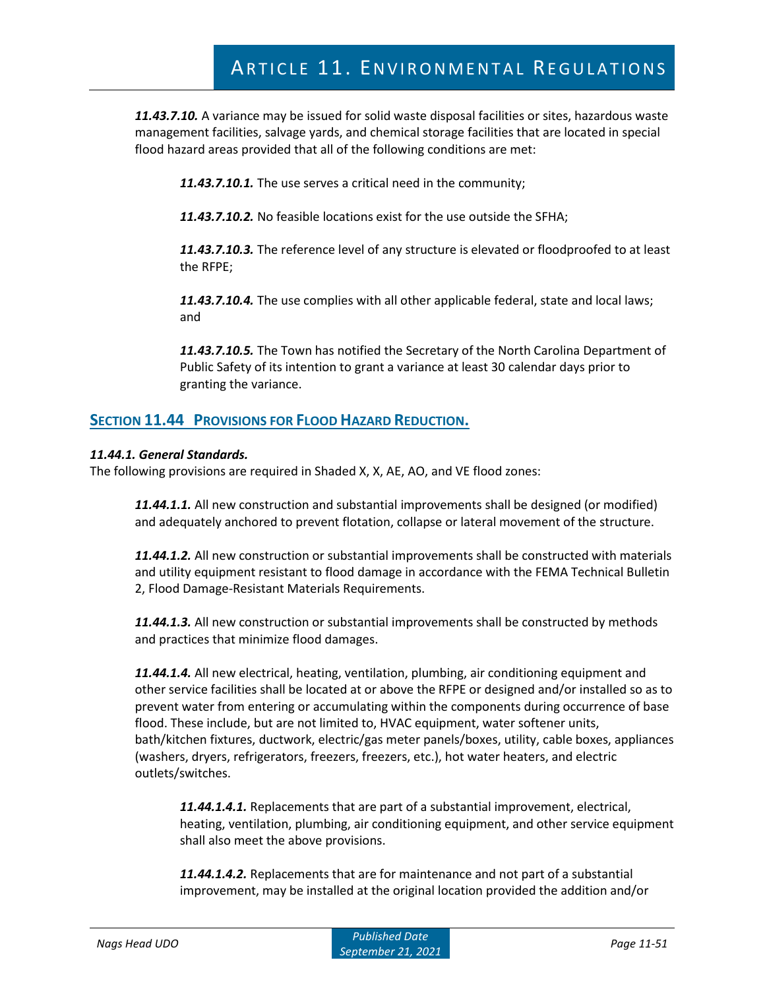*11.43.7.10.* A variance may be issued for solid waste disposal facilities or sites, hazardous waste management facilities, salvage yards, and chemical storage facilities that are located in special flood hazard areas provided that all of the following conditions are met:

*11.43.7.10.1.* The use serves a critical need in the community;

*11.43.7.10.2.* No feasible locations exist for the use outside the SFHA;

*11.43.7.10.3.* The reference level of any structure is elevated or floodproofed to at least the RFPE;

*11.43.7.10.4.* The use complies with all other applicable federal, state and local laws; and

*11.43.7.10.5.* The Town has notified the Secretary of the North Carolina Department of Public Safety of its intention to grant a variance at least 30 calendar days prior to granting the variance.

# **SECTION 11.44 PROVISIONS FOR FLOOD HAZARD REDUCTION.**

#### *11.44.1. General Standards.*

The following provisions are required in Shaded X, X, AE, AO, and VE flood zones:

*11.44.1.1.* All new construction and substantial improvements shall be designed (or modified) and adequately anchored to prevent flotation, collapse or lateral movement of the structure.

*11.44.1.2.* All new construction or substantial improvements shall be constructed with materials and utility equipment resistant to flood damage in accordance with the FEMA Technical Bulletin 2, Flood Damage-Resistant Materials Requirements.

*11.44.1.3.* All new construction or substantial improvements shall be constructed by methods and practices that minimize flood damages.

*11.44.1.4.* All new electrical, heating, ventilation, plumbing, air conditioning equipment and other service facilities shall be located at or above the RFPE or designed and/or installed so as to prevent water from entering or accumulating within the components during occurrence of base flood. These include, but are not limited to, HVAC equipment, water softener units, bath/kitchen fixtures, ductwork, electric/gas meter panels/boxes, utility, cable boxes, appliances (washers, dryers, refrigerators, freezers, freezers, etc.), hot water heaters, and electric outlets/switches.

*11.44.1.4.1.* Replacements that are part of a substantial improvement, electrical, heating, ventilation, plumbing, air conditioning equipment, and other service equipment shall also meet the above provisions.

*11.44.1.4.2.* Replacements that are for maintenance and not part of a substantial improvement, may be installed at the original location provided the addition and/or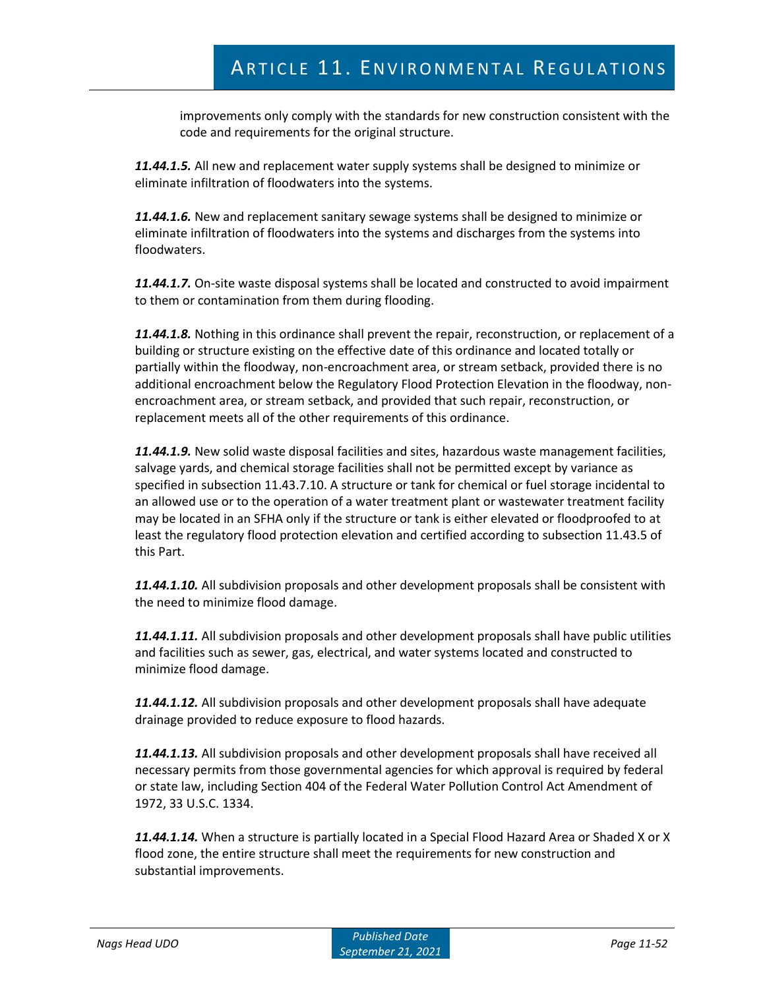improvements only comply with the standards for new construction consistent with the code and requirements for the original structure.

*11.44.1.5.* All new and replacement water supply systems shall be designed to minimize or eliminate infiltration of floodwaters into the systems.

*11.44.1.6.* New and replacement sanitary sewage systems shall be designed to minimize or eliminate infiltration of floodwaters into the systems and discharges from the systems into floodwaters.

*11.44.1.7.* On-site waste disposal systems shall be located and constructed to avoid impairment to them or contamination from them during flooding.

*11.44.1.8.* Nothing in this ordinance shall prevent the repair, reconstruction, or replacement of a building or structure existing on the effective date of this ordinance and located totally or partially within the floodway, non-encroachment area, or stream setback, provided there is no additional encroachment below the Regulatory Flood Protection Elevation in the floodway, nonencroachment area, or stream setback, and provided that such repair, reconstruction, or replacement meets all of the other requirements of this ordinance.

*11.44.1.9.* New solid waste disposal facilities and sites, hazardous waste management facilities, salvage yards, and chemical storage facilities shall not be permitted except by variance as specified in subsection 11.43.7.10. A structure or tank for chemical or fuel storage incidental to an allowed use or to the operation of a water treatment plant or wastewater treatment facility may be located in an SFHA only if the structure or tank is either elevated or floodproofed to at least the regulatory flood protection elevation and certified according to subsection 11.43.5 of this Part.

*11.44.1.10.* All subdivision proposals and other development proposals shall be consistent with the need to minimize flood damage.

*11.44.1.11.* All subdivision proposals and other development proposals shall have public utilities and facilities such as sewer, gas, electrical, and water systems located and constructed to minimize flood damage.

*11.44.1.12.* All subdivision proposals and other development proposals shall have adequate drainage provided to reduce exposure to flood hazards.

*11.44.1.13.* All subdivision proposals and other development proposals shall have received all necessary permits from those governmental agencies for which approval is required by federal or state law, including Section 404 of the Federal Water Pollution Control Act Amendment of 1972, 33 U.S.C. 1334.

*11.44.1.14.* When a structure is partially located in a Special Flood Hazard Area or Shaded X or X flood zone, the entire structure shall meet the requirements for new construction and substantial improvements.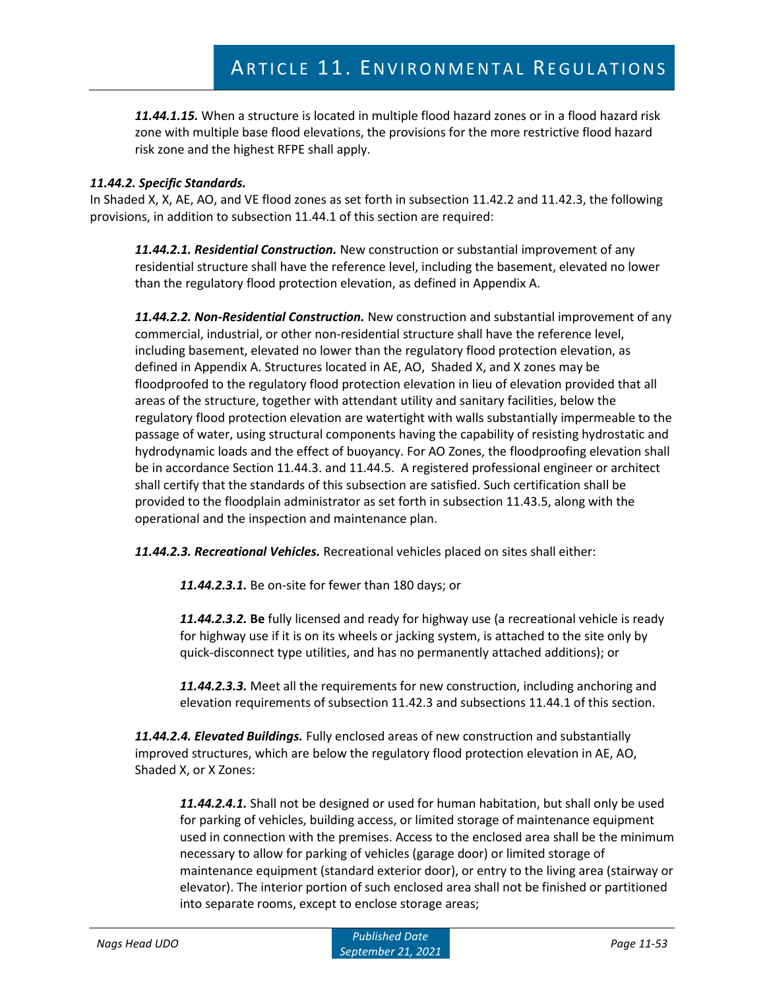*11.44.1.15.* When a structure is located in multiple flood hazard zones or in a flood hazard risk zone with multiple base flood elevations, the provisions for the more restrictive flood hazard risk zone and the highest RFPE shall apply.

## *11.44.2. Specific Standards.*

In Shaded X, X, AE, AO, and VE flood zones as set forth in subsection 11.42.2 and 11.42.3, the following provisions, in addition to subsection 11.44.1 of this section are required:

*11.44.2.1. Residential Construction.* New construction or substantial improvement of any residential structure shall have the reference level, including the basement, elevated no lower than the regulatory flood protection elevation, as defined in Appendix A.

*11.44.2.2. Non-Residential Construction.* New construction and substantial improvement of any commercial, industrial, or other non-residential structure shall have the reference level, including basement, elevated no lower than the regulatory flood protection elevation, as defined in Appendix A. Structures located in AE, AO, Shaded X, and X zones may be floodproofed to the regulatory flood protection elevation in lieu of elevation provided that all areas of the structure, together with attendant utility and sanitary facilities, below the regulatory flood protection elevation are watertight with walls substantially impermeable to the passage of water, using structural components having the capability of resisting hydrostatic and hydrodynamic loads and the effect of buoyancy. For AO Zones, the floodproofing elevation shall be in accordance Section 11.44.3. and 11.44.5. A registered professional engineer or architect shall certify that the standards of this subsection are satisfied. Such certification shall be provided to the floodplain administrator as set forth in subsection 11.43.5, along with the operational and the inspection and maintenance plan.

*11.44.2.3. Recreational Vehicles.* Recreational vehicles placed on sites shall either:

*11.44.2.3.1.* Be on-site for fewer than 180 days; or

*11.44.2.3.2.* **Be** fully licensed and ready for highway use (a recreational vehicle is ready for highway use if it is on its wheels or jacking system, is attached to the site only by quick-disconnect type utilities, and has no permanently attached additions); or

*11.44.2.3.3.* Meet all the requirements for new construction, including anchoring and elevation requirements of subsection 11.42.3 and subsections 11.44.1 of this section.

*11.44.2.4. Elevated Buildings.* Fully enclosed areas of new construction and substantially improved structures, which are below the regulatory flood protection elevation in AE, AO, Shaded X, or X Zones:

*11.44.2.4.1.* Shall not be designed or used for human habitation, but shall only be used for parking of vehicles, building access, or limited storage of maintenance equipment used in connection with the premises. Access to the enclosed area shall be the minimum necessary to allow for parking of vehicles (garage door) or limited storage of maintenance equipment (standard exterior door), or entry to the living area (stairway or elevator). The interior portion of such enclosed area shall not be finished or partitioned into separate rooms, except to enclose storage areas;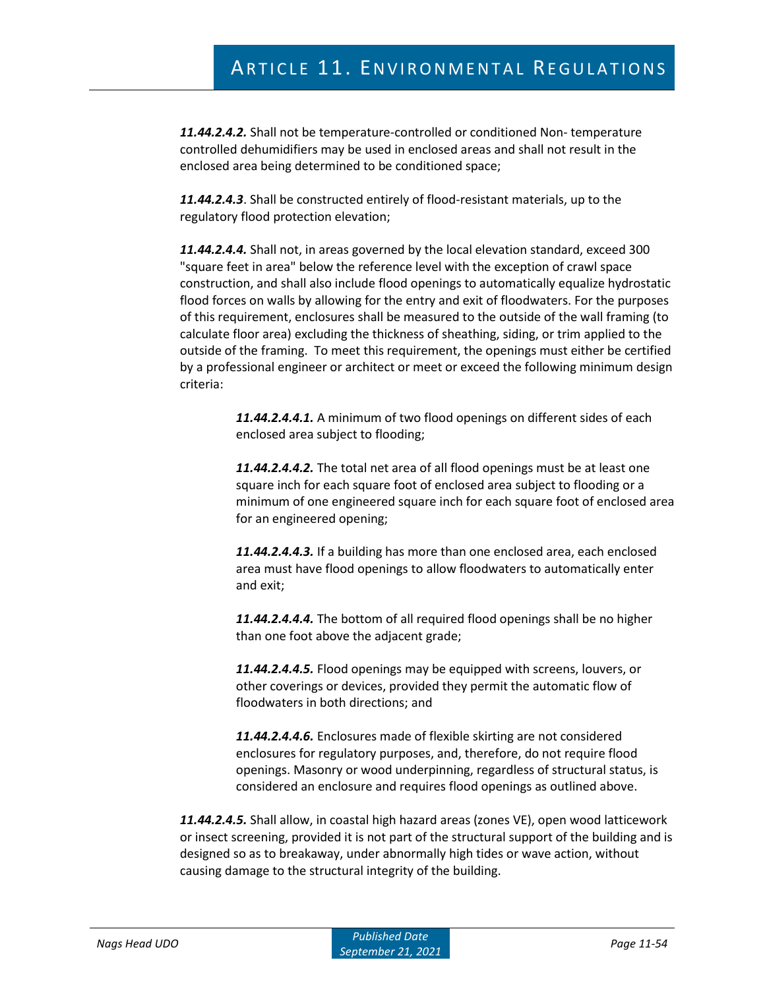*11.44.2.4.2.* Shall not be temperature-controlled or conditioned Non- temperature controlled dehumidifiers may be used in enclosed areas and shall not result in the enclosed area being determined to be conditioned space;

*11.44.2.4.3*. Shall be constructed entirely of flood-resistant materials, up to the regulatory flood protection elevation;

*11.44.2.4.4.* Shall not, in areas governed by the local elevation standard, exceed 300 "square feet in area" below the reference level with the exception of crawl space construction, and shall also include flood openings to automatically equalize hydrostatic flood forces on walls by allowing for the entry and exit of floodwaters. For the purposes of this requirement, enclosures shall be measured to the outside of the wall framing (to calculate floor area) excluding the thickness of sheathing, siding, or trim applied to the outside of the framing. To meet this requirement, the openings must either be certified by a professional engineer or architect or meet or exceed the following minimum design criteria:

> *11.44.2.4.4.1.* A minimum of two flood openings on different sides of each enclosed area subject to flooding;

*11.44.2.4.4.2.* The total net area of all flood openings must be at least one square inch for each square foot of enclosed area subject to flooding or a minimum of one engineered square inch for each square foot of enclosed area for an engineered opening;

*11.44.2.4.4.3.* If a building has more than one enclosed area, each enclosed area must have flood openings to allow floodwaters to automatically enter and exit;

*11.44.2.4.4.4.* The bottom of all required flood openings shall be no higher than one foot above the adjacent grade;

*11.44.2.4.4.5.* Flood openings may be equipped with screens, louvers, or other coverings or devices, provided they permit the automatic flow of floodwaters in both directions; and

*11.44.2.4.4.6.* Enclosures made of flexible skirting are not considered enclosures for regulatory purposes, and, therefore, do not require flood openings. Masonry or wood underpinning, regardless of structural status, is considered an enclosure and requires flood openings as outlined above.

*11.44.2.4.5.* Shall allow, in coastal high hazard areas (zones VE), open wood latticework or insect screening, provided it is not part of the structural support of the building and is designed so as to breakaway, under abnormally high tides or wave action, without causing damage to the structural integrity of the building.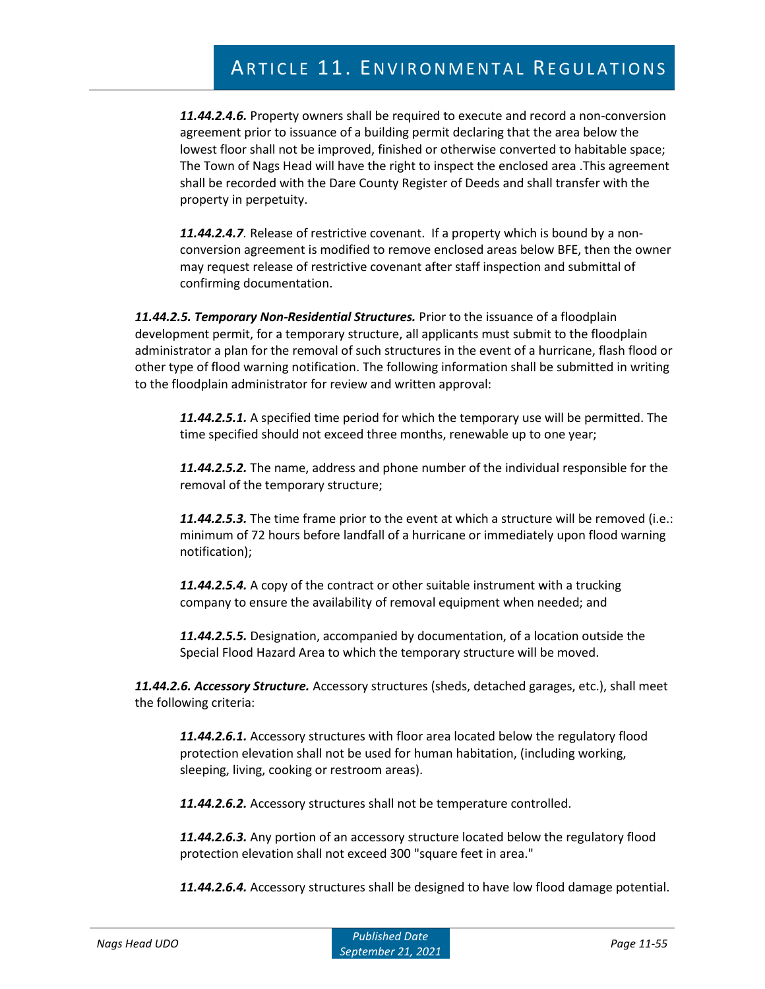*11.44.2.4.6.* Property owners shall be required to execute and record a non-conversion agreement prior to issuance of a building permit declaring that the area below the lowest floor shall not be improved, finished or otherwise converted to habitable space; The Town of Nags Head will have the right to inspect the enclosed area .This agreement shall be recorded with the Dare County Register of Deeds and shall transfer with the property in perpetuity.

*11.44.2.4.7.* Release of restrictive covenant. If a property which is bound by a nonconversion agreement is modified to remove enclosed areas below BFE, then the owner may request release of restrictive covenant after staff inspection and submittal of confirming documentation.

*11.44.2.5. Temporary Non-Residential Structures.* Prior to the issuance of a floodplain development permit, for a temporary structure, all applicants must submit to the floodplain administrator a plan for the removal of such structures in the event of a hurricane, flash flood or other type of flood warning notification. The following information shall be submitted in writing to the floodplain administrator for review and written approval:

*11.44.2.5.1.* A specified time period for which the temporary use will be permitted. The time specified should not exceed three months, renewable up to one year;

*11.44.2.5.2.* The name, address and phone number of the individual responsible for the removal of the temporary structure;

*11.44.2.5.3.* The time frame prior to the event at which a structure will be removed (i.e.: minimum of 72 hours before landfall of a hurricane or immediately upon flood warning notification);

*11.44.2.5.4.* A copy of the contract or other suitable instrument with a trucking company to ensure the availability of removal equipment when needed; and

*11.44.2.5.5.* Designation, accompanied by documentation, of a location outside the Special Flood Hazard Area to which the temporary structure will be moved.

*11.44.2.6. Accessory Structure.* Accessory structures (sheds, detached garages, etc.), shall meet the following criteria:

*11.44.2.6.1.* Accessory structures with floor area located below the regulatory flood protection elevation shall not be used for human habitation, (including working, sleeping, living, cooking or restroom areas).

*11.44.2.6.2.* Accessory structures shall not be temperature controlled.

*11.44.2.6.3.* Any portion of an accessory structure located below the regulatory flood protection elevation shall not exceed 300 "square feet in area."

*11.44.2.6.4.* Accessory structures shall be designed to have low flood damage potential.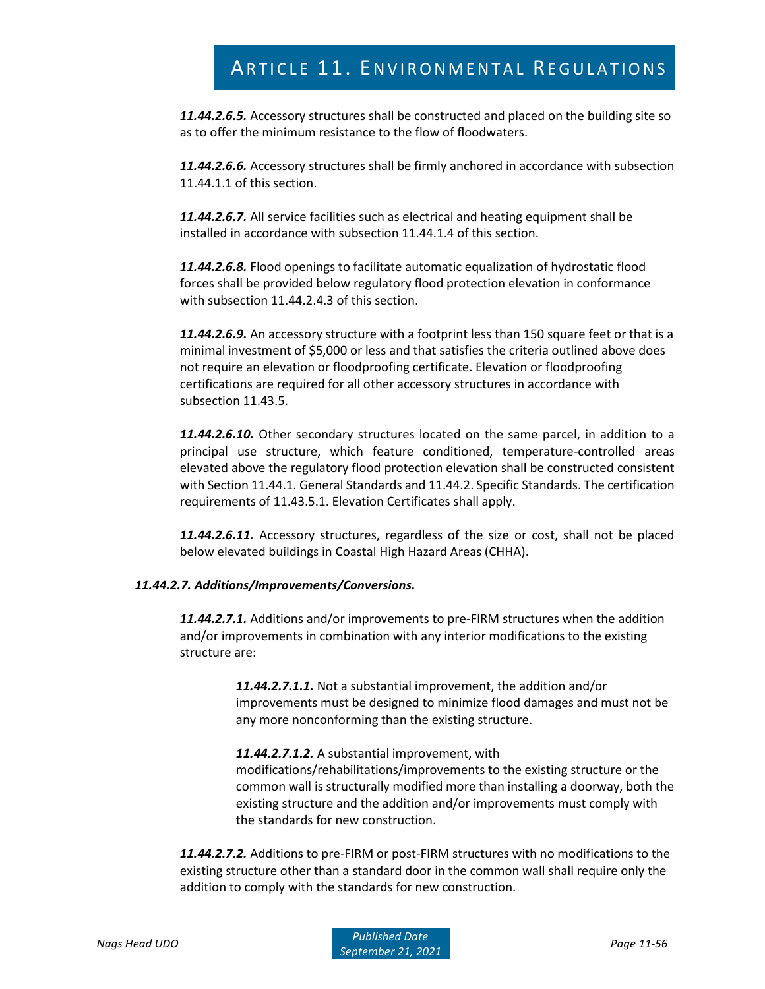*11.44.2.6.5.* Accessory structures shall be constructed and placed on the building site so as to offer the minimum resistance to the flow of floodwaters.

*11.44.2.6.6.* Accessory structures shall be firmly anchored in accordance with subsection 11.44.1.1 of this section.

*11.44.2.6.7.* All service facilities such as electrical and heating equipment shall be installed in accordance with subsection 11.44.1.4 of this section.

*11.44.2.6.8.* Flood openings to facilitate automatic equalization of hydrostatic flood forces shall be provided below regulatory flood protection elevation in conformance with subsection 11.44.2.4.3 of this section.

*11.44.2.6.9.* An accessory structure with a footprint less than 150 square feet or that is a minimal investment of \$5,000 or less and that satisfies the criteria outlined above does not require an elevation or floodproofing certificate. Elevation or floodproofing certifications are required for all other accessory structures in accordance with subsection 11.43.5.

*11.44.2.6.10.* Other secondary structures located on the same parcel, in addition to a principal use structure, which feature conditioned, temperature-controlled areas elevated above the regulatory flood protection elevation shall be constructed consistent with Section 11.44.1. General Standards and 11.44.2. Specific Standards. The certification requirements of 11.43.5.1. Elevation Certificates shall apply.

*11.44.2.6.11.* Accessory structures, regardless of the size or cost, shall not be placed below elevated buildings in Coastal High Hazard Areas (CHHA).

## *11.44.2.7. Additions/Improvements/Conversions.*

*11.44.2.7.1.* Additions and/or improvements to pre-FIRM structures when the addition and/or improvements in combination with any interior modifications to the existing structure are:

> *11.44.2.7.1.1.* Not a substantial improvement, the addition and/or improvements must be designed to minimize flood damages and must not be any more nonconforming than the existing structure.

*11.44.2.7.1.2.* A substantial improvement, with modifications/rehabilitations/improvements to the existing structure or the common wall is structurally modified more than installing a doorway, both the existing structure and the addition and/or improvements must comply with the standards for new construction.

*11.44.2.7.2.* Additions to pre-FIRM or post-FIRM structures with no modifications to the existing structure other than a standard door in the common wall shall require only the addition to comply with the standards for new construction.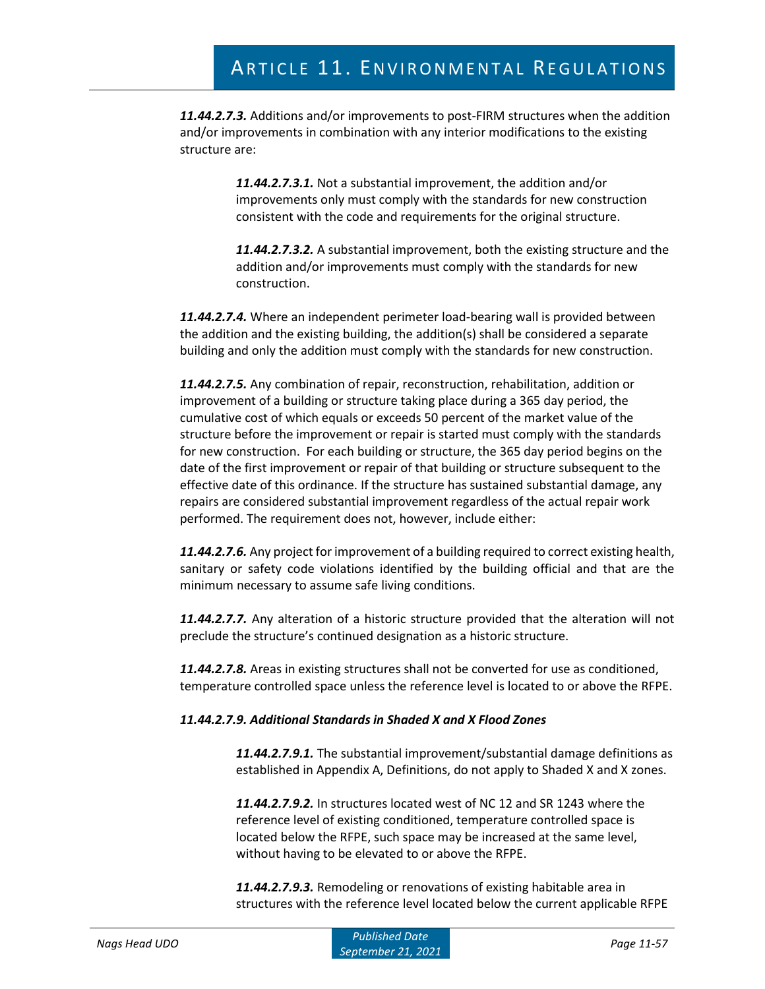*11.44.2.7.3.* Additions and/or improvements to post-FIRM structures when the addition and/or improvements in combination with any interior modifications to the existing structure are:

> *11.44.2.7.3.1.* Not a substantial improvement, the addition and/or improvements only must comply with the standards for new construction consistent with the code and requirements for the original structure.

*11.44.2.7.3.2.* A substantial improvement, both the existing structure and the addition and/or improvements must comply with the standards for new construction.

*11.44.2.7.4.* Where an independent perimeter load-bearing wall is provided between the addition and the existing building, the addition(s) shall be considered a separate building and only the addition must comply with the standards for new construction.

*11.44.2.7.5.* Any combination of repair, reconstruction, rehabilitation, addition or improvement of a building or structure taking place during a 365 day period, the cumulative cost of which equals or exceeds 50 percent of the market value of the structure before the improvement or repair is started must comply with the standards for new construction. For each building or structure, the 365 day period begins on the date of the first improvement or repair of that building or structure subsequent to the effective date of this ordinance. If the structure has sustained substantial damage, any repairs are considered substantial improvement regardless of the actual repair work performed. The requirement does not, however, include either:

*11.44.2.7.6.* Any project for improvement of a building required to correct existing health, sanitary or safety code violations identified by the building official and that are the minimum necessary to assume safe living conditions.

*11.44.2.7.7.* Any alteration of a historic structure provided that the alteration will not preclude the structure's continued designation as a historic structure.

*11.44.2.7.8.* Areas in existing structures shall not be converted for use as conditioned, temperature controlled space unless the reference level is located to or above the RFPE.

## *11.44.2.7.9. Additional Standards in Shaded X and X Flood Zones*

*11.44.2.7.9.1.* The substantial improvement/substantial damage definitions as established in Appendix A, Definitions, do not apply to Shaded X and X zones.

*11.44.2.7.9.2.* In structures located west of NC 12 and SR 1243 where the reference level of existing conditioned, temperature controlled space is located below the RFPE, such space may be increased at the same level, without having to be elevated to or above the RFPE.

*11.44.2.7.9.3.* Remodeling or renovations of existing habitable area in structures with the reference level located below the current applicable RFPE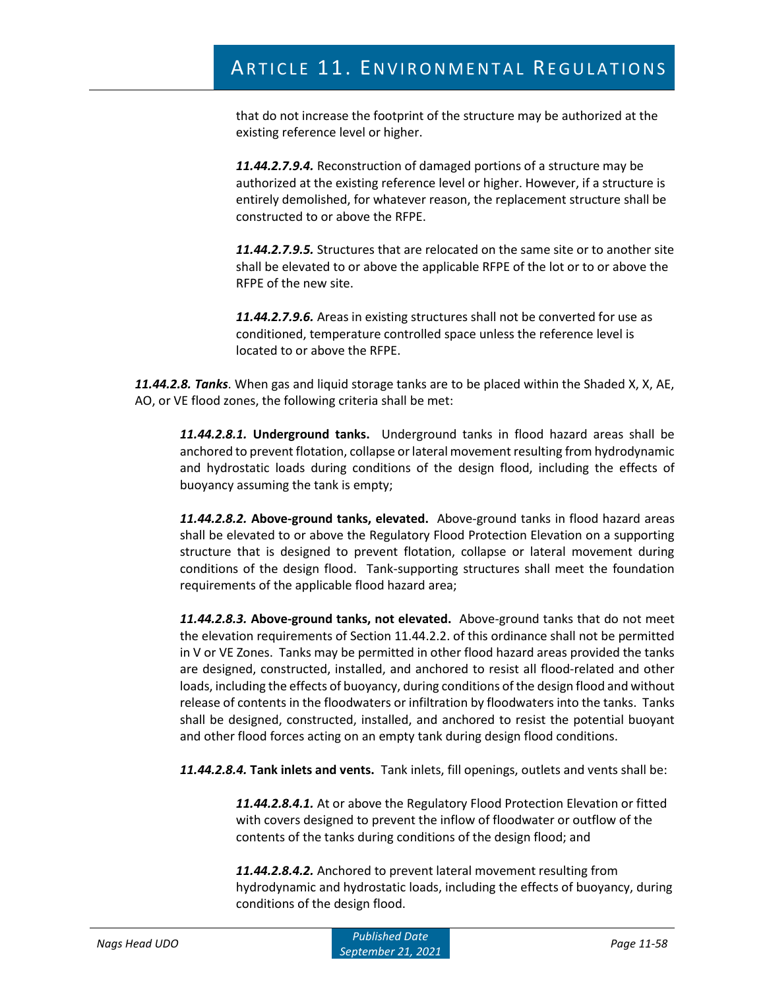that do not increase the footprint of the structure may be authorized at the existing reference level or higher.

*11.44.2.7.9.4.* Reconstruction of damaged portions of a structure may be authorized at the existing reference level or higher. However, if a structure is entirely demolished, for whatever reason, the replacement structure shall be constructed to or above the RFPE.

*11.44.2.7.9.5.* Structures that are relocated on the same site or to another site shall be elevated to or above the applicable RFPE of the lot or to or above the RFPE of the new site.

*11.44.2.7.9.6.* Areas in existing structures shall not be converted for use as conditioned, temperature controlled space unless the reference level is located to or above the RFPE.

*11.44.2.8. Tanks*. When gas and liquid storage tanks are to be placed within the Shaded X, X, AE, AO, or VE flood zones, the following criteria shall be met:

*11.44.2.8.1.* **Underground tanks.** Underground tanks in flood hazard areas shall be anchored to prevent flotation, collapse or lateral movement resulting from hydrodynamic and hydrostatic loads during conditions of the design flood, including the effects of buoyancy assuming the tank is empty;

*11.44.2.8.2.* **Above-ground tanks, elevated.** Above-ground tanks in flood hazard areas shall be elevated to or above the Regulatory Flood Protection Elevation on a supporting structure that is designed to prevent flotation, collapse or lateral movement during conditions of the design flood. Tank-supporting structures shall meet the foundation requirements of the applicable flood hazard area;

*11.44.2.8.3.* **Above-ground tanks, not elevated.** Above-ground tanks that do not meet the elevation requirements of Section 11.44.2.2. of this ordinance shall not be permitted in V or VE Zones. Tanks may be permitted in other flood hazard areas provided the tanks are designed, constructed, installed, and anchored to resist all flood-related and other loads, including the effects of buoyancy, during conditions of the design flood and without release of contents in the floodwaters or infiltration by floodwaters into the tanks. Tanks shall be designed, constructed, installed, and anchored to resist the potential buoyant and other flood forces acting on an empty tank during design flood conditions.

*11.44.2.8.4.* **Tank inlets and vents.** Tank inlets, fill openings, outlets and vents shall be:

*11.44.2.8.4.1.* At or above the Regulatory Flood Protection Elevation or fitted with covers designed to prevent the inflow of floodwater or outflow of the contents of the tanks during conditions of the design flood; and

*11.44.2.8.4.2.* Anchored to prevent lateral movement resulting from hydrodynamic and hydrostatic loads, including the effects of buoyancy, during conditions of the design flood.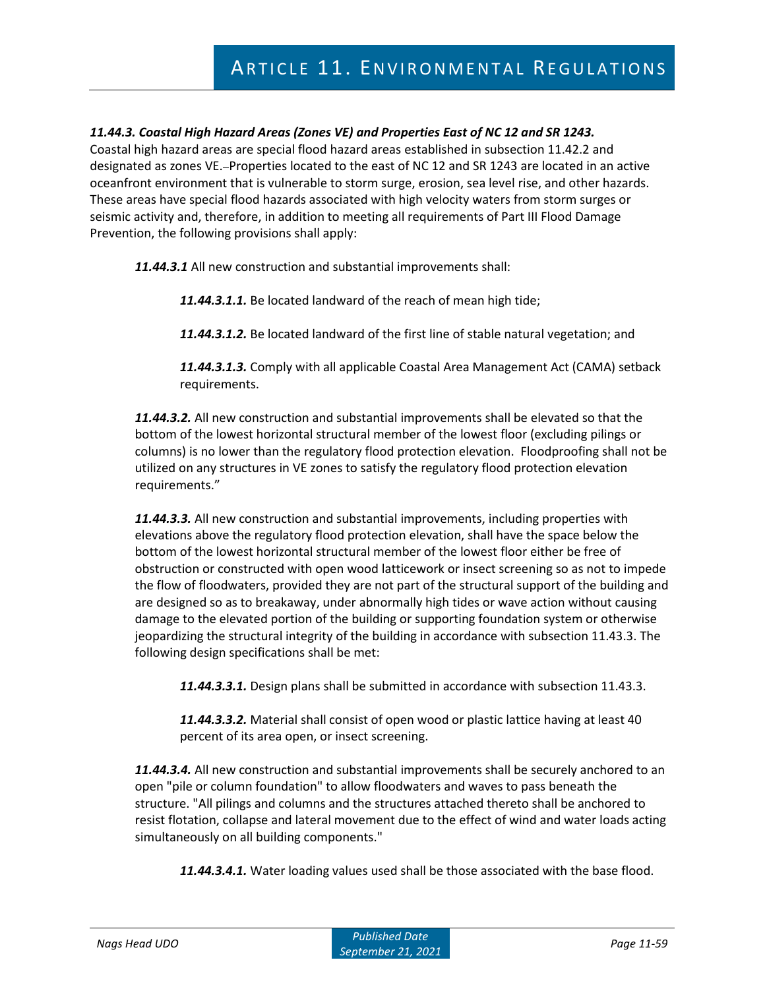# *11.44.3. Coastal High Hazard Areas (Zones VE) and Properties East of NC 12 and SR 1243.*

Coastal high hazard areas are special flood hazard areas established in subsection 11.42.2 and designated as zones VE. Properties located to the east of NC 12 and SR 1243 are located in an active oceanfront environment that is vulnerable to storm surge, erosion, sea level rise, and other hazards. These areas have special flood hazards associated with high velocity waters from storm surges or seismic activity and, therefore, in addition to meeting all requirements of Part III Flood Damage Prevention, the following provisions shall apply:

*11.44.3.1* All new construction and substantial improvements shall:

*11.44.3.1.1.* Be located landward of the reach of mean high tide;

*11.44.3.1.2.* Be located landward of the first line of stable natural vegetation; and

*11.44.3.1.3.* Comply with all applicable Coastal Area Management Act (CAMA) setback requirements.

*11.44.3.2.* All new construction and substantial improvements shall be elevated so that the bottom of the lowest horizontal structural member of the lowest floor (excluding pilings or columns) is no lower than the regulatory flood protection elevation. Floodproofing shall not be utilized on any structures in VE zones to satisfy the regulatory flood protection elevation requirements."

*11.44.3.3.* All new construction and substantial improvements, including properties with elevations above the regulatory flood protection elevation, shall have the space below the bottom of the lowest horizontal structural member of the lowest floor either be free of obstruction or constructed with open wood latticework or insect screening so as not to impede the flow of floodwaters, provided they are not part of the structural support of the building and are designed so as to breakaway, under abnormally high tides or wave action without causing damage to the elevated portion of the building or supporting foundation system or otherwise jeopardizing the structural integrity of the building in accordance with subsection 11.43.3. The following design specifications shall be met:

*11.44.3.3.1.* Design plans shall be submitted in accordance with subsection 11.43.3.

*11.44.3.3.2.* Material shall consist of open wood or plastic lattice having at least 40 percent of its area open, or insect screening.

*11.44.3.4.* All new construction and substantial improvements shall be securely anchored to an open "pile or column foundation" to allow floodwaters and waves to pass beneath the structure. "All pilings and columns and the structures attached thereto shall be anchored to resist flotation, collapse and lateral movement due to the effect of wind and water loads acting simultaneously on all building components."

*11.44.3.4.1.* Water loading values used shall be those associated with the base flood.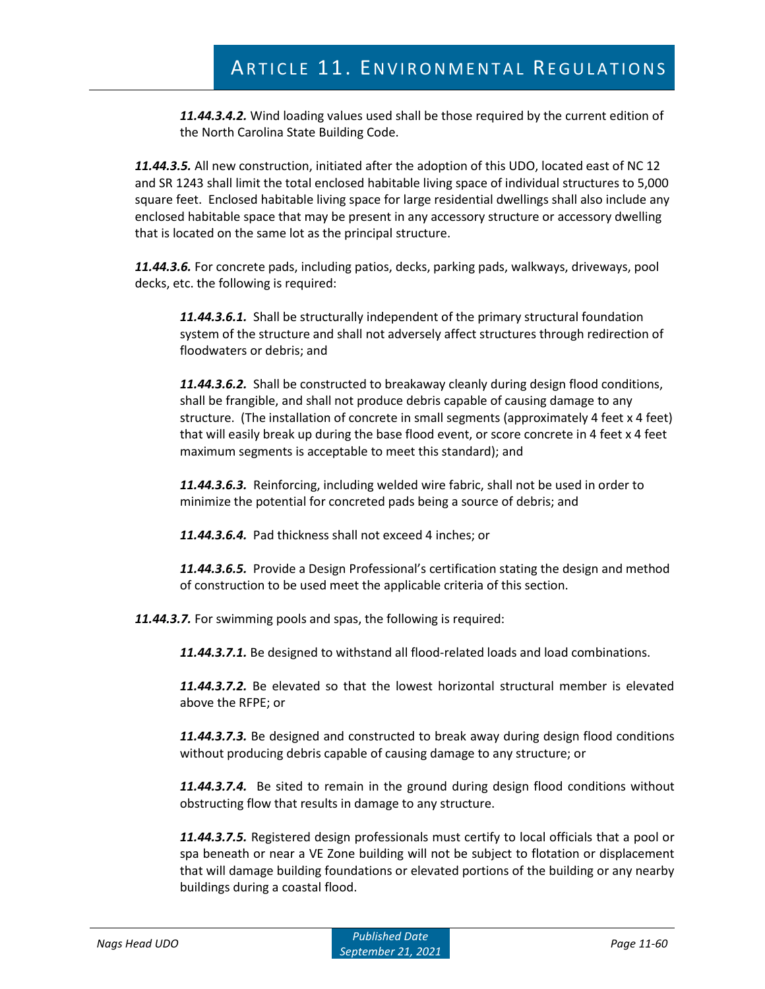*11.44.3.4.2.* Wind loading values used shall be those required by the current edition of the North Carolina State Building Code.

*11.44.3.5.* All new construction, initiated after the adoption of this UDO, located east of NC 12 and SR 1243 shall limit the total enclosed habitable living space of individual structures to 5,000 square feet. Enclosed habitable living space for large residential dwellings shall also include any enclosed habitable space that may be present in any accessory structure or accessory dwelling that is located on the same lot as the principal structure.

*11.44.3.6.* For concrete pads, including patios, decks, parking pads, walkways, driveways, pool decks, etc. the following is required:

*11.44.3.6.1.* Shall be structurally independent of the primary structural foundation system of the structure and shall not adversely affect structures through redirection of floodwaters or debris; and

*11.44.3.6.2.* Shall be constructed to breakaway cleanly during design flood conditions, shall be frangible, and shall not produce debris capable of causing damage to any structure. (The installation of concrete in small segments (approximately 4 feet x 4 feet) that will easily break up during the base flood event, or score concrete in 4 feet x 4 feet maximum segments is acceptable to meet this standard); and

*11.44.3.6.3.* Reinforcing, including welded wire fabric, shall not be used in order to minimize the potential for concreted pads being a source of debris; and

*11.44.3.6.4.* Pad thickness shall not exceed 4 inches; or

*11.44.3.6.5.* Provide a Design Professional's certification stating the design and method of construction to be used meet the applicable criteria of this section.

*11.44.3.7.* For swimming pools and spas, the following is required:

*11.44.3.7.1.* Be designed to withstand all flood-related loads and load combinations.

*11.44.3.7.2.* Be elevated so that the lowest horizontal structural member is elevated above the RFPE; or

*11.44.3.7.3.* Be designed and constructed to break away during design flood conditions without producing debris capable of causing damage to any structure; or

*11.44.3.7.4.* Be sited to remain in the ground during design flood conditions without obstructing flow that results in damage to any structure.

*11.44.3.7.5.* Registered design professionals must certify to local officials that a pool or spa beneath or near a VE Zone building will not be subject to flotation or displacement that will damage building foundations or elevated portions of the building or any nearby buildings during a coastal flood.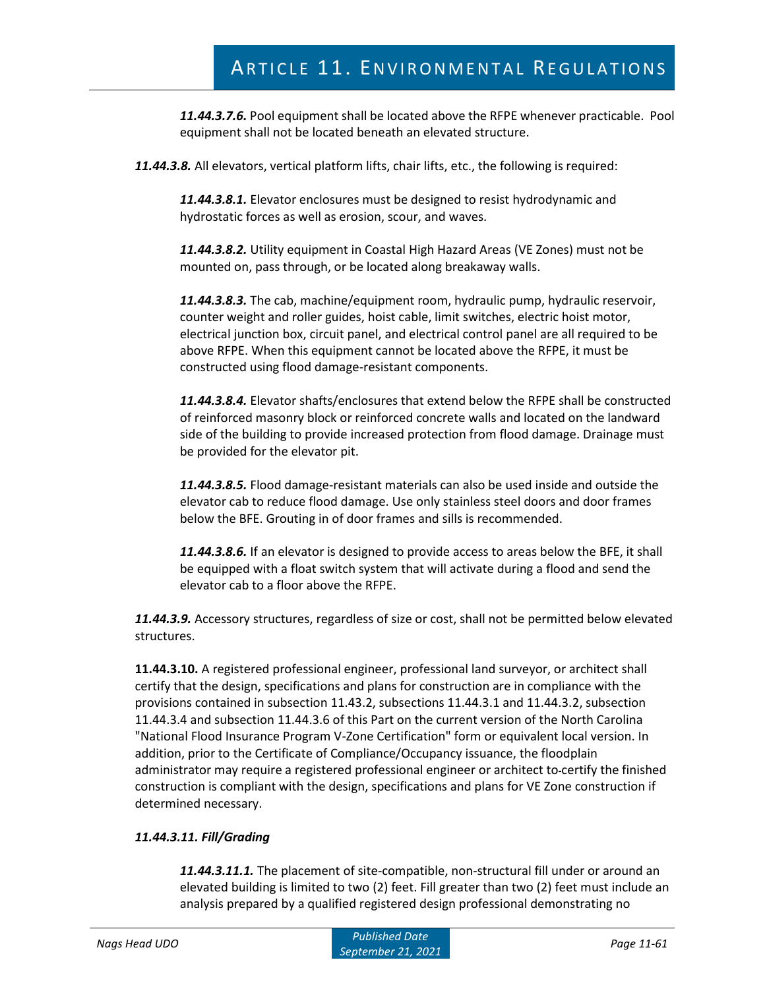*11.44.3.7.6.* Pool equipment shall be located above the RFPE whenever practicable. Pool equipment shall not be located beneath an elevated structure.

*11.44.3.8.* All elevators, vertical platform lifts, chair lifts, etc., the following is required:

*11.44.3.8.1.* Elevator enclosures must be designed to resist hydrodynamic and hydrostatic forces as well as erosion, scour, and waves.

*11.44.3.8.2.* Utility equipment in Coastal High Hazard Areas (VE Zones) must not be mounted on, pass through, or be located along breakaway walls.

*11.44.3.8.3.* The cab, machine/equipment room, hydraulic pump, hydraulic reservoir, counter weight and roller guides, hoist cable, limit switches, electric hoist motor, electrical junction box, circuit panel, and electrical control panel are all required to be above RFPE. When this equipment cannot be located above the RFPE, it must be constructed using flood damage-resistant components.

*11.44.3.8.4.* Elevator shafts/enclosures that extend below the RFPE shall be constructed of reinforced masonry block or reinforced concrete walls and located on the landward side of the building to provide increased protection from flood damage. Drainage must be provided for the elevator pit.

*11.44.3.8.5.* Flood damage-resistant materials can also be used inside and outside the elevator cab to reduce flood damage. Use only stainless steel doors and door frames below the BFE. Grouting in of door frames and sills is recommended.

*11.44.3.8.6.* If an elevator is designed to provide access to areas below the BFE, it shall be equipped with a float switch system that will activate during a flood and send the elevator cab to a floor above the RFPE.

*11.44.3.9.* Accessory structures, regardless of size or cost, shall not be permitted below elevated structures.

**11.44.3.10.** A registered professional engineer, professional land surveyor, or architect shall certify that the design, specifications and plans for construction are in compliance with the provisions contained in subsection 11.43.2, subsections 11.44.3.1 and 11.44.3.2, subsection 11.44.3.4 and subsection 11.44.3.6 of this Part on the current version of the North Carolina "National Flood Insurance Program V-Zone Certification" form or equivalent local version. In addition, prior to the Certificate of Compliance/Occupancy issuance, the floodplain administrator may require a registered professional engineer or architect to certify the finished construction is compliant with the design, specifications and plans for VE Zone construction if determined necessary.

# *11.44.3.11. Fill/Grading*

*11.44.3.11.1.* The placement of site-compatible, non-structural fill under or around an elevated building is limited to two (2) feet. Fill greater than two (2) feet must include an analysis prepared by a qualified registered design professional demonstrating no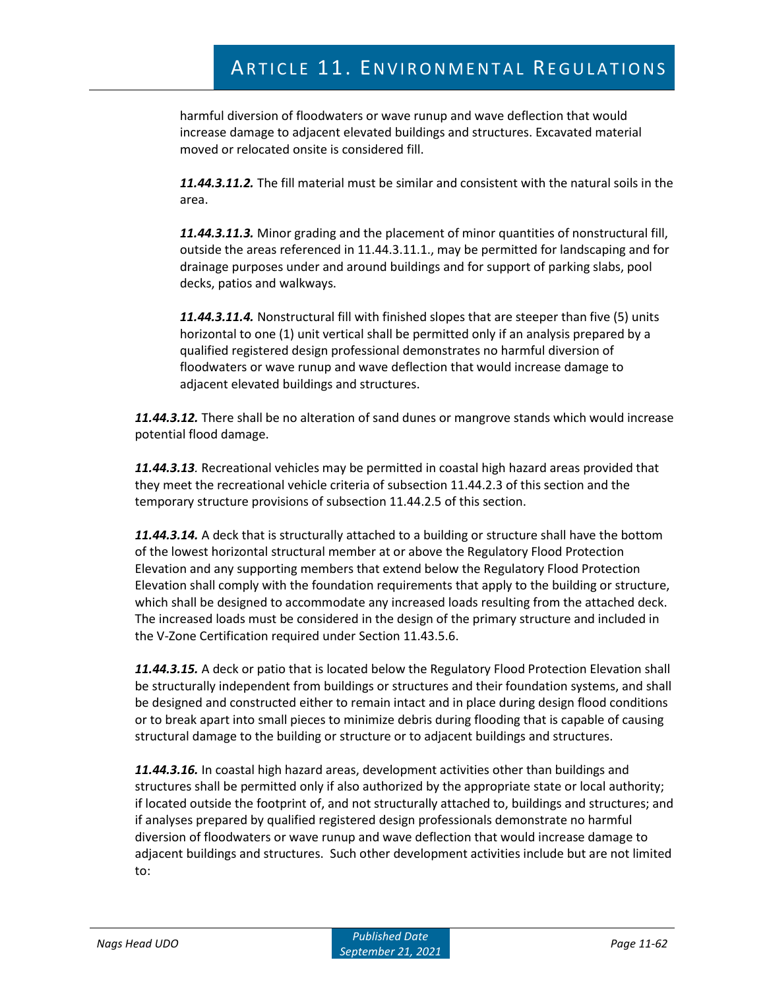harmful diversion of floodwaters or wave runup and wave deflection that would increase damage to adjacent elevated buildings and structures. Excavated material moved or relocated onsite is considered fill.

*11.44.3.11.2.* The fill material must be similar and consistent with the natural soils in the area.

*11.44.3.11.3.* Minor grading and the placement of minor quantities of nonstructural fill, outside the areas referenced in 11.44.3.11.1., may be permitted for landscaping and for drainage purposes under and around buildings and for support of parking slabs, pool decks, patios and walkways.

*11.44.3.11.4.* Nonstructural fill with finished slopes that are steeper than five (5) units horizontal to one (1) unit vertical shall be permitted only if an analysis prepared by a qualified registered design professional demonstrates no harmful diversion of floodwaters or wave runup and wave deflection that would increase damage to adjacent elevated buildings and structures.

*11.44.3.12.* There shall be no alteration of sand dunes or mangrove stands which would increase potential flood damage.

*11.44.3.13.* Recreational vehicles may be permitted in coastal high hazard areas provided that they meet the recreational vehicle criteria of subsection 11.44.2.3 of this section and the temporary structure provisions of subsection 11.44.2.5 of this section.

*11.44.3.14.* A deck that is structurally attached to a building or structure shall have the bottom of the lowest horizontal structural member at or above the Regulatory Flood Protection Elevation and any supporting members that extend below the Regulatory Flood Protection Elevation shall comply with the foundation requirements that apply to the building or structure, which shall be designed to accommodate any increased loads resulting from the attached deck. The increased loads must be considered in the design of the primary structure and included in the V-Zone Certification required under Section 11.43.5.6.

*11.44.3.15.* A deck or patio that is located below the Regulatory Flood Protection Elevation shall be structurally independent from buildings or structures and their foundation systems, and shall be designed and constructed either to remain intact and in place during design flood conditions or to break apart into small pieces to minimize debris during flooding that is capable of causing structural damage to the building or structure or to adjacent buildings and structures.

*11.44.3.16.* In coastal high hazard areas, development activities other than buildings and structures shall be permitted only if also authorized by the appropriate state or local authority; if located outside the footprint of, and not structurally attached to, buildings and structures; and if analyses prepared by qualified registered design professionals demonstrate no harmful diversion of floodwaters or wave runup and wave deflection that would increase damage to adjacent buildings and structures. Such other development activities include but are not limited to: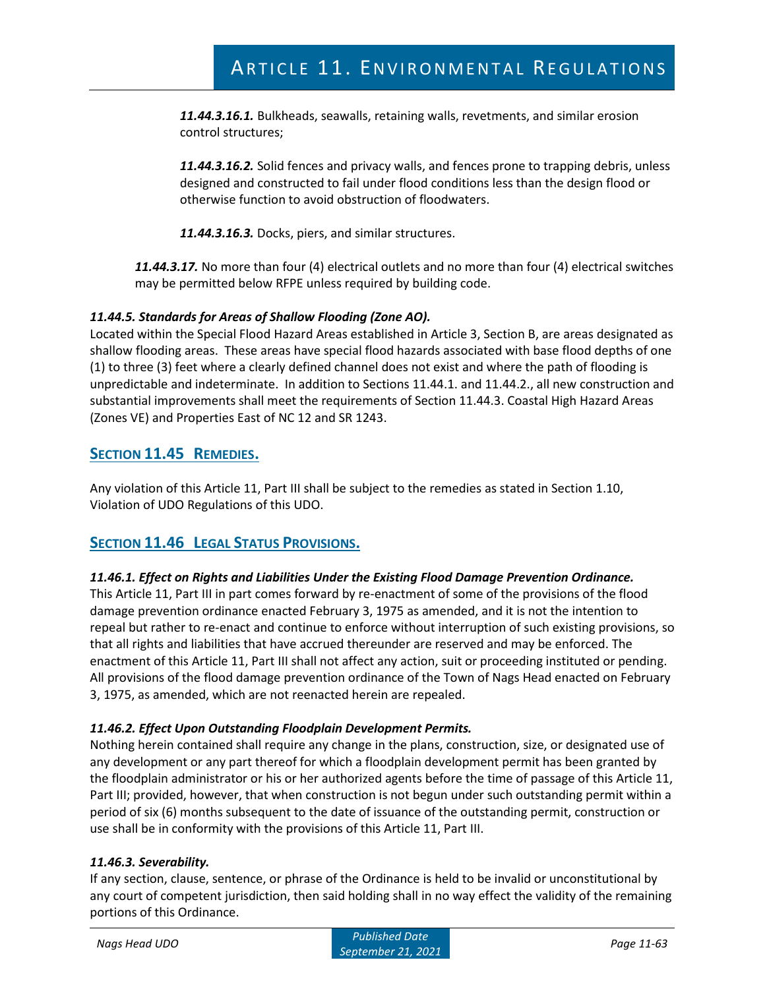*11.44.3.16.1.* Bulkheads, seawalls, retaining walls, revetments, and similar erosion control structures;

*11.44.3.16.2.* Solid fences and privacy walls, and fences prone to trapping debris, unless designed and constructed to fail under flood conditions less than the design flood or otherwise function to avoid obstruction of floodwaters.

*11.44.3.16.3.* Docks, piers, and similar structures.

*11.44.3.17.* No more than four (4) electrical outlets and no more than four (4) electrical switches may be permitted below RFPE unless required by building code.

# *11.44.5. Standards for Areas of Shallow Flooding (Zone AO).*

Located within the Special Flood Hazard Areas established in Article 3, Section B, are areas designated as shallow flooding areas. These areas have special flood hazards associated with base flood depths of one (1) to three (3) feet where a clearly defined channel does not exist and where the path of flooding is unpredictable and indeterminate. In addition to Sections 11.44.1. and 11.44.2., all new construction and substantial improvements shall meet the requirements of Section 11.44.3. Coastal High Hazard Areas (Zones VE) and Properties East of NC 12 and SR 1243.

# **SECTION 11.45 REMEDIES.**

Any violation of this Article 11, Part III shall be subject to the remedies as stated in Section 1.10, Violation of UDO Regulations of this UDO.

# **SECTION 11.46 LEGAL STATUS PROVISIONS.**

# *11.46.1. Effect on Rights and Liabilities Under the Existing Flood Damage Prevention Ordinance.*

This Article 11, Part III in part comes forward by re-enactment of some of the provisions of the flood damage prevention ordinance enacted February 3, 1975 as amended, and it is not the intention to repeal but rather to re-enact and continue to enforce without interruption of such existing provisions, so that all rights and liabilities that have accrued thereunder are reserved and may be enforced. The enactment of this Article 11, Part III shall not affect any action, suit or proceeding instituted or pending. All provisions of the flood damage prevention ordinance of the Town of Nags Head enacted on February 3, 1975, as amended, which are not reenacted herein are repealed.

# *11.46.2. Effect Upon Outstanding Floodplain Development Permits.*

Nothing herein contained shall require any change in the plans, construction, size, or designated use of any development or any part thereof for which a floodplain development permit has been granted by the floodplain administrator or his or her authorized agents before the time of passage of this Article 11, Part III; provided, however, that when construction is not begun under such outstanding permit within a period of six (6) months subsequent to the date of issuance of the outstanding permit, construction or use shall be in conformity with the provisions of this Article 11, Part III.

# *11.46.3. Severability.*

If any section, clause, sentence, or phrase of the Ordinance is held to be invalid or unconstitutional by any court of competent jurisdiction, then said holding shall in no way effect the validity of the remaining portions of this Ordinance.